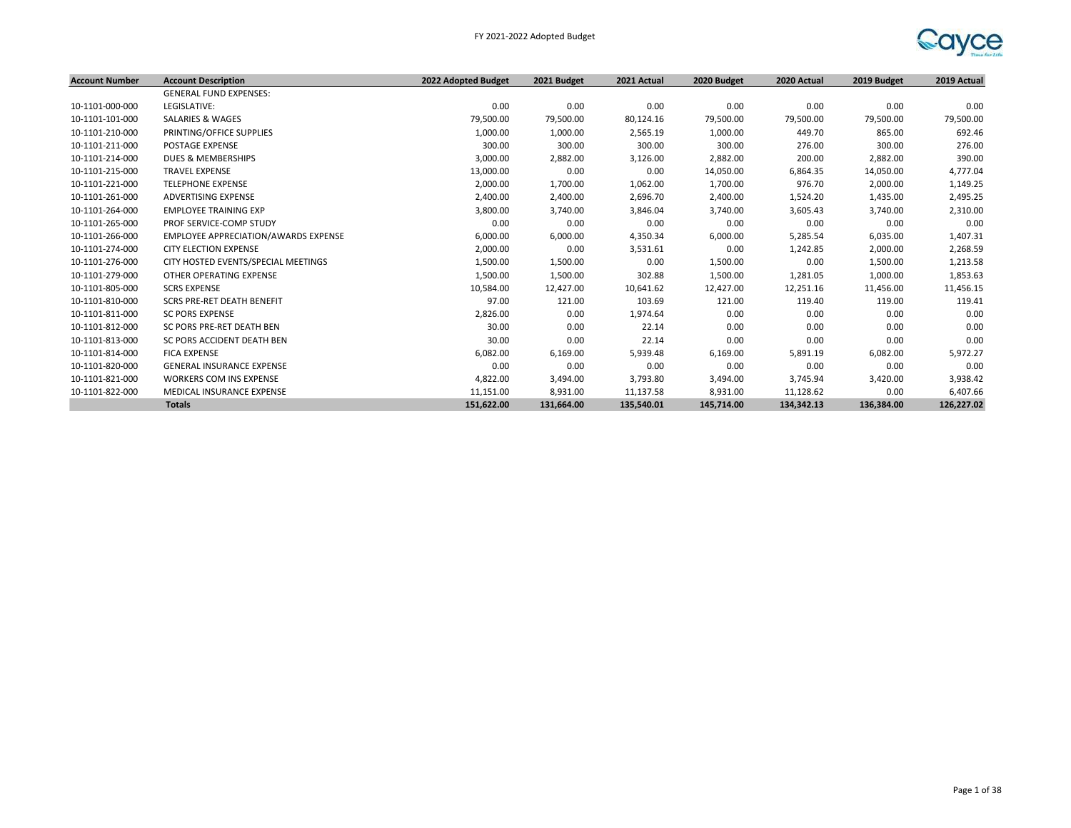

| <b>Account Number</b> | <b>Account Description</b>           | 2022 Adopted Budget | 2021 Budget | 2021 Actual | 2020 Budget | 2020 Actual | 2019 Budget | 2019 Actual |
|-----------------------|--------------------------------------|---------------------|-------------|-------------|-------------|-------------|-------------|-------------|
|                       | <b>GENERAL FUND EXPENSES:</b>        |                     |             |             |             |             |             |             |
| 10-1101-000-000       | LEGISLATIVE:                         | 0.00                | 0.00        | 0.00        | 0.00        | 0.00        | 0.00        | 0.00        |
| 10-1101-101-000       | SALARIES & WAGES                     | 79,500.00           | 79,500.00   | 80,124.16   | 79,500.00   | 79,500.00   | 79,500.00   | 79,500.00   |
| 10-1101-210-000       | PRINTING/OFFICE SUPPLIES             | 1,000.00            | 1,000.00    | 2,565.19    | 1,000.00    | 449.70      | 865.00      | 692.46      |
| 10-1101-211-000       | <b>POSTAGE EXPENSE</b>               | 300.00              | 300.00      | 300.00      | 300.00      | 276.00      | 300.00      | 276.00      |
| 10-1101-214-000       | <b>DUES &amp; MEMBERSHIPS</b>        | 3,000.00            | 2,882.00    | 3,126.00    | 2,882.00    | 200.00      | 2,882.00    | 390.00      |
| 10-1101-215-000       | <b>TRAVEL EXPENSE</b>                | 13,000.00           | 0.00        | 0.00        | 14,050.00   | 6,864.35    | 14,050.00   | 4,777.04    |
| 10-1101-221-000       | <b>TELEPHONE EXPENSE</b>             | 2,000.00            | 1,700.00    | 1,062.00    | 1,700.00    | 976.70      | 2,000.00    | 1,149.25    |
| 10-1101-261-000       | ADVERTISING EXPENSE                  | 2,400.00            | 2,400.00    | 2,696.70    | 2,400.00    | 1,524.20    | 1,435.00    | 2,495.25    |
| 10-1101-264-000       | <b>EMPLOYEE TRAINING EXP</b>         | 3,800.00            | 3,740.00    | 3,846.04    | 3,740.00    | 3,605.43    | 3,740.00    | 2,310.00    |
| 10-1101-265-000       | PROF SERVICE-COMP STUDY              | 0.00                | 0.00        | 0.00        | 0.00        | 0.00        | 0.00        | 0.00        |
| 10-1101-266-000       | EMPLOYEE APPRECIATION/AWARDS EXPENSE | 6,000.00            | 6,000.00    | 4,350.34    | 6,000.00    | 5,285.54    | 6,035.00    | 1,407.31    |
| 10-1101-274-000       | <b>CITY ELECTION EXPENSE</b>         | 2,000.00            | 0.00        | 3,531.61    | 0.00        | 1,242.85    | 2,000.00    | 2,268.59    |
| 10-1101-276-000       | CITY HOSTED EVENTS/SPECIAL MEETINGS  | 1,500.00            | 1,500.00    | 0.00        | 1,500.00    | 0.00        | 1,500.00    | 1,213.58    |
| 10-1101-279-000       | OTHER OPERATING EXPENSE              | 1,500.00            | 1,500.00    | 302.88      | 1,500.00    | 1,281.05    | 1,000.00    | 1,853.63    |
| 10-1101-805-000       | <b>SCRS EXPENSE</b>                  | 10,584.00           | 12,427.00   | 10,641.62   | 12,427.00   | 12,251.16   | 11,456.00   | 11,456.15   |
| 10-1101-810-000       | SCRS PRE-RET DEATH BENEFIT           | 97.00               | 121.00      | 103.69      | 121.00      | 119.40      | 119.00      | 119.41      |
| 10-1101-811-000       | <b>SC PORS EXPENSE</b>               | 2,826.00            | 0.00        | 1,974.64    | 0.00        | 0.00        | 0.00        | 0.00        |
| 10-1101-812-000       | SC PORS PRE-RET DEATH BEN            | 30.00               | 0.00        | 22.14       | 0.00        | 0.00        | 0.00        | 0.00        |
| 10-1101-813-000       | SC PORS ACCIDENT DEATH BEN           | 30.00               | 0.00        | 22.14       | 0.00        | 0.00        | 0.00        | 0.00        |
| 10-1101-814-000       | <b>FICA EXPENSE</b>                  | 6,082.00            | 6,169.00    | 5,939.48    | 6,169.00    | 5,891.19    | 6,082.00    | 5,972.27    |
| 10-1101-820-000       | <b>GENERAL INSURANCE EXPENSE</b>     | 0.00                | 0.00        | 0.00        | 0.00        | 0.00        | 0.00        | 0.00        |
| 10-1101-821-000       | <b>WORKERS COM INS EXPENSE</b>       | 4,822.00            | 3,494.00    | 3,793.80    | 3,494.00    | 3,745.94    | 3,420.00    | 3,938.42    |
| 10-1101-822-000       | MEDICAL INSURANCE EXPENSE            | 11,151.00           | 8,931.00    | 11,137.58   | 8,931.00    | 11,128.62   | 0.00        | 6,407.66    |
|                       | <b>Totals</b>                        | 151,622.00          | 131,664.00  | 135,540.01  | 145,714.00  | 134,342.13  | 136,384.00  | 126,227.02  |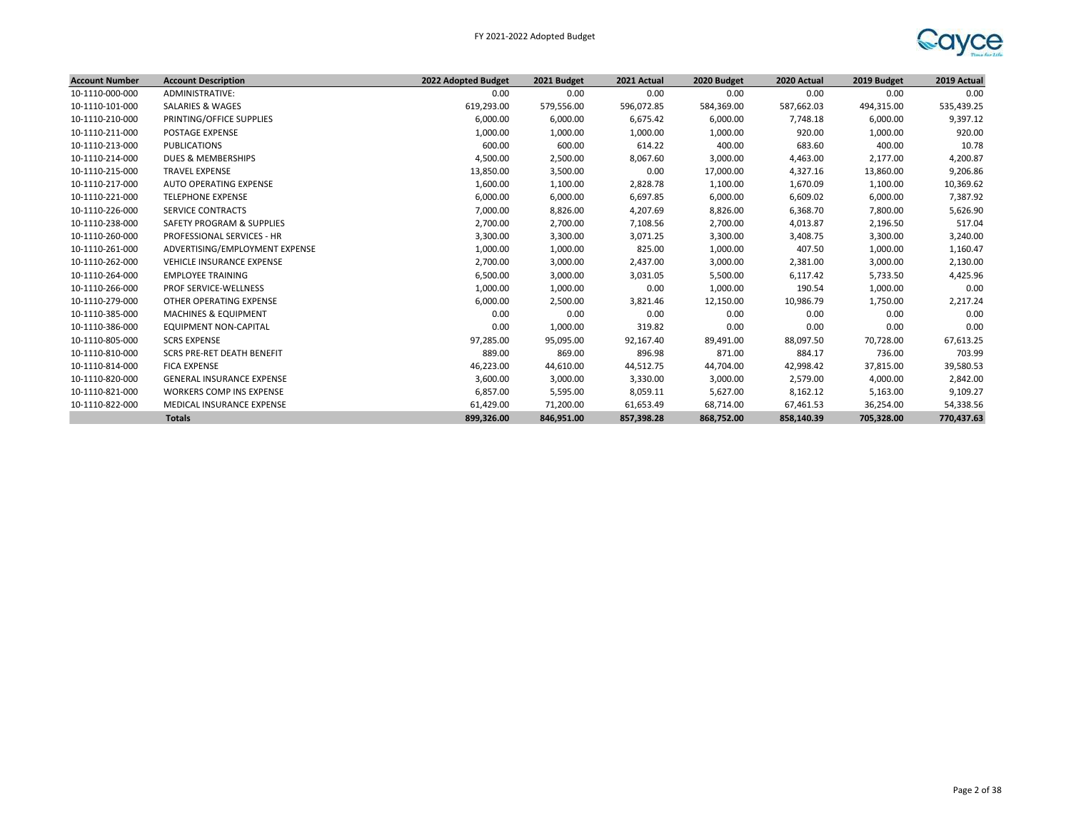

| <b>Account Number</b> | <b>Account Description</b>        | 2022 Adopted Budget | 2021 Budget | 2021 Actual | 2020 Budget | 2020 Actual | 2019 Budget | 2019 Actual |
|-----------------------|-----------------------------------|---------------------|-------------|-------------|-------------|-------------|-------------|-------------|
| 10-1110-000-000       | ADMINISTRATIVE:                   | 0.00                | 0.00        | 0.00        | 0.00        | 0.00        | 0.00        | 0.00        |
| 10-1110-101-000       | SALARIES & WAGES                  | 619,293.00          | 579,556.00  | 596,072.85  | 584,369.00  | 587,662.03  | 494,315.00  | 535,439.25  |
| 10-1110-210-000       | PRINTING/OFFICE SUPPLIES          | 6,000.00            | 6,000.00    | 6,675.42    | 6,000.00    | 7,748.18    | 6,000.00    | 9,397.12    |
| 10-1110-211-000       | <b>POSTAGE EXPENSE</b>            | 1,000.00            | 1,000.00    | 1,000.00    | 1,000.00    | 920.00      | 1,000.00    | 920.00      |
| 10-1110-213-000       | PUBLICATIONS                      | 600.00              | 600.00      | 614.22      | 400.00      | 683.60      | 400.00      | 10.78       |
| 10-1110-214-000       | DUES & MEMBERSHIPS                | 4,500.00            | 2,500.00    | 8,067.60    | 3,000.00    | 4,463.00    | 2,177.00    | 4,200.87    |
| 10-1110-215-000       | <b>TRAVEL EXPENSE</b>             | 13,850.00           | 3,500.00    | 0.00        | 17,000.00   | 4,327.16    | 13,860.00   | 9,206.86    |
| 10-1110-217-000       | AUTO OPERATING EXPENSE            | 1,600.00            | 1,100.00    | 2,828.78    | 1,100.00    | 1,670.09    | 1,100.00    | 10,369.62   |
| 10-1110-221-000       | <b>TELEPHONE EXPENSE</b>          | 6,000.00            | 6,000.00    | 6,697.85    | 6,000.00    | 6,609.02    | 6,000.00    | 7,387.92    |
| 10-1110-226-000       | <b>SERVICE CONTRACTS</b>          | 7,000.00            | 8,826.00    | 4,207.69    | 8,826.00    | 6,368.70    | 7,800.00    | 5,626.90    |
| 10-1110-238-000       | SAFETY PROGRAM & SUPPLIES         | 2,700.00            | 2,700.00    | 7,108.56    | 2,700.00    | 4,013.87    | 2,196.50    | 517.04      |
| 10-1110-260-000       | PROFESSIONAL SERVICES - HR        | 3,300.00            | 3,300.00    | 3,071.25    | 3,300.00    | 3,408.75    | 3,300.00    | 3,240.00    |
| 10-1110-261-000       | ADVERTISING/EMPLOYMENT EXPENSE    | 1,000.00            | 1,000.00    | 825.00      | 1,000.00    | 407.50      | 1,000.00    | 1,160.47    |
| 10-1110-262-000       | <b>VEHICLE INSURANCE EXPENSE</b>  | 2,700.00            | 3,000.00    | 2,437.00    | 3,000.00    | 2,381.00    | 3,000.00    | 2,130.00    |
| 10-1110-264-000       | <b>EMPLOYEE TRAINING</b>          | 6,500.00            | 3,000.00    | 3,031.05    | 5,500.00    | 6,117.42    | 5,733.50    | 4,425.96    |
| 10-1110-266-000       | <b>PROF SERVICE-WELLNESS</b>      | 1,000.00            | 1,000.00    | 0.00        | 1,000.00    | 190.54      | 1,000.00    | 0.00        |
| 10-1110-279-000       | OTHER OPERATING EXPENSE           | 6,000.00            | 2,500.00    | 3,821.46    | 12,150.00   | 10,986.79   | 1,750.00    | 2,217.24    |
| 10-1110-385-000       | <b>MACHINES &amp; EQUIPMENT</b>   | 0.00                | 0.00        | 0.00        | 0.00        | 0.00        | 0.00        | 0.00        |
| 10-1110-386-000       | EQUIPMENT NON-CAPITAL             | 0.00                | 1,000.00    | 319.82      | 0.00        | 0.00        | 0.00        | 0.00        |
| 10-1110-805-000       | <b>SCRS EXPENSE</b>               | 97,285.00           | 95,095.00   | 92,167.40   | 89,491.00   | 88,097.50   | 70,728.00   | 67,613.25   |
| 10-1110-810-000       | <b>SCRS PRE-RET DEATH BENEFIT</b> | 889.00              | 869.00      | 896.98      | 871.00      | 884.17      | 736.00      | 703.99      |
| 10-1110-814-000       | <b>FICA EXPENSE</b>               | 46,223.00           | 44,610.00   | 44,512.75   | 44,704.00   | 42,998.42   | 37,815.00   | 39,580.53   |
| 10-1110-820-000       | <b>GENERAL INSURANCE EXPENSE</b>  | 3,600.00            | 3,000.00    | 3,330.00    | 3,000.00    | 2,579.00    | 4,000.00    | 2,842.00    |
| 10-1110-821-000       | <b>WORKERS COMP INS EXPENSE</b>   | 6,857.00            | 5,595.00    | 8,059.11    | 5,627.00    | 8,162.12    | 5,163.00    | 9,109.27    |
| 10-1110-822-000       | MEDICAL INSURANCE EXPENSE         | 61,429.00           | 71,200.00   | 61,653.49   | 68,714.00   | 67,461.53   | 36,254.00   | 54,338.56   |
|                       | <b>Totals</b>                     | 899,326.00          | 846.951.00  | 857,398.28  | 868,752.00  | 858,140.39  | 705.328.00  | 770,437.63  |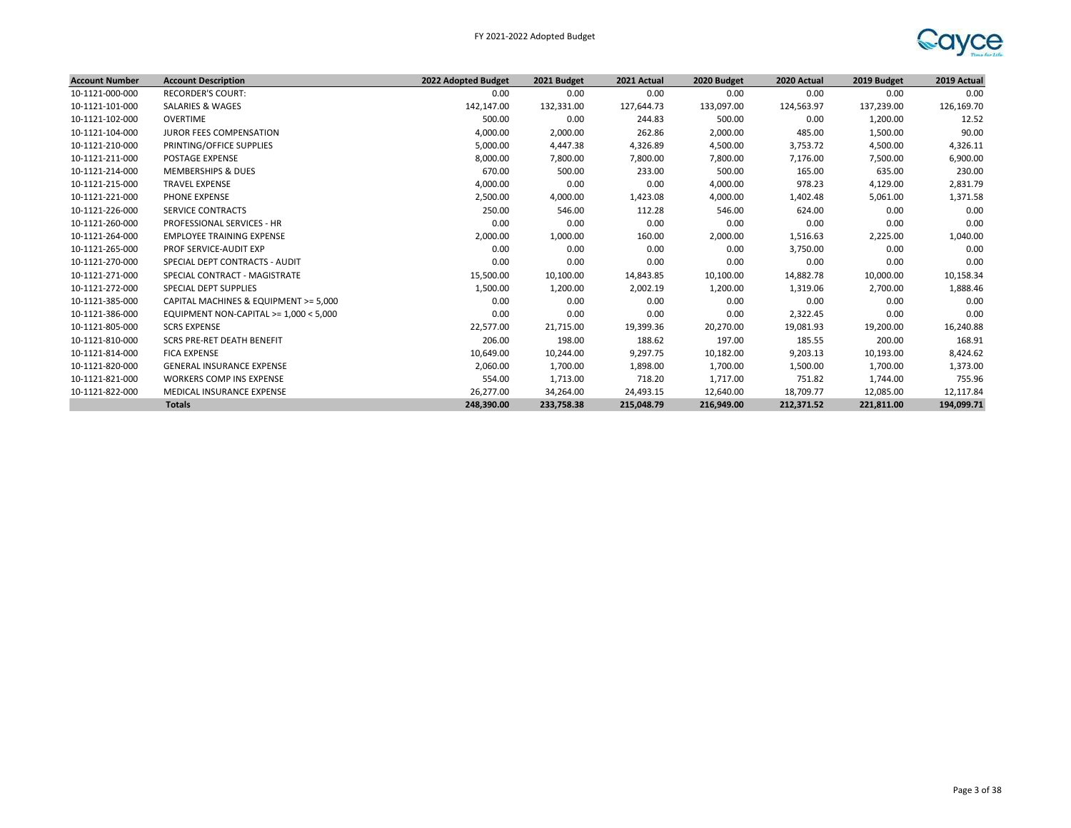

| <b>Account Number</b> | <b>Account Description</b>             | 2022 Adopted Budget | 2021 Budget | 2021 Actual | 2020 Budget | 2020 Actual | 2019 Budget | 2019 Actual |
|-----------------------|----------------------------------------|---------------------|-------------|-------------|-------------|-------------|-------------|-------------|
| 10-1121-000-000       | <b>RECORDER'S COURT:</b>               | 0.00                | 0.00        | 0.00        | 0.00        | 0.00        | 0.00        | 0.00        |
| 10-1121-101-000       | SALARIES & WAGES                       | 142,147.00          | 132,331.00  | 127,644.73  | 133,097.00  | 124,563.97  | 137,239.00  | 126,169.70  |
| 10-1121-102-000       | OVERTIME                               | 500.00              | 0.00        | 244.83      | 500.00      | 0.00        | 1,200.00    | 12.52       |
| 10-1121-104-000       | <b>JUROR FEES COMPENSATION</b>         | 4,000.00            | 2,000.00    | 262.86      | 2,000.00    | 485.00      | 1,500.00    | 90.00       |
| 10-1121-210-000       | PRINTING/OFFICE SUPPLIES               | 5,000.00            | 4,447.38    | 4,326.89    | 4,500.00    | 3,753.72    | 4,500.00    | 4,326.11    |
| 10-1121-211-000       | <b>POSTAGE EXPENSE</b>                 | 8,000.00            | 7,800.00    | 7,800.00    | 7,800.00    | 7,176.00    | 7,500.00    | 6,900.00    |
| 10-1121-214-000       | <b>MEMBERSHIPS &amp; DUES</b>          | 670.00              | 500.00      | 233.00      | 500.00      | 165.00      | 635.00      | 230.00      |
| 10-1121-215-000       | <b>TRAVEL EXPENSE</b>                  | 4,000.00            | 0.00        | 0.00        | 4,000.00    | 978.23      | 4,129.00    | 2,831.79    |
| 10-1121-221-000       | PHONE EXPENSE                          | 2,500.00            | 4,000.00    | 1,423.08    | 4,000.00    | 1,402.48    | 5,061.00    | 1,371.58    |
| 10-1121-226-000       | SERVICE CONTRACTS                      | 250.00              | 546.00      | 112.28      | 546.00      | 624.00      | 0.00        | 0.00        |
| 10-1121-260-000       | PROFESSIONAL SERVICES - HR             | 0.00                | 0.00        | 0.00        | 0.00        | 0.00        | 0.00        | 0.00        |
| 10-1121-264-000       | <b>EMPLOYEE TRAINING EXPENSE</b>       | 2,000.00            | 1,000.00    | 160.00      | 2,000.00    | 1,516.63    | 2,225.00    | 1,040.00    |
| 10-1121-265-000       | PROF SERVICE-AUDIT EXP                 | 0.00                | 0.00        | 0.00        | 0.00        | 3,750.00    | 0.00        | 0.00        |
| 10-1121-270-000       | SPECIAL DEPT CONTRACTS - AUDIT         | 0.00                | 0.00        | 0.00        | 0.00        | 0.00        | 0.00        | 0.00        |
| 10-1121-271-000       | SPECIAL CONTRACT - MAGISTRATE          | 15,500.00           | 10,100.00   | 14,843.85   | 10,100.00   | 14,882.78   | 10,000.00   | 10,158.34   |
| 10-1121-272-000       | <b>SPECIAL DEPT SUPPLIES</b>           | 1,500.00            | 1,200.00    | 2,002.19    | 1,200.00    | 1,319.06    | 2,700.00    | 1,888.46    |
| 10-1121-385-000       | CAPITAL MACHINES & EQUIPMENT >= 5,000  | 0.00                | 0.00        | 0.00        | 0.00        | 0.00        | 0.00        | 0.00        |
| 10-1121-386-000       | EQUIPMENT NON-CAPITAL >= 1,000 < 5,000 | 0.00                | 0.00        | 0.00        | 0.00        | 2,322.45    | 0.00        | 0.00        |
| 10-1121-805-000       | <b>SCRS EXPENSE</b>                    | 22,577.00           | 21,715.00   | 19,399.36   | 20,270.00   | 19,081.93   | 19,200.00   | 16,240.88   |
| 10-1121-810-000       | SCRS PRE-RET DEATH BENEFIT             | 206.00              | 198.00      | 188.62      | 197.00      | 185.55      | 200.00      | 168.91      |
| 10-1121-814-000       | <b>FICA EXPENSE</b>                    | 10,649.00           | 10,244.00   | 9,297.75    | 10,182.00   | 9,203.13    | 10,193.00   | 8,424.62    |
| 10-1121-820-000       | <b>GENERAL INSURANCE EXPENSE</b>       | 2,060.00            | 1,700.00    | 1,898.00    | 1,700.00    | 1,500.00    | 1,700.00    | 1,373.00    |
| 10-1121-821-000       | WORKERS COMP INS EXPENSE               | 554.00              | 1,713.00    | 718.20      | 1,717.00    | 751.82      | 1,744.00    | 755.96      |
| 10-1121-822-000       | MEDICAL INSURANCE EXPENSE              | 26,277.00           | 34,264.00   | 24,493.15   | 12,640.00   | 18,709.77   | 12,085.00   | 12,117.84   |
|                       | <b>Totals</b>                          | 248,390.00          | 233,758.38  | 215,048.79  | 216,949.00  | 212,371.52  | 221,811.00  | 194,099.71  |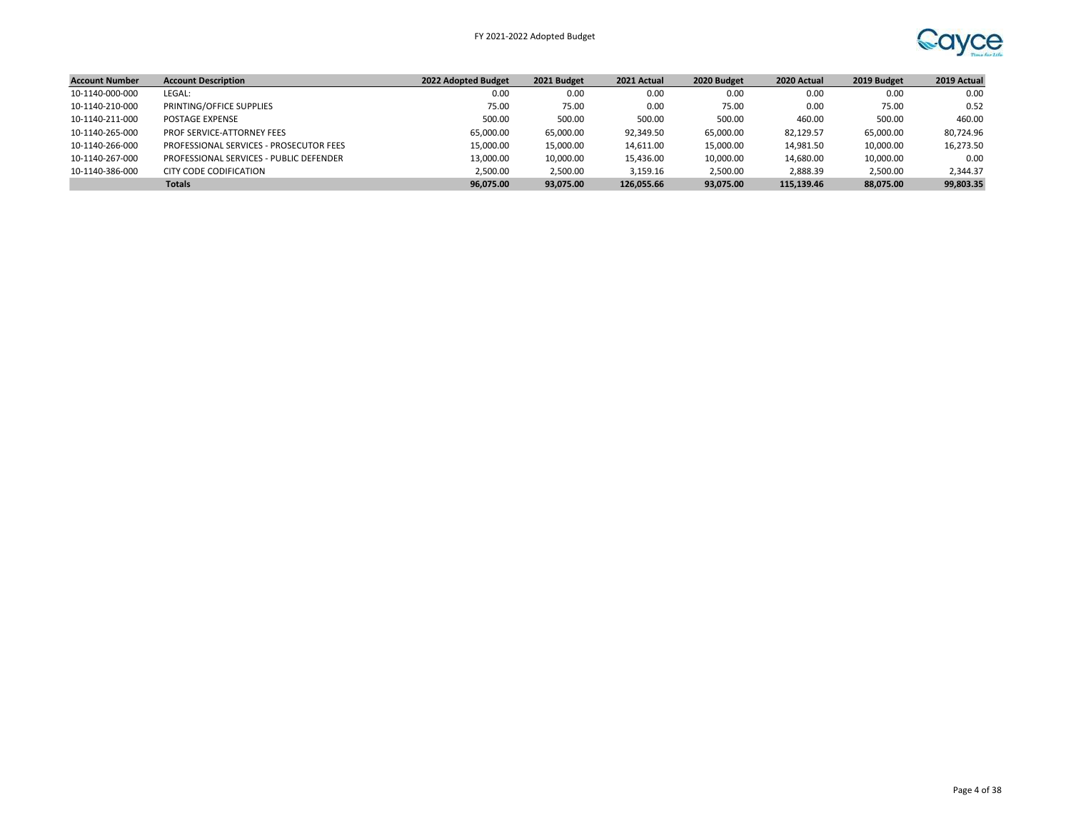

| <b>Account Number</b> | <b>Account Description</b>              | 2022 Adopted Budget | 2021 Budget | 2021 Actual | 2020 Budget | 2020 Actual | 2019 Budget | 2019 Actual |
|-----------------------|-----------------------------------------|---------------------|-------------|-------------|-------------|-------------|-------------|-------------|
| 10-1140-000-000       | LEGAL:                                  | 0.00                | 0.00        | 0.00        | 0.00        | 0.00        | 0.00        | 0.00        |
| 10-1140-210-000       | PRINTING/OFFICE SUPPLIES                | 75.00               | 75.00       | 0.00        | 75.00       | 0.00        | 75.00       | 0.52        |
| 10-1140-211-000       | POSTAGE EXPENSE                         | 500.00              | 500.00      | 500.00      | 500.00      | 460.00      | 500.00      | 460.00      |
| 10-1140-265-000       | <b>PROF SERVICE-ATTORNEY FEES</b>       | 65.000.00           | 65.000.00   | 92,349.50   | 65,000.00   | 82,129.57   | 65,000.00   | 80.724.96   |
| 10-1140-266-000       | PROFESSIONAL SERVICES - PROSECUTOR FEES | 15,000.00           | 15,000.00   | 14,611.00   | 15,000.00   | 14,981.50   | 10,000.00   | 16,273.50   |
| 10-1140-267-000       | PROFESSIONAL SERVICES - PUBLIC DEFENDER | 13,000.00           | 10,000.00   | 15,436.00   | 10,000.00   | 14,680.00   | 10,000.00   | 0.00        |
| 10-1140-386-000       | CITY CODE CODIFICATION                  | 2.500.00            | 2,500.00    | 3,159.16    | 2.500.00    | 2.888.39    | 2,500.00    | 2,344.37    |
|                       | <b>Totals</b>                           | 96.075.00           | 93.075.00   | 126.055.66  | 93.075.00   | 115.139.46  | 88.075.00   | 99,803.35   |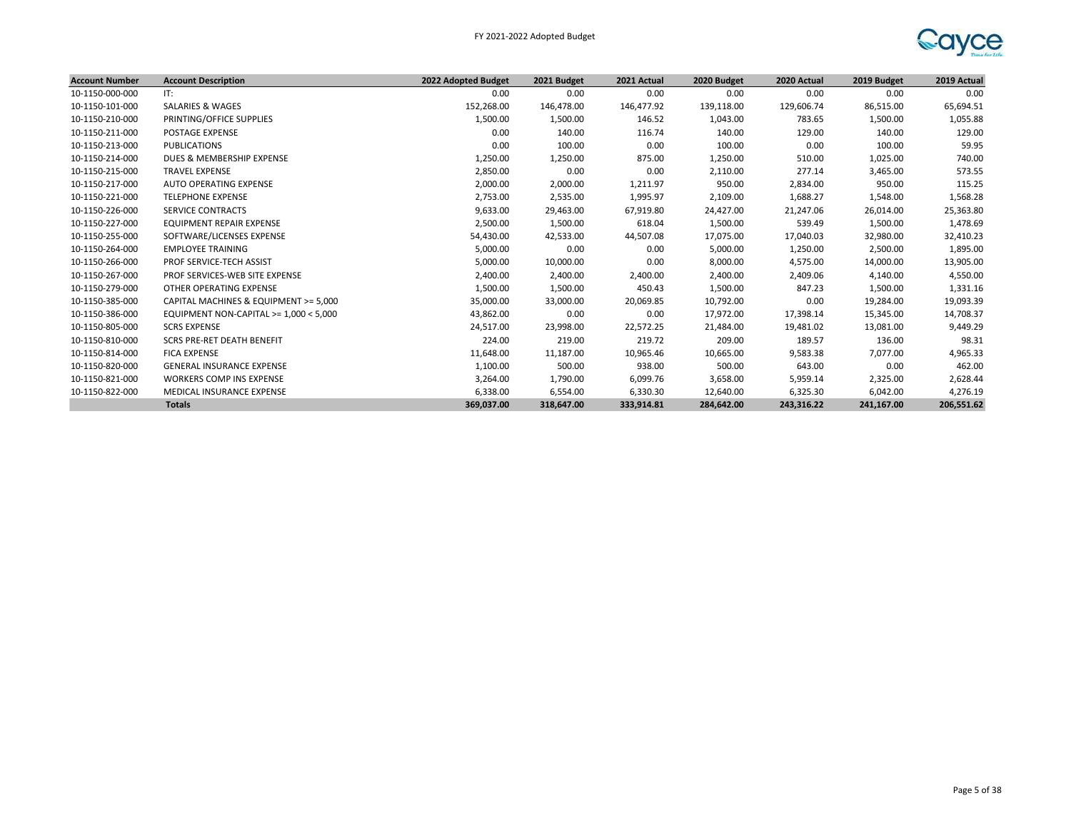

| <b>Account Number</b> | <b>Account Description</b>             | 2022 Adopted Budget | 2021 Budget | 2021 Actual | 2020 Budget | 2020 Actual | 2019 Budget | 2019 Actual |
|-----------------------|----------------------------------------|---------------------|-------------|-------------|-------------|-------------|-------------|-------------|
| 10-1150-000-000       | IT:                                    | 0.00                | 0.00        | 0.00        | 0.00        | 0.00        | 0.00        | 0.00        |
| 10-1150-101-000       | <b>SALARIES &amp; WAGES</b>            | 152,268.00          | 146,478.00  | 146,477.92  | 139,118.00  | 129,606.74  | 86,515.00   | 65,694.51   |
| 10-1150-210-000       | PRINTING/OFFICE SUPPLIES               | 1,500.00            | 1,500.00    | 146.52      | 1,043.00    | 783.65      | 1,500.00    | 1,055.88    |
| 10-1150-211-000       | <b>POSTAGE EXPENSE</b>                 | 0.00                | 140.00      | 116.74      | 140.00      | 129.00      | 140.00      | 129.00      |
| 10-1150-213-000       | <b>PUBLICATIONS</b>                    | 0.00                | 100.00      | 0.00        | 100.00      | 0.00        | 100.00      | 59.95       |
| 10-1150-214-000       | DUES & MEMBERSHIP EXPENSE              | 1,250.00            | 1,250.00    | 875.00      | 1,250.00    | 510.00      | 1,025.00    | 740.00      |
| 10-1150-215-000       | <b>TRAVEL EXPENSE</b>                  | 2,850.00            | 0.00        | 0.00        | 2,110.00    | 277.14      | 3,465.00    | 573.55      |
| 10-1150-217-000       | <b>AUTO OPERATING EXPENSE</b>          | 2,000.00            | 2,000.00    | 1,211.97    | 950.00      | 2,834.00    | 950.00      | 115.25      |
| 10-1150-221-000       | <b>TELEPHONE EXPENSE</b>               | 2,753.00            | 2,535.00    | 1,995.97    | 2,109.00    | 1,688.27    | 1,548.00    | 1,568.28    |
| 10-1150-226-000       | SERVICE CONTRACTS                      | 9,633.00            | 29,463.00   | 67,919.80   | 24,427.00   | 21,247.06   | 26,014.00   | 25,363.80   |
| 10-1150-227-000       | EQUIPMENT REPAIR EXPENSE               | 2,500.00            | 1,500.00    | 618.04      | 1,500.00    | 539.49      | 1,500.00    | 1,478.69    |
| 10-1150-255-000       | SOFTWARE/LICENSES EXPENSE              | 54,430.00           | 42,533.00   | 44,507.08   | 17,075.00   | 17,040.03   | 32,980.00   | 32,410.23   |
| 10-1150-264-000       | <b>EMPLOYEE TRAINING</b>               | 5,000.00            | 0.00        | 0.00        | 5,000.00    | 1,250.00    | 2,500.00    | 1,895.00    |
| 10-1150-266-000       | PROF SERVICE-TECH ASSIST               | 5,000.00            | 10,000.00   | 0.00        | 8,000.00    | 4,575.00    | 14,000.00   | 13,905.00   |
| 10-1150-267-000       | PROF SERVICES-WEB SITE EXPENSE         | 2,400.00            | 2,400.00    | 2,400.00    | 2,400.00    | 2,409.06    | 4,140.00    | 4,550.00    |
| 10-1150-279-000       | OTHER OPERATING EXPENSE                | 1,500.00            | 1,500.00    | 450.43      | 1,500.00    | 847.23      | 1,500.00    | 1,331.16    |
| 10-1150-385-000       | CAPITAL MACHINES & EQUIPMENT >= 5,000  | 35,000.00           | 33,000.00   | 20,069.85   | 10,792.00   | 0.00        | 19,284.00   | 19,093.39   |
| 10-1150-386-000       | EQUIPMENT NON-CAPITAL >= 1,000 < 5,000 | 43,862.00           | 0.00        | 0.00        | 17,972.00   | 17,398.14   | 15,345.00   | 14,708.37   |
| 10-1150-805-000       | <b>SCRS EXPENSE</b>                    | 24,517.00           | 23,998.00   | 22,572.25   | 21,484.00   | 19,481.02   | 13,081.00   | 9,449.29    |
| 10-1150-810-000       | <b>SCRS PRE-RET DEATH BENEFIT</b>      | 224.00              | 219.00      | 219.72      | 209.00      | 189.57      | 136.00      | 98.31       |
| 10-1150-814-000       | <b>FICA EXPENSE</b>                    | 11,648.00           | 11,187.00   | 10,965.46   | 10,665.00   | 9,583.38    | 7,077.00    | 4,965.33    |
| 10-1150-820-000       | <b>GENERAL INSURANCE EXPENSE</b>       | 1,100.00            | 500.00      | 938.00      | 500.00      | 643.00      | 0.00        | 462.00      |
| 10-1150-821-000       | <b>WORKERS COMP INS EXPENSE</b>        | 3,264.00            | 1,790.00    | 6,099.76    | 3,658.00    | 5,959.14    | 2,325.00    | 2,628.44    |
| 10-1150-822-000       | MEDICAL INSURANCE EXPENSE              | 6,338.00            | 6,554.00    | 6,330.30    | 12,640.00   | 6,325.30    | 6,042.00    | 4,276.19    |
|                       | <b>Totals</b>                          | 369,037.00          | 318,647.00  | 333,914.81  | 284,642.00  | 243,316.22  | 241,167.00  | 206,551.62  |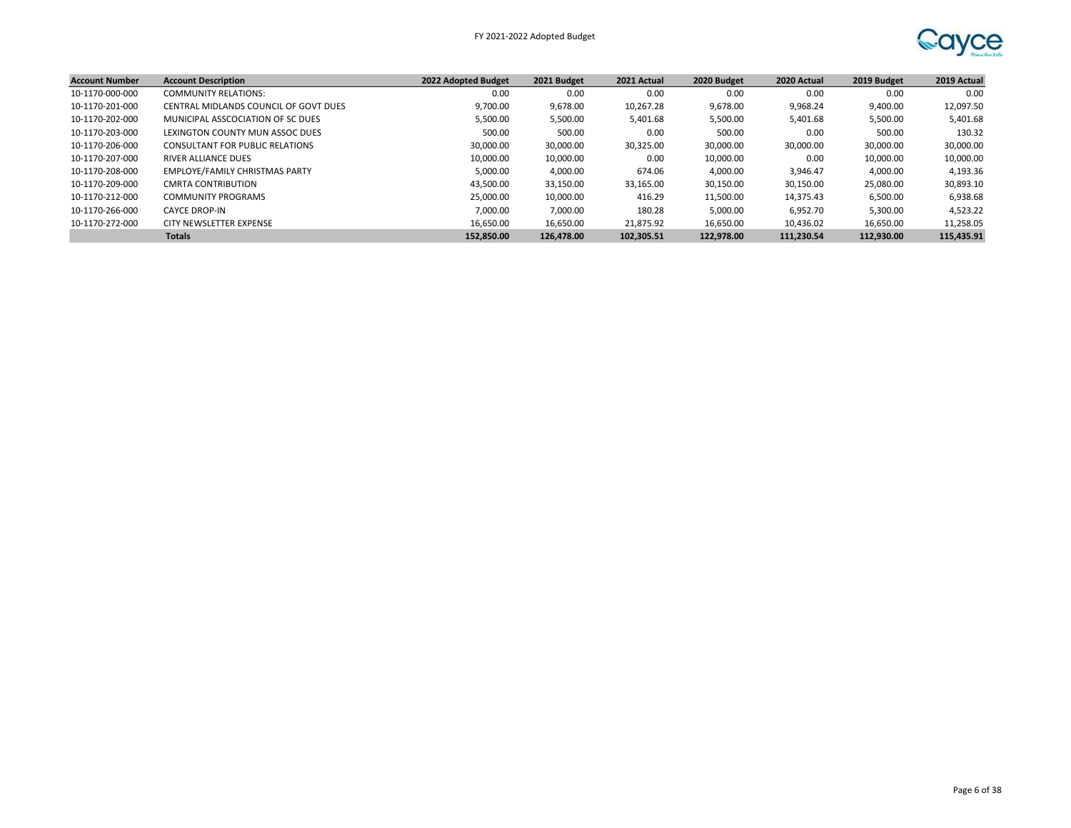

| <b>Account Number</b> | <b>Account Description</b>            | 2022 Adopted Budget | 2021 Budget | 2021 Actual | 2020 Budget | 2020 Actual | 2019 Budget | 2019 Actual |
|-----------------------|---------------------------------------|---------------------|-------------|-------------|-------------|-------------|-------------|-------------|
| 10-1170-000-000       | <b>COMMUNITY RELATIONS:</b>           | 0.00                | 0.00        | 0.00        | 0.00        | 0.00        | 0.00        | 0.00        |
| 10-1170-201-000       | CENTRAL MIDLANDS COUNCIL OF GOVT DUES | 9.700.00            | 9,678.00    | 10,267.28   | 9,678.00    | 9,968.24    | 9,400.00    | 12,097.50   |
| 10-1170-202-000       | MUNICIPAL ASSCOCIATION OF SC DUES     | 5.500.00            | 5,500.00    | 5,401.68    | 5,500.00    | 5,401.68    | 5,500.00    | 5,401.68    |
| 10-1170-203-000       | LEXINGTON COUNTY MUN ASSOC DUES       | 500.00              | 500.00      | 0.00        | 500.00      | 0.00        | 500.00      | 130.32      |
| 10-1170-206-000       | CONSULTANT FOR PUBLIC RELATIONS       | 30.000.00           | 30,000.00   | 30,325.00   | 30.000.00   | 30,000.00   | 30,000.00   | 30,000.00   |
| 10-1170-207-000       | <b>RIVER ALLIANCE DUES</b>            | 10,000.00           | 10,000.00   | 0.00        | 10,000.00   | 0.00        | 10,000.00   | 10,000.00   |
| 10-1170-208-000       | <b>EMPLOYE/FAMILY CHRISTMAS PARTY</b> | 5,000.00            | 4,000.00    | 674.06      | 4,000.00    | 3,946.47    | 4,000.00    | 4,193.36    |
| 10-1170-209-000       | CMRTA CONTRIBUTION                    | 43,500.00           | 33,150.00   | 33,165.00   | 30,150.00   | 30,150.00   | 25,080.00   | 30,893.10   |
| 10-1170-212-000       | <b>COMMUNITY PROGRAMS</b>             | 25.000.00           | 10,000.00   | 416.29      | 11.500.00   | 14,375.43   | 6,500.00    | 6,938.68    |
| 10-1170-266-000       | <b>CAYCE DROP-IN</b>                  | 7.000.00            | 7,000.00    | 180.28      | 5,000.00    | 6.952.70    | 5,300.00    | 4,523.22    |
| 10-1170-272-000       | CITY NEWSLETTER EXPENSE               | 16.650.00           | 16,650.00   | 21,875.92   | 16,650.00   | 10.436.02   | 16,650.00   | 11,258.05   |
|                       | <b>Totals</b>                         | 152,850.00          | 126.478.00  | 102,305.51  | 122.978.00  | 111.230.54  | 112.930.00  | 115,435.91  |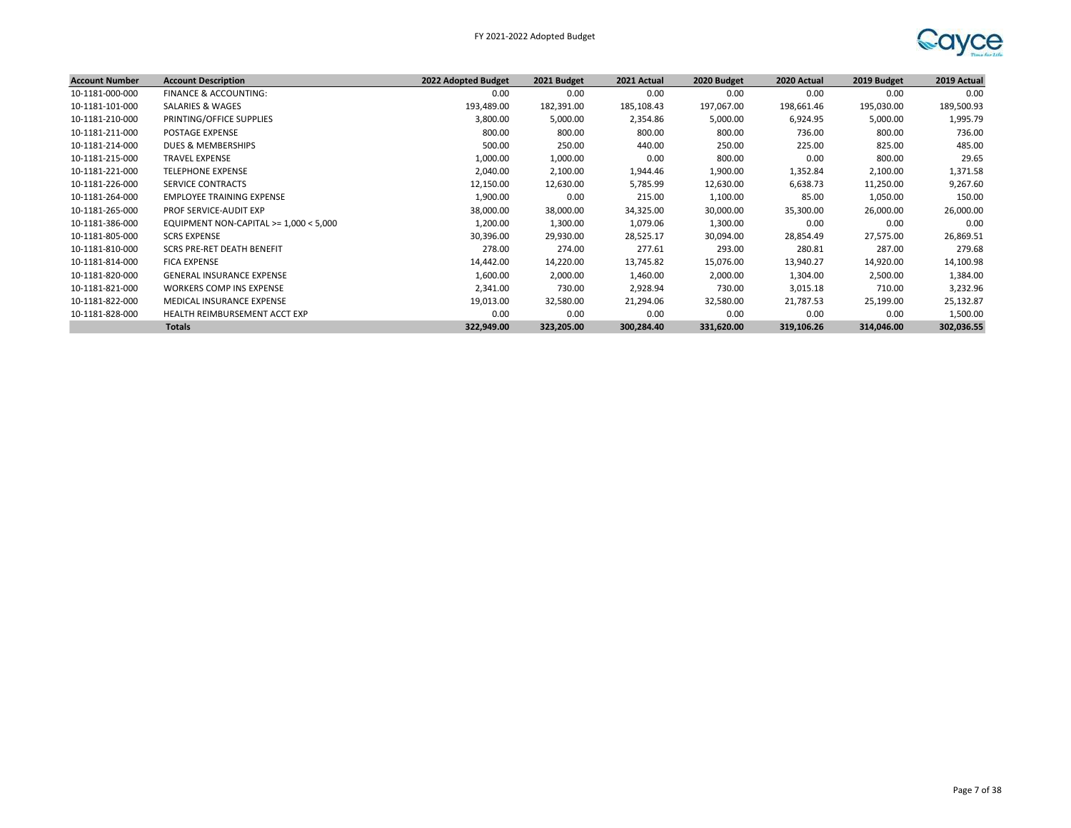

| <b>Account Number</b> | <b>Account Description</b>               | 2022 Adopted Budget | 2021 Budget | 2021 Actual | 2020 Budget | 2020 Actual | 2019 Budget | 2019 Actual |
|-----------------------|------------------------------------------|---------------------|-------------|-------------|-------------|-------------|-------------|-------------|
| 10-1181-000-000       | FINANCE & ACCOUNTING:                    | 0.00                | 0.00        | 0.00        | 0.00        | 0.00        | 0.00        | 0.00        |
| 10-1181-101-000       | SALARIES & WAGES                         | 193,489.00          | 182,391.00  | 185,108.43  | 197,067.00  | 198,661.46  | 195,030.00  | 189,500.93  |
| 10-1181-210-000       | PRINTING/OFFICE SUPPLIES                 | 3,800.00            | 5,000.00    | 2,354.86    | 5,000.00    | 6,924.95    | 5,000.00    | 1,995.79    |
| 10-1181-211-000       | <b>POSTAGE EXPENSE</b>                   | 800.00              | 800.00      | 800.00      | 800.00      | 736.00      | 800.00      | 736.00      |
| 10-1181-214-000       | DUES & MEMBERSHIPS                       | 500.00              | 250.00      | 440.00      | 250.00      | 225.00      | 825.00      | 485.00      |
| 10-1181-215-000       | <b>TRAVEL EXPENSE</b>                    | 1,000.00            | 1,000.00    | 0.00        | 800.00      | 0.00        | 800.00      | 29.65       |
| 10-1181-221-000       | <b>TELEPHONE EXPENSE</b>                 | 2,040.00            | 2,100.00    | 1,944.46    | 1,900.00    | 1,352.84    | 2,100.00    | 1,371.58    |
| 10-1181-226-000       | <b>SERVICE CONTRACTS</b>                 | 12,150.00           | 12,630.00   | 5,785.99    | 12,630.00   | 6,638.73    | 11,250.00   | 9,267.60    |
| 10-1181-264-000       | EMPLOYEE TRAINING EXPENSE                | 1,900.00            | 0.00        | 215.00      | 1,100.00    | 85.00       | 1,050.00    | 150.00      |
| 10-1181-265-000       | PROF SERVICE-AUDIT EXP                   | 38,000.00           | 38,000.00   | 34,325.00   | 30,000.00   | 35,300.00   | 26,000.00   | 26,000.00   |
| 10-1181-386-000       | EQUIPMENT NON-CAPITAL $>= 1,000 < 5,000$ | 1,200.00            | 1,300.00    | 1,079.06    | 1,300.00    | 0.00        | 0.00        | 0.00        |
| 10-1181-805-000       | <b>SCRS EXPENSE</b>                      | 30,396.00           | 29,930.00   | 28,525.17   | 30,094.00   | 28,854.49   | 27,575.00   | 26,869.51   |
| 10-1181-810-000       | <b>SCRS PRE-RET DEATH BENEFIT</b>        | 278.00              | 274.00      | 277.61      | 293.00      | 280.81      | 287.00      | 279.68      |
| 10-1181-814-000       | <b>FICA EXPENSE</b>                      | 14,442.00           | 14,220.00   | 13,745.82   | 15,076.00   | 13,940.27   | 14,920.00   | 14,100.98   |
| 10-1181-820-000       | <b>GENERAL INSURANCE EXPENSE</b>         | 1,600.00            | 2,000.00    | 1,460.00    | 2,000.00    | 1,304.00    | 2,500.00    | 1,384.00    |
| 10-1181-821-000       | <b>WORKERS COMP INS EXPENSE</b>          | 2,341.00            | 730.00      | 2,928.94    | 730.00      | 3,015.18    | 710.00      | 3,232.96    |
| 10-1181-822-000       | MEDICAL INSURANCE EXPENSE                | 19,013.00           | 32,580.00   | 21,294.06   | 32,580.00   | 21,787.53   | 25,199.00   | 25,132.87   |
| 10-1181-828-000       | HEALTH REIMBURSEMENT ACCT EXP            | 0.00                | 0.00        | 0.00        | 0.00        | 0.00        | 0.00        | 1,500.00    |
|                       | <b>Totals</b>                            | 322,949.00          | 323,205.00  | 300,284.40  | 331,620.00  | 319,106.26  | 314,046.00  | 302,036.55  |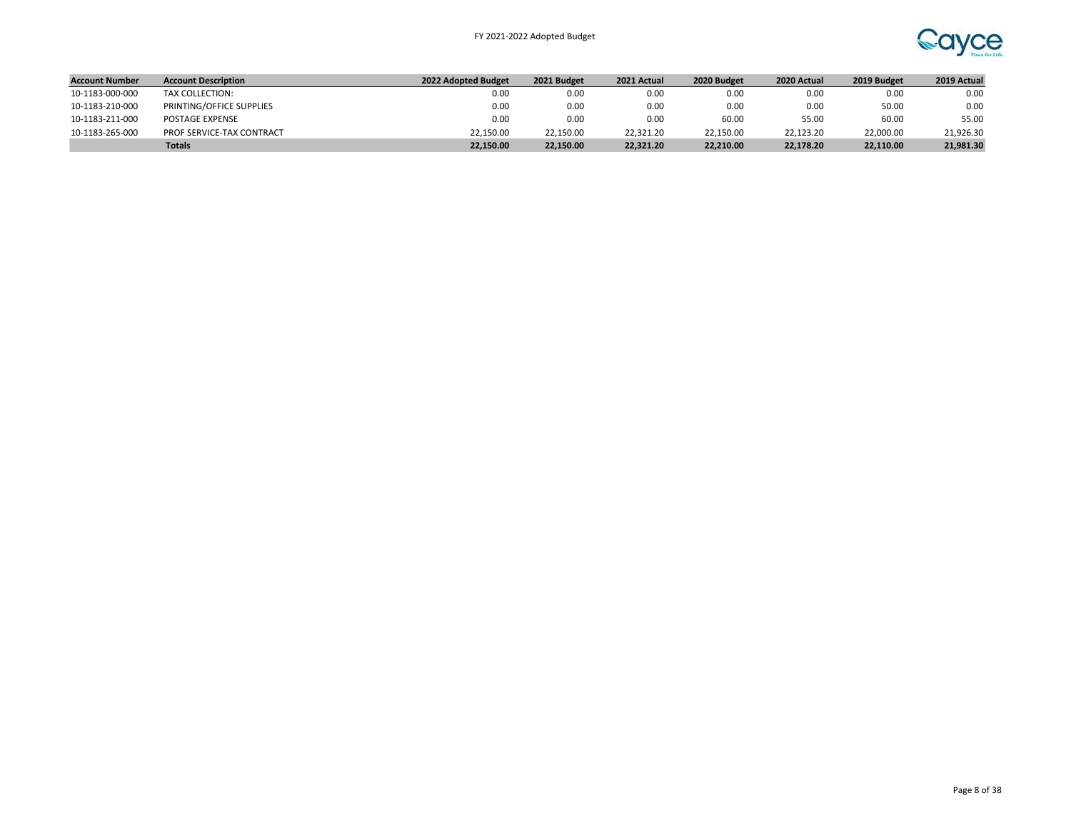

| <b>Account Number</b> | <b>Account Description</b> | 2022 Adopted Budget | 2021 Budget | 2021 Actual | 2020 Budget | 2020 Actual | 2019 Budget | 2019 Actual |
|-----------------------|----------------------------|---------------------|-------------|-------------|-------------|-------------|-------------|-------------|
| 10-1183-000-000       | TAX COLLECTION:            | 0.00                | 0.00        | 0.00        | 0.00        | 0.00        | 0.00        | 0.00        |
| 10-1183-210-000       | PRINTING/OFFICE SUPPLIES   | 0.00                | 0.00        | 0.00        | 0.00        | 0.00        | 50.00       | 0.00        |
| 10-1183-211-000       | POSTAGE EXPENSE            | 0.00                | 0.00        | 0.00        | 60.00       | 55.00       | 60.00       | 55.00       |
| 10-1183-265-000       | PROF SERVICE-TAX CONTRACT  | 22.150.00           | 22.150.00   | 22,321.20   | 22.150.00   | 22.123.20   | 22.000.00   | 21.926.30   |
|                       | <b>Totals</b>              | 22.150.00           | 22.150.00   | 22.321.20   | 22.210.00   | 22.178.20   | 22.110.00   | 21,981.30   |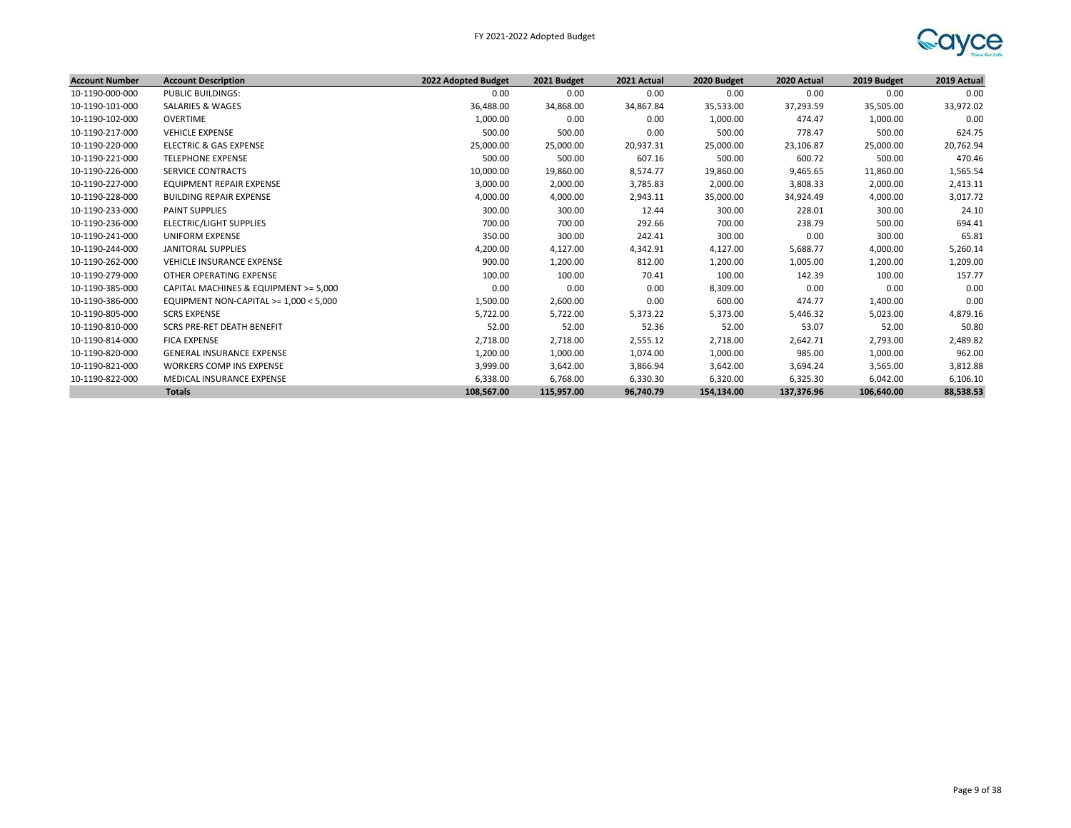FY 2021-2022 Adopted Budget



| <b>Account Number</b> | <b>Account Description</b>               | 2022 Adopted Budget | 2021 Budget | 2021 Actual | 2020 Budget | 2020 Actual | 2019 Budget | 2019 Actual |
|-----------------------|------------------------------------------|---------------------|-------------|-------------|-------------|-------------|-------------|-------------|
| 10-1190-000-000       | <b>PUBLIC BUILDINGS:</b>                 | 0.00                | 0.00        | 0.00        | 0.00        | 0.00        | 0.00        | 0.00        |
| 10-1190-101-000       | <b>SALARIES &amp; WAGES</b>              | 36,488.00           | 34,868.00   | 34,867.84   | 35,533.00   | 37,293.59   | 35,505.00   | 33,972.02   |
| 10-1190-102-000       | OVERTIME                                 | 1,000.00            | 0.00        | 0.00        | 1,000.00    | 474.47      | 1,000.00    | 0.00        |
| 10-1190-217-000       | <b>VEHICLE EXPENSE</b>                   | 500.00              | 500.00      | 0.00        | 500.00      | 778.47      | 500.00      | 624.75      |
| 10-1190-220-000       | <b>ELECTRIC &amp; GAS EXPENSE</b>        | 25,000.00           | 25,000.00   | 20,937.31   | 25,000.00   | 23,106.87   | 25,000.00   | 20,762.94   |
| 10-1190-221-000       | <b>TELEPHONE EXPENSE</b>                 | 500.00              | 500.00      | 607.16      | 500.00      | 600.72      | 500.00      | 470.46      |
| 10-1190-226-000       | <b>SERVICE CONTRACTS</b>                 | 10,000.00           | 19,860.00   | 8,574.77    | 19,860.00   | 9,465.65    | 11,860.00   | 1,565.54    |
| 10-1190-227-000       | EQUIPMENT REPAIR EXPENSE                 | 3,000.00            | 2,000.00    | 3,785.83    | 2,000.00    | 3,808.33    | 2,000.00    | 2,413.11    |
| 10-1190-228-000       | <b>BUILDING REPAIR EXPENSE</b>           | 4,000.00            | 4,000.00    | 2,943.11    | 35,000.00   | 34,924.49   | 4,000.00    | 3,017.72    |
| 10-1190-233-000       | <b>PAINT SUPPLIES</b>                    | 300.00              | 300.00      | 12.44       | 300.00      | 228.01      | 300.00      | 24.10       |
| 10-1190-236-000       | ELECTRIC/LIGHT SUPPLIES                  | 700.00              | 700.00      | 292.66      | 700.00      | 238.79      | 500.00      | 694.41      |
| 10-1190-241-000       | UNIFORM EXPENSE                          | 350.00              | 300.00      | 242.41      | 300.00      | 0.00        | 300.00      | 65.81       |
| 10-1190-244-000       | JANITORAL SUPPLIES                       | 4,200.00            | 4,127.00    | 4,342.91    | 4,127.00    | 5,688.77    | 4,000.00    | 5,260.14    |
| 10-1190-262-000       | <b>VEHICLE INSURANCE EXPENSE</b>         | 900.00              | 1,200.00    | 812.00      | 1,200.00    | 1,005.00    | 1,200.00    | 1,209.00    |
| 10-1190-279-000       | OTHER OPERATING EXPENSE                  | 100.00              | 100.00      | 70.41       | 100.00      | 142.39      | 100.00      | 157.77      |
| 10-1190-385-000       | CAPITAL MACHINES & EQUIPMENT >= 5,000    | 0.00                | 0.00        | 0.00        | 8,309.00    | 0.00        | 0.00        | 0.00        |
| 10-1190-386-000       | EQUIPMENT NON-CAPITAL $>= 1,000 < 5,000$ | 1,500.00            | 2,600.00    | 0.00        | 600.00      | 474.77      | 1,400.00    | 0.00        |
| 10-1190-805-000       | <b>SCRS EXPENSE</b>                      | 5,722.00            | 5,722.00    | 5,373.22    | 5,373.00    | 5,446.32    | 5,023.00    | 4,879.16    |
| 10-1190-810-000       | SCRS PRE-RET DEATH BENEFIT               | 52.00               | 52.00       | 52.36       | 52.00       | 53.07       | 52.00       | 50.80       |
| 10-1190-814-000       | <b>FICA EXPENSE</b>                      | 2,718.00            | 2,718.00    | 2,555.12    | 2,718.00    | 2,642.71    | 2,793.00    | 2,489.82    |
| 10-1190-820-000       | <b>GENERAL INSURANCE EXPENSE</b>         | 1,200.00            | 1,000.00    | 1,074.00    | 1,000.00    | 985.00      | 1,000.00    | 962.00      |
| 10-1190-821-000       | <b>WORKERS COMP INS EXPENSE</b>          | 3,999.00            | 3,642.00    | 3,866.94    | 3,642.00    | 3,694.24    | 3,565.00    | 3,812.88    |
| 10-1190-822-000       | MEDICAL INSURANCE EXPENSE                | 6,338.00            | 6,768.00    | 6,330.30    | 6,320.00    | 6,325.30    | 6,042.00    | 6,106.10    |
|                       | <b>Totals</b>                            | 108.567.00          | 115.957.00  | 96.740.79   | 154.134.00  | 137.376.96  | 106.640.00  | 88,538.53   |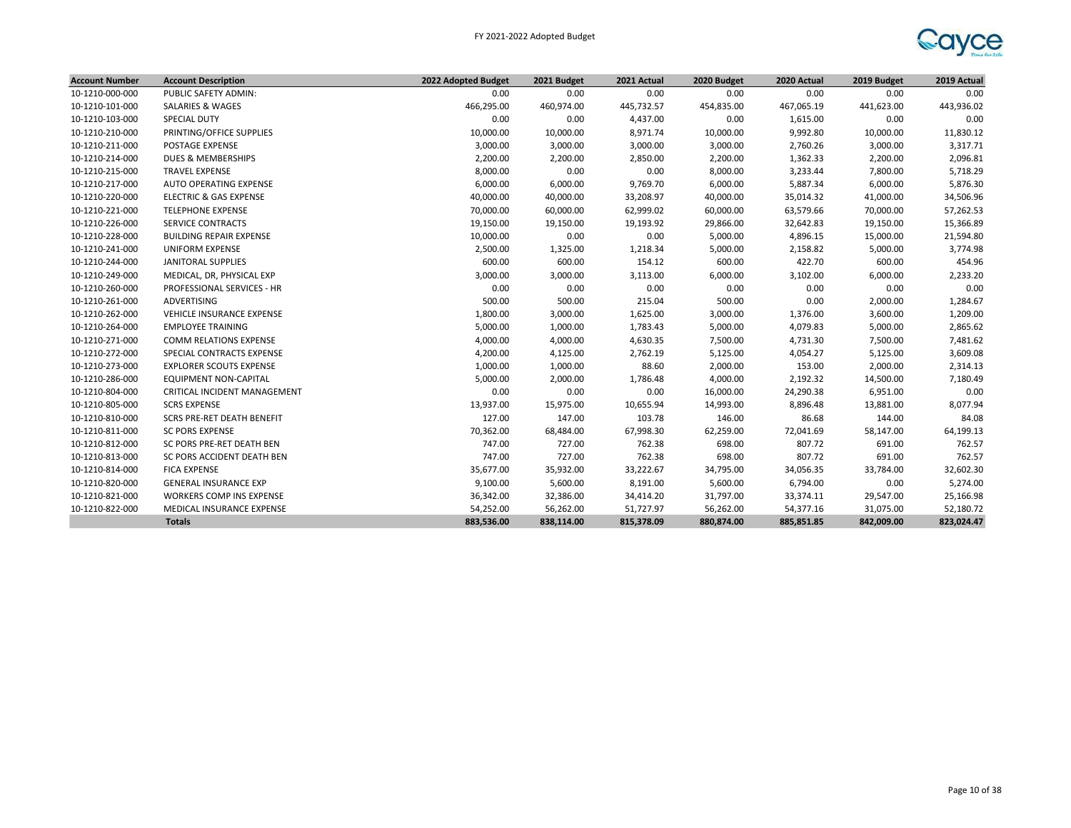

| <b>Account Number</b> | <b>Account Description</b>        | 2022 Adopted Budget | 2021 Budget | 2021 Actual | 2020 Budget | 2020 Actual | 2019 Budget | 2019 Actual |
|-----------------------|-----------------------------------|---------------------|-------------|-------------|-------------|-------------|-------------|-------------|
| 10-1210-000-000       | PUBLIC SAFETY ADMIN:              | 0.00                | 0.00        | 0.00        | 0.00        | 0.00        | 0.00        | 0.00        |
| 10-1210-101-000       | <b>SALARIES &amp; WAGES</b>       | 466,295.00          | 460,974.00  | 445,732.57  | 454,835.00  | 467,065.19  | 441,623.00  | 443,936.02  |
| 10-1210-103-000       | SPECIAL DUTY                      | 0.00                | 0.00        | 4,437.00    | 0.00        | 1,615.00    | 0.00        | 0.00        |
| 10-1210-210-000       | PRINTING/OFFICE SUPPLIES          | 10,000.00           | 10,000.00   | 8,971.74    | 10,000.00   | 9,992.80    | 10,000.00   | 11,830.12   |
| 10-1210-211-000       | POSTAGE EXPENSE                   | 3,000.00            | 3,000.00    | 3,000.00    | 3,000.00    | 2,760.26    | 3,000.00    | 3,317.71    |
| 10-1210-214-000       | DUES & MEMBERSHIPS                | 2,200.00            | 2,200.00    | 2,850.00    | 2,200.00    | 1,362.33    | 2,200.00    | 2,096.81    |
| 10-1210-215-000       | <b>TRAVEL EXPENSE</b>             | 8,000.00            | 0.00        | 0.00        | 8,000.00    | 3,233.44    | 7,800.00    | 5,718.29    |
| 10-1210-217-000       | AUTO OPERATING EXPENSE            | 6,000.00            | 6,000.00    | 9,769.70    | 6,000.00    | 5,887.34    | 6,000.00    | 5,876.30    |
| 10-1210-220-000       | <b>ELECTRIC &amp; GAS EXPENSE</b> | 40,000.00           | 40,000.00   | 33,208.97   | 40,000.00   | 35,014.32   | 41,000.00   | 34,506.96   |
| 10-1210-221-000       | <b>TELEPHONE EXPENSE</b>          | 70,000.00           | 60,000.00   | 62,999.02   | 60,000.00   | 63,579.66   | 70,000.00   | 57,262.53   |
| 10-1210-226-000       | <b>SERVICE CONTRACTS</b>          | 19,150.00           | 19,150.00   | 19,193.92   | 29,866.00   | 32,642.83   | 19,150.00   | 15,366.89   |
| 10-1210-228-000       | <b>BUILDING REPAIR EXPENSE</b>    | 10,000.00           | 0.00        | 0.00        | 5,000.00    | 4,896.15    | 15,000.00   | 21,594.80   |
| 10-1210-241-000       | <b>UNIFORM EXPENSE</b>            | 2,500.00            | 1,325.00    | 1,218.34    | 5,000.00    | 2,158.82    | 5,000.00    | 3,774.98    |
| 10-1210-244-000       | JANITORAL SUPPLIES                | 600.00              | 600.00      | 154.12      | 600.00      | 422.70      | 600.00      | 454.96      |
| 10-1210-249-000       | MEDICAL, DR, PHYSICAL EXP         | 3,000.00            | 3,000.00    | 3,113.00    | 6,000.00    | 3,102.00    | 6,000.00    | 2,233.20    |
| 10-1210-260-000       | PROFESSIONAL SERVICES - HR        | 0.00                | 0.00        | 0.00        | 0.00        | 0.00        | 0.00        | 0.00        |
| 10-1210-261-000       | ADVERTISING                       | 500.00              | 500.00      | 215.04      | 500.00      | 0.00        | 2,000.00    | 1,284.67    |
| 10-1210-262-000       | VEHICLE INSURANCE EXPENSE         | 1,800.00            | 3,000.00    | 1,625.00    | 3,000.00    | 1,376.00    | 3,600.00    | 1,209.00    |
| 10-1210-264-000       | <b>EMPLOYEE TRAINING</b>          | 5,000.00            | 1,000.00    | 1,783.43    | 5,000.00    | 4,079.83    | 5,000.00    | 2,865.62    |
| 10-1210-271-000       | <b>COMM RELATIONS EXPENSE</b>     | 4,000.00            | 4,000.00    | 4,630.35    | 7,500.00    | 4,731.30    | 7,500.00    | 7,481.62    |
| 10-1210-272-000       | SPECIAL CONTRACTS EXPENSE         | 4,200.00            | 4,125.00    | 2,762.19    | 5,125.00    | 4,054.27    | 5,125.00    | 3,609.08    |
| 10-1210-273-000       | <b>EXPLORER SCOUTS EXPENSE</b>    | 1,000.00            | 1,000.00    | 88.60       | 2,000.00    | 153.00      | 2,000.00    | 2,314.13    |
| 10-1210-286-000       | <b>EQUIPMENT NON-CAPITAL</b>      | 5,000.00            | 2,000.00    | 1,786.48    | 4,000.00    | 2,192.32    | 14,500.00   | 7,180.49    |
| 10-1210-804-000       | CRITICAL INCIDENT MANAGEMENT      | 0.00                | 0.00        | 0.00        | 16,000.00   | 24,290.38   | 6,951.00    | 0.00        |
| 10-1210-805-000       | <b>SCRS EXPENSE</b>               | 13,937.00           | 15,975.00   | 10,655.94   | 14,993.00   | 8,896.48    | 13,881.00   | 8,077.94    |
| 10-1210-810-000       | <b>SCRS PRE-RET DEATH BENEFIT</b> | 127.00              | 147.00      | 103.78      | 146.00      | 86.68       | 144.00      | 84.08       |
| 10-1210-811-000       | <b>SC PORS EXPENSE</b>            | 70,362.00           | 68,484.00   | 67,998.30   | 62,259.00   | 72,041.69   | 58,147.00   | 64,199.13   |
| 10-1210-812-000       | SC PORS PRE-RET DEATH BEN         | 747.00              | 727.00      | 762.38      | 698.00      | 807.72      | 691.00      | 762.57      |
| 10-1210-813-000       | SC PORS ACCIDENT DEATH BEN        | 747.00              | 727.00      | 762.38      | 698.00      | 807.72      | 691.00      | 762.57      |
| 10-1210-814-000       | <b>FICA EXPENSE</b>               | 35,677.00           | 35,932.00   | 33,222.67   | 34,795.00   | 34,056.35   | 33,784.00   | 32,602.30   |
| 10-1210-820-000       | <b>GENERAL INSURANCE EXP</b>      | 9,100.00            | 5,600.00    | 8,191.00    | 5,600.00    | 6,794.00    | 0.00        | 5,274.00    |
| 10-1210-821-000       | WORKERS COMP INS EXPENSE          | 36,342.00           | 32,386.00   | 34,414.20   | 31,797.00   | 33,374.11   | 29,547.00   | 25,166.98   |
| 10-1210-822-000       | MEDICAL INSURANCE EXPENSE         | 54,252.00           | 56,262.00   | 51,727.97   | 56,262.00   | 54,377.16   | 31,075.00   | 52,180.72   |
|                       | <b>Totals</b>                     | 883,536.00          | 838,114.00  | 815,378.09  | 880,874.00  | 885,851.85  | 842,009.00  | 823,024.47  |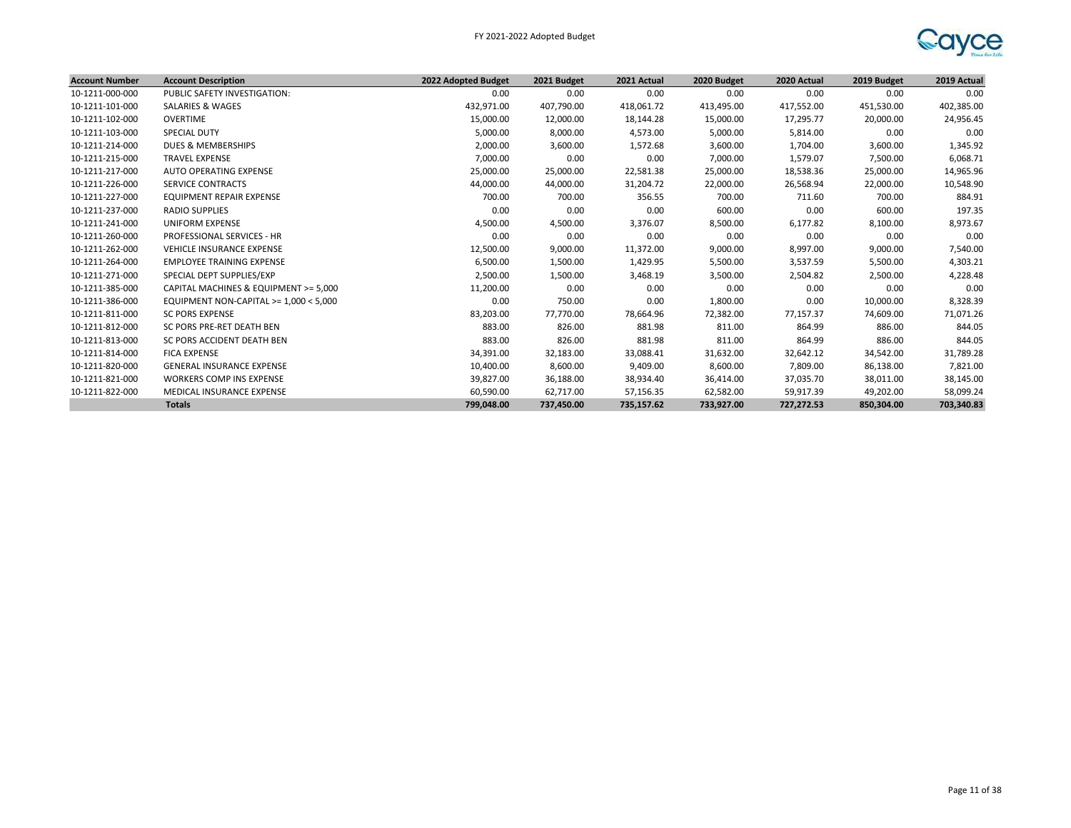

| <b>Account Number</b> | <b>Account Description</b>               | 2022 Adopted Budget | 2021 Budget | 2021 Actual | 2020 Budget | 2020 Actual | 2019 Budget | 2019 Actual |
|-----------------------|------------------------------------------|---------------------|-------------|-------------|-------------|-------------|-------------|-------------|
| 10-1211-000-000       | PUBLIC SAFETY INVESTIGATION:             | 0.00                | 0.00        | 0.00        | 0.00        | 0.00        | 0.00        | 0.00        |
| 10-1211-101-000       | SALARIES & WAGES                         | 432,971.00          | 407,790.00  | 418,061.72  | 413,495.00  | 417,552.00  | 451,530.00  | 402,385.00  |
| 10-1211-102-000       | OVERTIME                                 | 15,000.00           | 12,000.00   | 18,144.28   | 15,000.00   | 17,295.77   | 20,000.00   | 24,956.45   |
| 10-1211-103-000       | <b>SPECIAL DUTY</b>                      | 5,000.00            | 8,000.00    | 4,573.00    | 5,000.00    | 5,814.00    | 0.00        | 0.00        |
| 10-1211-214-000       | <b>DUES &amp; MEMBERSHIPS</b>            | 2,000.00            | 3,600.00    | 1,572.68    | 3,600.00    | 1,704.00    | 3,600.00    | 1,345.92    |
| 10-1211-215-000       | <b>TRAVEL EXPENSE</b>                    | 7,000.00            | 0.00        | 0.00        | 7,000.00    | 1,579.07    | 7,500.00    | 6,068.71    |
| 10-1211-217-000       | <b>AUTO OPERATING EXPENSE</b>            | 25,000.00           | 25,000.00   | 22,581.38   | 25,000.00   | 18,538.36   | 25,000.00   | 14,965.96   |
| 10-1211-226-000       | <b>SERVICE CONTRACTS</b>                 | 44,000.00           | 44,000.00   | 31,204.72   | 22,000.00   | 26,568.94   | 22,000.00   | 10,548.90   |
| 10-1211-227-000       | <b>EQUIPMENT REPAIR EXPENSE</b>          | 700.00              | 700.00      | 356.55      | 700.00      | 711.60      | 700.00      | 884.91      |
| 10-1211-237-000       | <b>RADIO SUPPLIES</b>                    | 0.00                | 0.00        | 0.00        | 600.00      | 0.00        | 600.00      | 197.35      |
| 10-1211-241-000       | UNIFORM EXPENSE                          | 4,500.00            | 4,500.00    | 3,376.07    | 8,500.00    | 6,177.82    | 8,100.00    | 8,973.67    |
| 10-1211-260-000       | PROFESSIONAL SERVICES - HR               | 0.00                | 0.00        | 0.00        | 0.00        | 0.00        | 0.00        | 0.00        |
| 10-1211-262-000       | <b>VEHICLE INSURANCE EXPENSE</b>         | 12,500.00           | 9,000.00    | 11,372.00   | 9,000.00    | 8,997.00    | 9,000.00    | 7,540.00    |
| 10-1211-264-000       | <b>EMPLOYEE TRAINING EXPENSE</b>         | 6,500.00            | 1,500.00    | 1,429.95    | 5,500.00    | 3,537.59    | 5,500.00    | 4,303.21    |
| 10-1211-271-000       | SPECIAL DEPT SUPPLIES/EXP                | 2,500.00            | 1,500.00    | 3,468.19    | 3,500.00    | 2,504.82    | 2,500.00    | 4,228.48    |
| 10-1211-385-000       | CAPITAL MACHINES & EQUIPMENT >= 5.000    | 11,200.00           | 0.00        | 0.00        | 0.00        | 0.00        | 0.00        | 0.00        |
| 10-1211-386-000       | EQUIPMENT NON-CAPITAL $>= 1,000 < 5,000$ | 0.00                | 750.00      | 0.00        | 1,800.00    | 0.00        | 10,000.00   | 8,328.39    |
| 10-1211-811-000       | <b>SC PORS EXPENSE</b>                   | 83,203.00           | 77,770.00   | 78,664.96   | 72,382.00   | 77,157.37   | 74,609.00   | 71,071.26   |
| 10-1211-812-000       | SC PORS PRE-RET DEATH BEN                | 883.00              | 826.00      | 881.98      | 811.00      | 864.99      | 886.00      | 844.05      |
| 10-1211-813-000       | SC PORS ACCIDENT DEATH BEN               | 883.00              | 826.00      | 881.98      | 811.00      | 864.99      | 886.00      | 844.05      |
| 10-1211-814-000       | <b>FICA EXPENSE</b>                      | 34,391.00           | 32,183.00   | 33,088.41   | 31,632.00   | 32,642.12   | 34,542.00   | 31,789.28   |
| 10-1211-820-000       | <b>GENERAL INSURANCE EXPENSE</b>         | 10,400.00           | 8,600.00    | 9,409.00    | 8,600.00    | 7,809.00    | 86,138.00   | 7,821.00    |
| 10-1211-821-000       | <b>WORKERS COMP INS EXPENSE</b>          | 39,827.00           | 36,188.00   | 38,934.40   | 36,414.00   | 37,035.70   | 38,011.00   | 38,145.00   |
| 10-1211-822-000       | MEDICAL INSURANCE EXPENSE                | 60,590.00           | 62,717.00   | 57,156.35   | 62,582.00   | 59,917.39   | 49,202.00   | 58,099.24   |
|                       | <b>Totals</b>                            | 799,048.00          | 737,450.00  | 735,157.62  | 733,927.00  | 727,272.53  | 850,304.00  | 703,340.83  |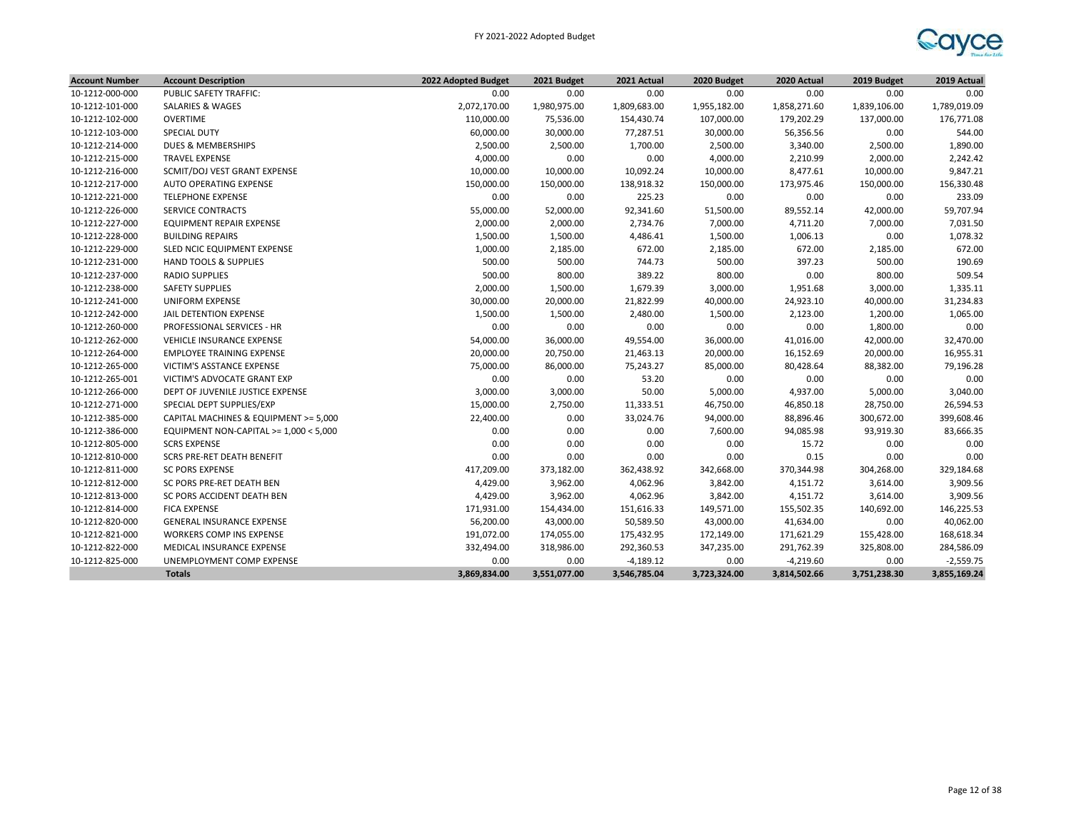| <b>Account Number</b> | <b>Account Description</b>             | 2022 Adopted Budget | 2021 Budget  | 2021 Actual  | 2020 Budget  | 2020 Actual  | 2019 Budget  | 2019 Actual  |
|-----------------------|----------------------------------------|---------------------|--------------|--------------|--------------|--------------|--------------|--------------|
| 10-1212-000-000       | PUBLIC SAFETY TRAFFIC:                 | 0.00                | 0.00         | 0.00         | 0.00         | 0.00         | 0.00         | 0.00         |
| 10-1212-101-000       | SALARIES & WAGES                       | 2,072,170.00        | 1,980,975.00 | 1,809,683.00 | 1,955,182.00 | 1,858,271.60 | 1,839,106.00 | 1,789,019.09 |
| 10-1212-102-000       | OVERTIME                               | 110,000.00          | 75,536.00    | 154,430.74   | 107,000.00   | 179,202.29   | 137,000.00   | 176,771.08   |
| 10-1212-103-000       | <b>SPECIAL DUTY</b>                    | 60,000.00           | 30,000.00    | 77,287.51    | 30,000.00    | 56,356.56    | 0.00         | 544.00       |
| 10-1212-214-000       | <b>DUES &amp; MEMBERSHIPS</b>          | 2,500.00            | 2,500.00     | 1,700.00     | 2,500.00     | 3,340.00     | 2,500.00     | 1,890.00     |
| 10-1212-215-000       | <b>TRAVEL EXPENSE</b>                  | 4,000.00            | 0.00         | 0.00         | 4,000.00     | 2,210.99     | 2,000.00     | 2,242.42     |
| 10-1212-216-000       | SCMIT/DOJ VEST GRANT EXPENSE           | 10,000.00           | 10,000.00    | 10,092.24    | 10,000.00    | 8,477.61     | 10,000.00    | 9,847.21     |
| 10-1212-217-000       | <b>AUTO OPERATING EXPENSE</b>          | 150,000.00          | 150,000.00   | 138,918.32   | 150,000.00   | 173,975.46   | 150,000.00   | 156,330.48   |
| 10-1212-221-000       | <b>TELEPHONE EXPENSE</b>               | 0.00                | 0.00         | 225.23       | 0.00         | 0.00         | 0.00         | 233.09       |
| 10-1212-226-000       | SERVICE CONTRACTS                      | 55,000.00           | 52,000.00    | 92,341.60    | 51,500.00    | 89,552.14    | 42,000.00    | 59,707.94    |
| 10-1212-227-000       | EQUIPMENT REPAIR EXPENSE               | 2,000.00            | 2,000.00     | 2,734.76     | 7,000.00     | 4,711.20     | 7,000.00     | 7,031.50     |
| 10-1212-228-000       | <b>BUILDING REPAIRS</b>                | 1,500.00            | 1,500.00     | 4,486.41     | 1,500.00     | 1,006.13     | 0.00         | 1,078.32     |
| 10-1212-229-000       | SLED NCIC EQUIPMENT EXPENSE            | 1,000.00            | 2,185.00     | 672.00       | 2,185.00     | 672.00       | 2,185.00     | 672.00       |
| 10-1212-231-000       | <b>HAND TOOLS &amp; SUPPLIES</b>       | 500.00              | 500.00       | 744.73       | 500.00       | 397.23       | 500.00       | 190.69       |
| 10-1212-237-000       | <b>RADIO SUPPLIES</b>                  | 500.00              | 800.00       | 389.22       | 800.00       | 0.00         | 800.00       | 509.54       |
| 10-1212-238-000       | <b>SAFETY SUPPLIES</b>                 | 2,000.00            | 1,500.00     | 1,679.39     | 3,000.00     | 1,951.68     | 3,000.00     | 1,335.11     |
| 10-1212-241-000       | UNIFORM EXPENSE                        | 30,000.00           | 20,000.00    | 21,822.99    | 40,000.00    | 24,923.10    | 40,000.00    | 31,234.83    |
| 10-1212-242-000       | JAIL DETENTION EXPENSE                 | 1,500.00            | 1,500.00     | 2,480.00     | 1,500.00     | 2,123.00     | 1,200.00     | 1,065.00     |
| 10-1212-260-000       | PROFESSIONAL SERVICES - HR             | 0.00                | 0.00         | 0.00         | 0.00         | 0.00         | 1,800.00     | 0.00         |
| 10-1212-262-000       | VEHICLE INSURANCE EXPENSE              | 54,000.00           | 36,000.00    | 49,554.00    | 36,000.00    | 41,016.00    | 42,000.00    | 32,470.00    |
| 10-1212-264-000       | <b>EMPLOYEE TRAINING EXPENSE</b>       | 20,000.00           | 20,750.00    | 21,463.13    | 20,000.00    | 16,152.69    | 20,000.00    | 16,955.31    |
| 10-1212-265-000       | VICTIM'S ASSTANCE EXPENSE              | 75,000.00           | 86,000.00    | 75,243.27    | 85,000.00    | 80,428.64    | 88,382.00    | 79,196.28    |
| 10-1212-265-001       | VICTIM'S ADVOCATE GRANT EXP            | 0.00                | 0.00         | 53.20        | 0.00         | 0.00         | 0.00         | 0.00         |
| 10-1212-266-000       | DEPT OF JUVENILE JUSTICE EXPENSE       | 3,000.00            | 3,000.00     | 50.00        | 5,000.00     | 4,937.00     | 5,000.00     | 3,040.00     |
| 10-1212-271-000       | SPECIAL DEPT SUPPLIES/EXP              | 15,000.00           | 2,750.00     | 11,333.51    | 46,750.00    | 46,850.18    | 28,750.00    | 26,594.53    |
| 10-1212-385-000       | CAPITAL MACHINES & EQUIPMENT >= 5,000  | 22,400.00           | 0.00         | 33,024.76    | 94,000.00    | 88,896.46    | 300,672.00   | 399,608.46   |
| 10-1212-386-000       | EQUIPMENT NON-CAPITAL >= 1,000 < 5,000 | 0.00                | 0.00         | 0.00         | 7,600.00     | 94,085.98    | 93,919.30    | 83,666.35    |
| 10-1212-805-000       | <b>SCRS EXPENSE</b>                    | 0.00                | 0.00         | 0.00         | 0.00         | 15.72        | 0.00         | 0.00         |
| 10-1212-810-000       | SCRS PRE-RET DEATH BENEFIT             | 0.00                | 0.00         | 0.00         | 0.00         | 0.15         | 0.00         | 0.00         |
| 10-1212-811-000       | <b>SC PORS EXPENSE</b>                 | 417,209.00          | 373,182.00   | 362,438.92   | 342,668.00   | 370,344.98   | 304,268.00   | 329,184.68   |
| 10-1212-812-000       | SC PORS PRE-RET DEATH BEN              | 4,429.00            | 3,962.00     | 4,062.96     | 3,842.00     | 4,151.72     | 3,614.00     | 3,909.56     |
| 10-1212-813-000       | SC PORS ACCIDENT DEATH BEN             | 4,429.00            | 3,962.00     | 4,062.96     | 3,842.00     | 4,151.72     | 3,614.00     | 3,909.56     |
| 10-1212-814-000       | <b>FICA EXPENSE</b>                    | 171,931.00          | 154,434.00   | 151,616.33   | 149,571.00   | 155,502.35   | 140,692.00   | 146,225.53   |
| 10-1212-820-000       | <b>GENERAL INSURANCE EXPENSE</b>       | 56,200.00           | 43,000.00    | 50,589.50    | 43,000.00    | 41,634.00    | 0.00         | 40,062.00    |
| 10-1212-821-000       | WORKERS COMP INS EXPENSE               | 191,072.00          | 174,055.00   | 175,432.95   | 172,149.00   | 171,621.29   | 155,428.00   | 168,618.34   |
| 10-1212-822-000       | MEDICAL INSURANCE EXPENSE              | 332,494.00          | 318,986.00   | 292,360.53   | 347,235.00   | 291,762.39   | 325,808.00   | 284,586.09   |
| 10-1212-825-000       | UNEMPLOYMENT COMP EXPENSE              | 0.00                | 0.00         | $-4,189.12$  | 0.00         | $-4,219.60$  | 0.00         | $-2,559.75$  |
|                       | <b>Totals</b>                          | 3,869,834.00        | 3,551,077.00 | 3,546,785.04 | 3,723,324.00 | 3,814,502.66 | 3,751,238.30 | 3,855,169.24 |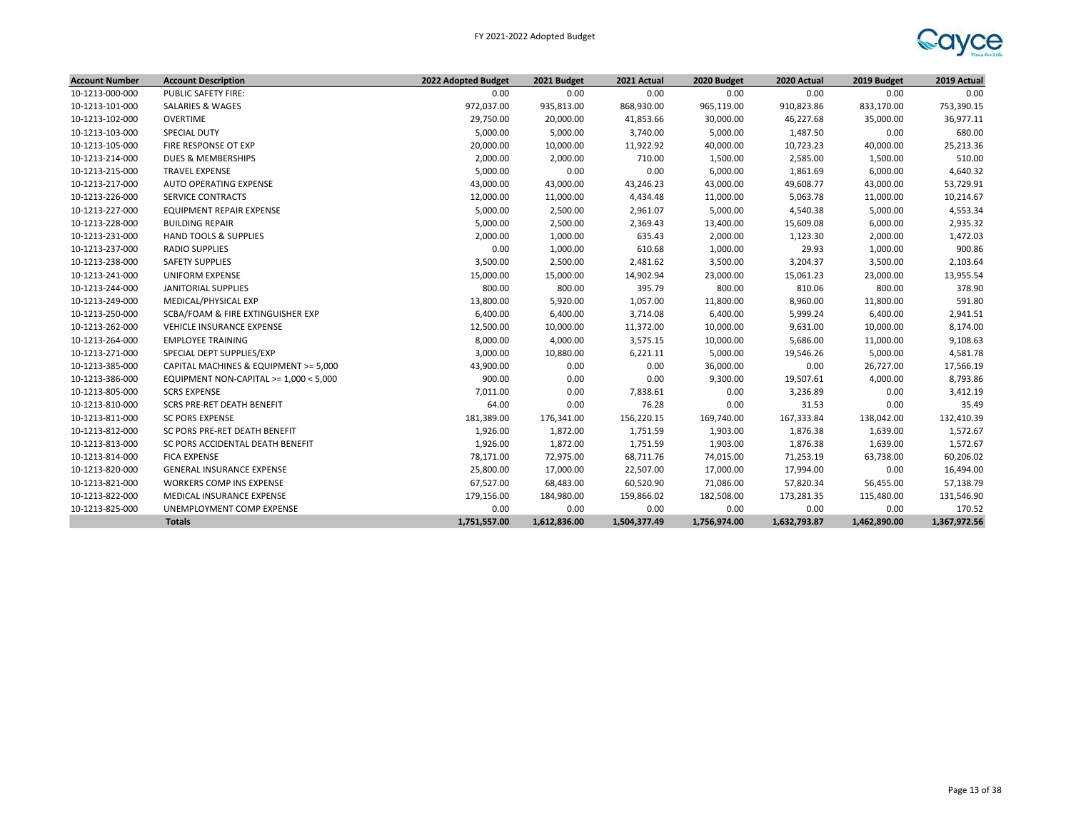

| <b>Account Number</b> | <b>Account Description</b>             | 2022 Adopted Budget | 2021 Budget  | 2021 Actual  | 2020 Budget  | 2020 Actual  | 2019 Budget  | 2019 Actual  |
|-----------------------|----------------------------------------|---------------------|--------------|--------------|--------------|--------------|--------------|--------------|
| 10-1213-000-000       | PUBLIC SAFETY FIRE:                    | 0.00                | 0.00         | 0.00         | 0.00         | 0.00         | 0.00         | 0.00         |
| 10-1213-101-000       | <b>SALARIES &amp; WAGES</b>            | 972,037.00          | 935,813.00   | 868,930.00   | 965,119.00   | 910,823.86   | 833,170.00   | 753,390.15   |
| 10-1213-102-000       | OVERTIME                               | 29,750.00           | 20,000.00    | 41,853.66    | 30,000.00    | 46,227.68    | 35,000.00    | 36,977.11    |
| 10-1213-103-000       | <b>SPECIAL DUTY</b>                    | 5,000.00            | 5,000.00     | 3,740.00     | 5,000.00     | 1,487.50     | 0.00         | 680.00       |
| 10-1213-105-000       | FIRE RESPONSE OT EXP                   | 20,000.00           | 10,000.00    | 11,922.92    | 40,000.00    | 10,723.23    | 40,000.00    | 25,213.36    |
| 10-1213-214-000       | <b>DUES &amp; MEMBERSHIPS</b>          | 2,000.00            | 2,000.00     | 710.00       | 1,500.00     | 2,585.00     | 1,500.00     | 510.00       |
| 10-1213-215-000       | <b>TRAVEL EXPENSE</b>                  | 5,000.00            | 0.00         | 0.00         | 6,000.00     | 1,861.69     | 6,000.00     | 4,640.32     |
| 10-1213-217-000       | AUTO OPERATING EXPENSE                 | 43,000.00           | 43,000.00    | 43,246.23    | 43,000.00    | 49,608.77    | 43,000.00    | 53,729.91    |
| 10-1213-226-000       | <b>SERVICE CONTRACTS</b>               | 12,000.00           | 11,000.00    | 4,434.48     | 11,000.00    | 5,063.78     | 11,000.00    | 10,214.67    |
| 10-1213-227-000       | <b>EQUIPMENT REPAIR EXPENSE</b>        | 5,000.00            | 2,500.00     | 2,961.07     | 5,000.00     | 4,540.38     | 5,000.00     | 4,553.34     |
| 10-1213-228-000       | <b>BUILDING REPAIR</b>                 | 5,000.00            | 2,500.00     | 2,369.43     | 13,400.00    | 15,609.08    | 6,000.00     | 2,935.32     |
| 10-1213-231-000       | <b>HAND TOOLS &amp; SUPPLIES</b>       | 2,000.00            | 1,000.00     | 635.43       | 2,000.00     | 1,123.30     | 2,000.00     | 1,472.03     |
| 10-1213-237-000       | <b>RADIO SUPPLIES</b>                  | 0.00                | 1,000.00     | 610.68       | 1,000.00     | 29.93        | 1,000.00     | 900.86       |
| 10-1213-238-000       | <b>SAFETY SUPPLIES</b>                 | 3,500.00            | 2,500.00     | 2,481.62     | 3,500.00     | 3,204.37     | 3,500.00     | 2,103.64     |
| 10-1213-241-000       | UNIFORM EXPENSE                        | 15,000.00           | 15,000.00    | 14,902.94    | 23,000.00    | 15,061.23    | 23,000.00    | 13,955.54    |
| 10-1213-244-000       | <b>JANITORIAL SUPPLIES</b>             | 800.00              | 800.00       | 395.79       | 800.00       | 810.06       | 800.00       | 378.90       |
| 10-1213-249-000       | MEDICAL/PHYSICAL EXP                   | 13,800.00           | 5,920.00     | 1,057.00     | 11,800.00    | 8,960.00     | 11,800.00    | 591.80       |
| 10-1213-250-000       | SCBA/FOAM & FIRE EXTINGUISHER EXP      | 6,400.00            | 6,400.00     | 3,714.08     | 6,400.00     | 5,999.24     | 6,400.00     | 2,941.51     |
| 10-1213-262-000       | <b>VEHICLE INSURANCE EXPENSE</b>       | 12,500.00           | 10,000.00    | 11,372.00    | 10,000.00    | 9,631.00     | 10,000.00    | 8,174.00     |
| 10-1213-264-000       | <b>EMPLOYEE TRAINING</b>               | 8,000.00            | 4,000.00     | 3,575.15     | 10,000.00    | 5,686.00     | 11,000.00    | 9,108.63     |
| 10-1213-271-000       | SPECIAL DEPT SUPPLIES/EXP              | 3,000.00            | 10,880.00    | 6,221.11     | 5,000.00     | 19,546.26    | 5,000.00     | 4,581.78     |
| 10-1213-385-000       | CAPITAL MACHINES & EQUIPMENT >= 5,000  | 43,900.00           | 0.00         | 0.00         | 36,000.00    | 0.00         | 26,727.00    | 17,566.19    |
| 10-1213-386-000       | EQUIPMENT NON-CAPITAL >= 1,000 < 5,000 | 900.00              | 0.00         | 0.00         | 9,300.00     | 19,507.61    | 4,000.00     | 8,793.86     |
| 10-1213-805-000       | <b>SCRS EXPENSE</b>                    | 7,011.00            | 0.00         | 7,838.61     | 0.00         | 3,236.89     | 0.00         | 3,412.19     |
| 10-1213-810-000       | <b>SCRS PRE-RET DEATH BENEFIT</b>      | 64.00               | 0.00         | 76.28        | 0.00         | 31.53        | 0.00         | 35.49        |
| 10-1213-811-000       | <b>SC PORS EXPENSE</b>                 | 181,389.00          | 176,341.00   | 156,220.15   | 169,740.00   | 167,333.84   | 138,042.00   | 132,410.39   |
| 10-1213-812-000       | SC PORS PRE-RET DEATH BENEFIT          | 1,926.00            | 1,872.00     | 1,751.59     | 1,903.00     | 1,876.38     | 1,639.00     | 1,572.67     |
| 10-1213-813-000       | SC PORS ACCIDENTAL DEATH BENEFIT       | 1,926.00            | 1,872.00     | 1,751.59     | 1,903.00     | 1,876.38     | 1,639.00     | 1,572.67     |
| 10-1213-814-000       | <b>FICA EXPENSE</b>                    | 78,171.00           | 72,975.00    | 68,711.76    | 74,015.00    | 71,253.19    | 63,738.00    | 60,206.02    |
| 10-1213-820-000       | <b>GENERAL INSURANCE EXPENSE</b>       | 25,800.00           | 17,000.00    | 22,507.00    | 17,000.00    | 17,994.00    | 0.00         | 16,494.00    |
| 10-1213-821-000       | WORKERS COMP INS EXPENSE               | 67,527.00           | 68,483.00    | 60,520.90    | 71,086.00    | 57,820.34    | 56,455.00    | 57,138.79    |
| 10-1213-822-000       | MEDICAL INSURANCE EXPENSE              | 179,156.00          | 184,980.00   | 159,866.02   | 182,508.00   | 173,281.35   | 115,480.00   | 131,546.90   |
| 10-1213-825-000       | UNEMPLOYMENT COMP EXPENSE              | 0.00                | 0.00         | 0.00         | 0.00         | 0.00         | 0.00         | 170.52       |
|                       | <b>Totals</b>                          | 1,751,557.00        | 1,612,836.00 | 1,504,377.49 | 1,756,974.00 | 1,632,793.87 | 1,462,890.00 | 1,367,972.56 |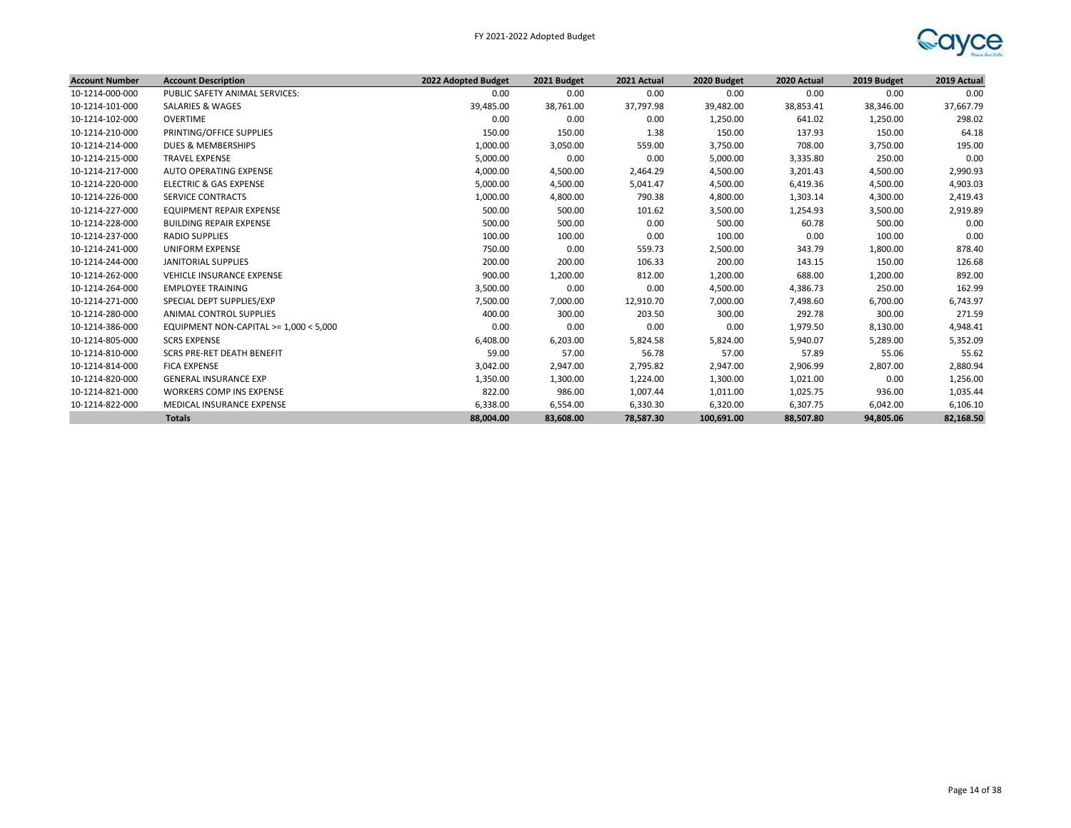

| <b>Account Number</b> | <b>Account Description</b>               | 2022 Adopted Budget | 2021 Budget | 2021 Actual | 2020 Budget | 2020 Actual | 2019 Budget | 2019 Actual |
|-----------------------|------------------------------------------|---------------------|-------------|-------------|-------------|-------------|-------------|-------------|
| 10-1214-000-000       | PUBLIC SAFETY ANIMAL SERVICES:           | 0.00                | 0.00        | 0.00        | 0.00        | 0.00        | 0.00        | 0.00        |
| 10-1214-101-000       | SALARIES & WAGES                         | 39,485.00           | 38,761.00   | 37,797.98   | 39,482.00   | 38,853.41   | 38,346.00   | 37,667.79   |
| 10-1214-102-000       | OVERTIME                                 | 0.00                | 0.00        | 0.00        | 1,250.00    | 641.02      | 1,250.00    | 298.02      |
| 10-1214-210-000       | PRINTING/OFFICE SUPPLIES                 | 150.00              | 150.00      | 1.38        | 150.00      | 137.93      | 150.00      | 64.18       |
| 10-1214-214-000       | DUES & MEMBERSHIPS                       | 1,000.00            | 3,050.00    | 559.00      | 3,750.00    | 708.00      | 3,750.00    | 195.00      |
| 10-1214-215-000       | <b>TRAVEL EXPENSE</b>                    | 5,000.00            | 0.00        | 0.00        | 5,000.00    | 3,335.80    | 250.00      | 0.00        |
| 10-1214-217-000       | AUTO OPERATING EXPENSE                   | 4,000.00            | 4,500.00    | 2,464.29    | 4,500.00    | 3,201.43    | 4,500.00    | 2,990.93    |
| 10-1214-220-000       | ELECTRIC & GAS EXPENSE                   | 5,000.00            | 4,500.00    | 5,041.47    | 4,500.00    | 6,419.36    | 4,500.00    | 4,903.03    |
| 10-1214-226-000       | <b>SERVICE CONTRACTS</b>                 | 1,000.00            | 4,800.00    | 790.38      | 4,800.00    | 1,303.14    | 4,300.00    | 2,419.43    |
| 10-1214-227-000       | EQUIPMENT REPAIR EXPENSE                 | 500.00              | 500.00      | 101.62      | 3,500.00    | 1,254.93    | 3,500.00    | 2,919.89    |
| 10-1214-228-000       | <b>BUILDING REPAIR EXPENSE</b>           | 500.00              | 500.00      | 0.00        | 500.00      | 60.78       | 500.00      | 0.00        |
| 10-1214-237-000       | <b>RADIO SUPPLIES</b>                    | 100.00              | 100.00      | 0.00        | 100.00      | 0.00        | 100.00      | 0.00        |
| 10-1214-241-000       | UNIFORM EXPENSE                          | 750.00              | 0.00        | 559.73      | 2,500.00    | 343.79      | 1,800.00    | 878.40      |
| 10-1214-244-000       | <b>JANITORIAL SUPPLIES</b>               | 200.00              | 200.00      | 106.33      | 200.00      | 143.15      | 150.00      | 126.68      |
| 10-1214-262-000       | <b>VEHICLE INSURANCE EXPENSE</b>         | 900.00              | 1,200.00    | 812.00      | 1,200.00    | 688.00      | 1,200.00    | 892.00      |
| 10-1214-264-000       | <b>EMPLOYEE TRAINING</b>                 | 3,500.00            | 0.00        | 0.00        | 4,500.00    | 4,386.73    | 250.00      | 162.99      |
| 10-1214-271-000       | SPECIAL DEPT SUPPLIES/EXP                | 7,500.00            | 7,000.00    | 12,910.70   | 7,000.00    | 7,498.60    | 6,700.00    | 6,743.97    |
| 10-1214-280-000       | <b>ANIMAL CONTROL SUPPLIES</b>           | 400.00              | 300.00      | 203.50      | 300.00      | 292.78      | 300.00      | 271.59      |
| 10-1214-386-000       | EQUIPMENT NON-CAPITAL $>= 1,000 < 5,000$ | 0.00                | 0.00        | 0.00        | 0.00        | 1,979.50    | 8,130.00    | 4,948.41    |
| 10-1214-805-000       | <b>SCRS EXPENSE</b>                      | 6,408.00            | 6,203.00    | 5,824.58    | 5,824.00    | 5,940.07    | 5,289.00    | 5,352.09    |
| 10-1214-810-000       | SCRS PRE-RET DEATH BENEFIT               | 59.00               | 57.00       | 56.78       | 57.00       | 57.89       | 55.06       | 55.62       |
| 10-1214-814-000       | <b>FICA EXPENSE</b>                      | 3,042.00            | 2,947.00    | 2,795.82    | 2,947.00    | 2,906.99    | 2,807.00    | 2,880.94    |
| 10-1214-820-000       | <b>GENERAL INSURANCE EXP</b>             | 1,350.00            | 1,300.00    | 1,224.00    | 1,300.00    | 1,021.00    | 0.00        | 1,256.00    |
| 10-1214-821-000       | <b>WORKERS COMP INS EXPENSE</b>          | 822.00              | 986.00      | 1,007.44    | 1,011.00    | 1,025.75    | 936.00      | 1,035.44    |
| 10-1214-822-000       | MEDICAL INSURANCE EXPENSE                | 6,338.00            | 6,554.00    | 6,330.30    | 6,320.00    | 6,307.75    | 6,042.00    | 6,106.10    |
|                       | <b>Totals</b>                            | 88,004.00           | 83,608.00   | 78.587.30   | 100.691.00  | 88.507.80   | 94.805.06   | 82,168.50   |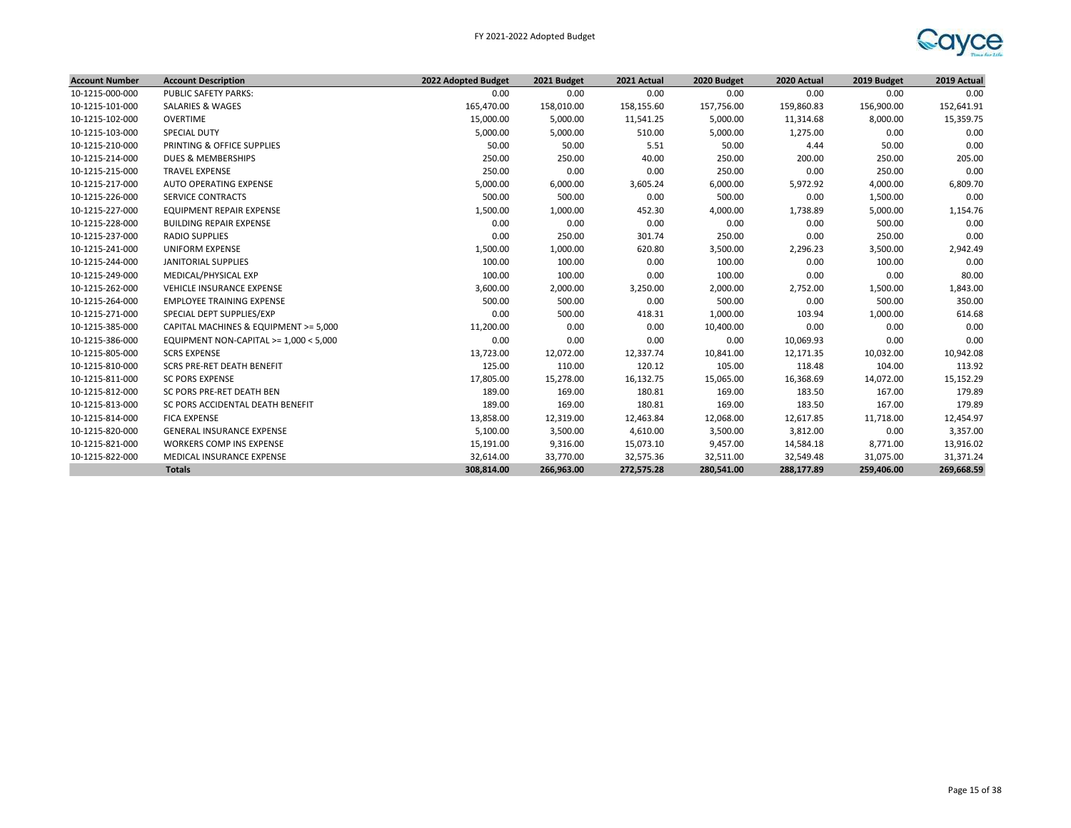

| <b>Account Number</b> | <b>Account Description</b>             | 2022 Adopted Budget | 2021 Budget | 2021 Actual | 2020 Budget | 2020 Actual | 2019 Budget | 2019 Actual |
|-----------------------|----------------------------------------|---------------------|-------------|-------------|-------------|-------------|-------------|-------------|
| 10-1215-000-000       | PUBLIC SAFETY PARKS:                   | 0.00                | 0.00        | 0.00        | 0.00        | 0.00        | 0.00        | 0.00        |
| 10-1215-101-000       | <b>SALARIES &amp; WAGES</b>            | 165,470.00          | 158,010.00  | 158,155.60  | 157,756.00  | 159,860.83  | 156,900.00  | 152,641.91  |
| 10-1215-102-000       | <b>OVERTIME</b>                        | 15,000.00           | 5,000.00    | 11,541.25   | 5,000.00    | 11,314.68   | 8,000.00    | 15,359.75   |
| 10-1215-103-000       | <b>SPECIAL DUTY</b>                    | 5,000.00            | 5,000.00    | 510.00      | 5,000.00    | 1,275.00    | 0.00        | 0.00        |
| 10-1215-210-000       | PRINTING & OFFICE SUPPLIES             | 50.00               | 50.00       | 5.51        | 50.00       | 4.44        | 50.00       | 0.00        |
| 10-1215-214-000       | DUES & MEMBERSHIPS                     | 250.00              | 250.00      | 40.00       | 250.00      | 200.00      | 250.00      | 205.00      |
| 10-1215-215-000       | <b>TRAVEL EXPENSE</b>                  | 250.00              | 0.00        | 0.00        | 250.00      | 0.00        | 250.00      | 0.00        |
| 10-1215-217-000       | AUTO OPERATING EXPENSE                 | 5,000.00            | 6,000.00    | 3,605.24    | 6,000.00    | 5,972.92    | 4,000.00    | 6,809.70    |
| 10-1215-226-000       | <b>SERVICE CONTRACTS</b>               | 500.00              | 500.00      | 0.00        | 500.00      | 0.00        | 1,500.00    | 0.00        |
| 10-1215-227-000       | EQUIPMENT REPAIR EXPENSE               | 1,500.00            | 1,000.00    | 452.30      | 4,000.00    | 1,738.89    | 5,000.00    | 1,154.76    |
| 10-1215-228-000       | <b>BUILDING REPAIR EXPENSE</b>         | 0.00                | 0.00        | 0.00        | 0.00        | 0.00        | 500.00      | 0.00        |
| 10-1215-237-000       | <b>RADIO SUPPLIES</b>                  | 0.00                | 250.00      | 301.74      | 250.00      | 0.00        | 250.00      | 0.00        |
| 10-1215-241-000       | <b>UNIFORM EXPENSE</b>                 | 1,500.00            | 1,000.00    | 620.80      | 3,500.00    | 2,296.23    | 3,500.00    | 2,942.49    |
| 10-1215-244-000       | <b>JANITORIAL SUPPLIES</b>             | 100.00              | 100.00      | 0.00        | 100.00      | 0.00        | 100.00      | 0.00        |
| 10-1215-249-000       | MEDICAL/PHYSICAL EXP                   | 100.00              | 100.00      | 0.00        | 100.00      | 0.00        | 0.00        | 80.00       |
| 10-1215-262-000       | <b>VEHICLE INSURANCE EXPENSE</b>       | 3,600.00            | 2,000.00    | 3,250.00    | 2,000.00    | 2,752.00    | 1,500.00    | 1,843.00    |
| 10-1215-264-000       | <b>EMPLOYEE TRAINING EXPENSE</b>       | 500.00              | 500.00      | 0.00        | 500.00      | 0.00        | 500.00      | 350.00      |
| 10-1215-271-000       | SPECIAL DEPT SUPPLIES/EXP              | 0.00                | 500.00      | 418.31      | 1,000.00    | 103.94      | 1,000.00    | 614.68      |
| 10-1215-385-000       | CAPITAL MACHINES & EQUIPMENT >= 5,000  | 11,200.00           | 0.00        | 0.00        | 10,400.00   | 0.00        | 0.00        | 0.00        |
| 10-1215-386-000       | EQUIPMENT NON-CAPITAL >= 1,000 < 5,000 | 0.00                | 0.00        | 0.00        | 0.00        | 10,069.93   | 0.00        | 0.00        |
| 10-1215-805-000       | <b>SCRS EXPENSE</b>                    | 13,723.00           | 12,072.00   | 12,337.74   | 10,841.00   | 12,171.35   | 10,032.00   | 10,942.08   |
| 10-1215-810-000       | <b>SCRS PRE-RET DEATH BENEFIT</b>      | 125.00              | 110.00      | 120.12      | 105.00      | 118.48      | 104.00      | 113.92      |
| 10-1215-811-000       | <b>SC PORS EXPENSE</b>                 | 17,805.00           | 15,278.00   | 16,132.75   | 15,065.00   | 16,368.69   | 14,072.00   | 15,152.29   |
| 10-1215-812-000       | SC PORS PRE-RET DEATH BEN              | 189.00              | 169.00      | 180.81      | 169.00      | 183.50      | 167.00      | 179.89      |
| 10-1215-813-000       | SC PORS ACCIDENTAL DEATH BENEFIT       | 189.00              | 169.00      | 180.81      | 169.00      | 183.50      | 167.00      | 179.89      |
| 10-1215-814-000       | <b>FICA EXPENSE</b>                    | 13,858.00           | 12,319.00   | 12,463.84   | 12,068.00   | 12,617.85   | 11,718.00   | 12,454.97   |
| 10-1215-820-000       | <b>GENERAL INSURANCE EXPENSE</b>       | 5,100.00            | 3,500.00    | 4,610.00    | 3,500.00    | 3,812.00    | 0.00        | 3,357.00    |
| 10-1215-821-000       | <b>WORKERS COMP INS EXPENSE</b>        | 15,191.00           | 9,316.00    | 15,073.10   | 9,457.00    | 14,584.18   | 8,771.00    | 13,916.02   |
| 10-1215-822-000       | MEDICAL INSURANCE EXPENSE              | 32,614.00           | 33,770.00   | 32,575.36   | 32,511.00   | 32,549.48   | 31,075.00   | 31,371.24   |
|                       | <b>Totals</b>                          | 308,814.00          | 266,963.00  | 272,575.28  | 280,541.00  | 288.177.89  | 259,406.00  | 269,668.59  |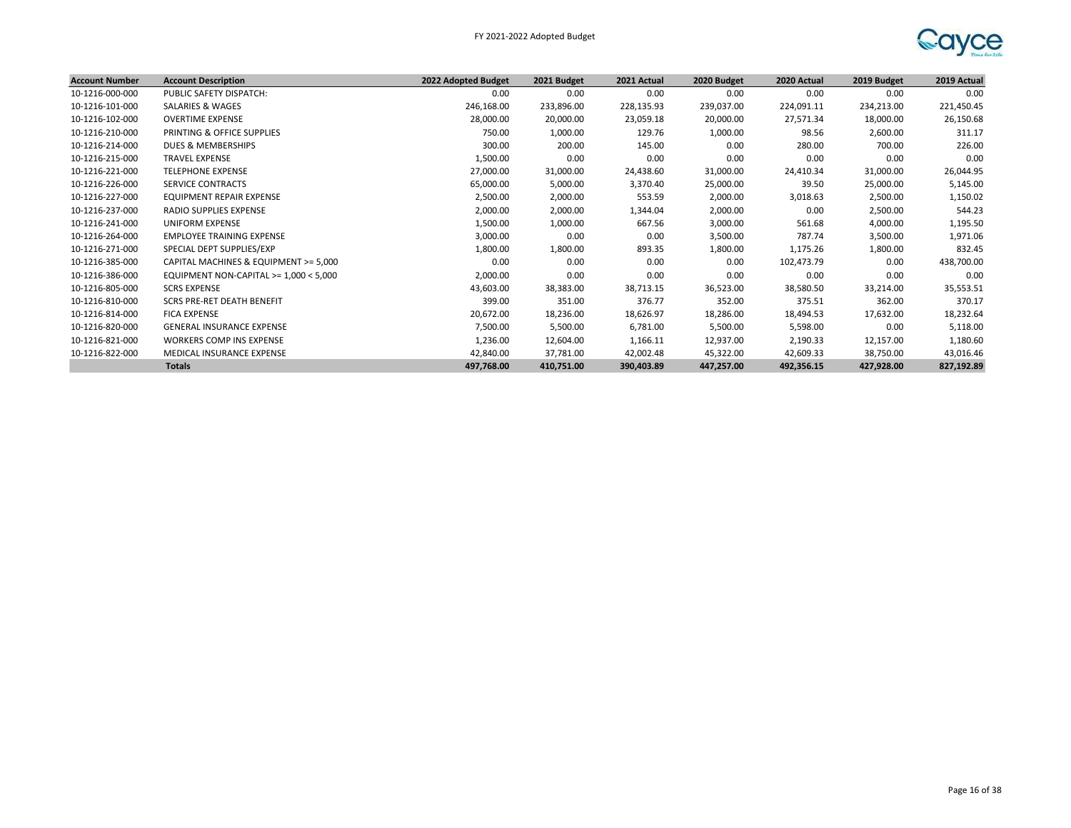

| <b>Account Number</b> | <b>Account Description</b>               | 2022 Adopted Budget | 2021 Budget | 2021 Actual | 2020 Budget | 2020 Actual | 2019 Budget | 2019 Actual |
|-----------------------|------------------------------------------|---------------------|-------------|-------------|-------------|-------------|-------------|-------------|
| 10-1216-000-000       | PUBLIC SAFETY DISPATCH:                  | 0.00                | 0.00        | 0.00        | 0.00        | 0.00        | 0.00        | 0.00        |
| 10-1216-101-000       | SALARIES & WAGES                         | 246,168.00          | 233,896.00  | 228,135.93  | 239,037.00  | 224,091.11  | 234,213.00  | 221,450.45  |
| 10-1216-102-000       | <b>OVERTIME EXPENSE</b>                  | 28,000.00           | 20,000.00   | 23,059.18   | 20,000.00   | 27,571.34   | 18,000.00   | 26,150.68   |
| 10-1216-210-000       | PRINTING & OFFICE SUPPLIES               | 750.00              | 1,000.00    | 129.76      | 1,000.00    | 98.56       | 2,600.00    | 311.17      |
| 10-1216-214-000       | DUES & MEMBERSHIPS                       | 300.00              | 200.00      | 145.00      | 0.00        | 280.00      | 700.00      | 226.00      |
| 10-1216-215-000       | <b>TRAVEL EXPENSE</b>                    | 1,500.00            | 0.00        | 0.00        | 0.00        | 0.00        | 0.00        | 0.00        |
| 10-1216-221-000       | <b>TELEPHONE EXPENSE</b>                 | 27,000.00           | 31,000.00   | 24,438.60   | 31,000.00   | 24,410.34   | 31,000.00   | 26,044.95   |
| 10-1216-226-000       | <b>SERVICE CONTRACTS</b>                 | 65,000.00           | 5,000.00    | 3,370.40    | 25,000.00   | 39.50       | 25,000.00   | 5,145.00    |
| 10-1216-227-000       | <b>EQUIPMENT REPAIR EXPENSE</b>          | 2,500.00            | 2,000.00    | 553.59      | 2,000.00    | 3,018.63    | 2,500.00    | 1,150.02    |
| 10-1216-237-000       | RADIO SUPPLIES EXPENSE                   | 2,000.00            | 2,000.00    | 1,344.04    | 2,000.00    | 0.00        | 2,500.00    | 544.23      |
| 10-1216-241-000       | UNIFORM EXPENSE                          | 1,500.00            | 1,000.00    | 667.56      | 3,000.00    | 561.68      | 4,000.00    | 1,195.50    |
| 10-1216-264-000       | <b>EMPLOYEE TRAINING EXPENSE</b>         | 3,000.00            | 0.00        | 0.00        | 3,500.00    | 787.74      | 3,500.00    | 1,971.06    |
| 10-1216-271-000       | SPECIAL DEPT SUPPLIES/EXP                | 1,800.00            | 1,800.00    | 893.35      | 1,800.00    | 1,175.26    | 1,800.00    | 832.45      |
| 10-1216-385-000       | CAPITAL MACHINES & EQUIPMENT >= 5,000    | 0.00                | 0.00        | 0.00        | 0.00        | 102,473.79  | 0.00        | 438,700.00  |
| 10-1216-386-000       | EQUIPMENT NON-CAPITAL $>= 1,000 < 5,000$ | 2,000.00            | 0.00        | 0.00        | 0.00        | 0.00        | 0.00        | 0.00        |
| 10-1216-805-000       | <b>SCRS EXPENSE</b>                      | 43,603.00           | 38,383.00   | 38,713.15   | 36,523.00   | 38,580.50   | 33,214.00   | 35,553.51   |
| 10-1216-810-000       | SCRS PRE-RET DEATH BENEFIT               | 399.00              | 351.00      | 376.77      | 352.00      | 375.51      | 362.00      | 370.17      |
| 10-1216-814-000       | <b>FICA EXPENSE</b>                      | 20,672.00           | 18,236.00   | 18,626.97   | 18,286.00   | 18,494.53   | 17,632.00   | 18,232.64   |
| 10-1216-820-000       | <b>GENERAL INSURANCE EXPENSE</b>         | 7,500.00            | 5,500.00    | 6,781.00    | 5,500.00    | 5,598.00    | 0.00        | 5,118.00    |
| 10-1216-821-000       | <b>WORKERS COMP INS EXPENSE</b>          | 1,236.00            | 12,604.00   | 1,166.11    | 12,937.00   | 2,190.33    | 12,157.00   | 1,180.60    |
| 10-1216-822-000       | MEDICAL INSURANCE EXPENSE                | 42,840.00           | 37,781.00   | 42,002.48   | 45,322.00   | 42,609.33   | 38,750.00   | 43,016.46   |
|                       | <b>Totals</b>                            | 497,768.00          | 410,751.00  | 390,403.89  | 447,257.00  | 492,356.15  | 427,928.00  | 827,192.89  |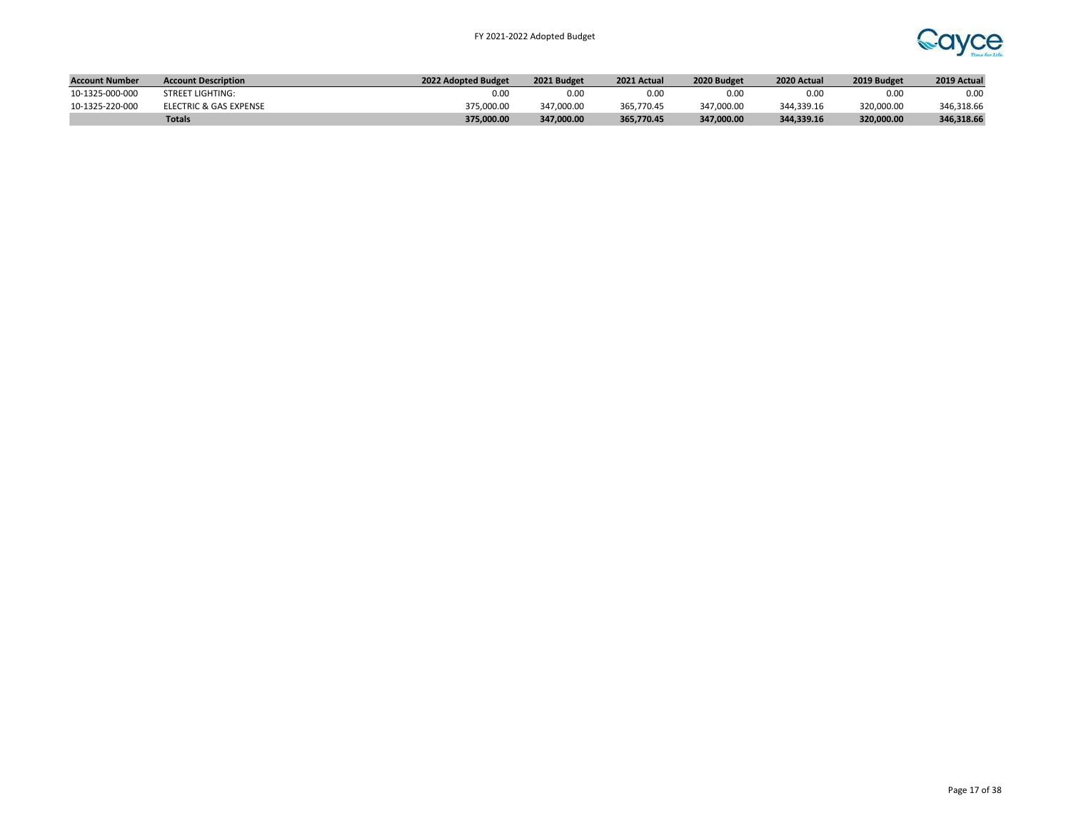

| <b>Account Number</b> | <b>Account Description</b> | 2022 Adopted Budget | 2021 Budget | 2021 Actual | 2020 Budget | 2020 Actual | 2019 Budget | 2019 Actual |
|-----------------------|----------------------------|---------------------|-------------|-------------|-------------|-------------|-------------|-------------|
| 10-1325-000-000       | <b>STREET LIGHTING:</b>    | 0.OC                | 0.00        | 0.00        | 0.0C        | 0.00        | 0.00        | 0.00        |
| 10-1325-220-000       | ELECTRIC & GAS EXPENSE     | 375.000.00          | 347.000.00  | 365.770.45  | 347.000.00  | 344,339.16  | 320.000.00  | 346,318.66  |
|                       | <b>Totals</b>              | 375,000.00          | 347.000.00  | 365.770.45  | 347.000.00  | 344.339.16  | 320,000.00  | 346,318.66  |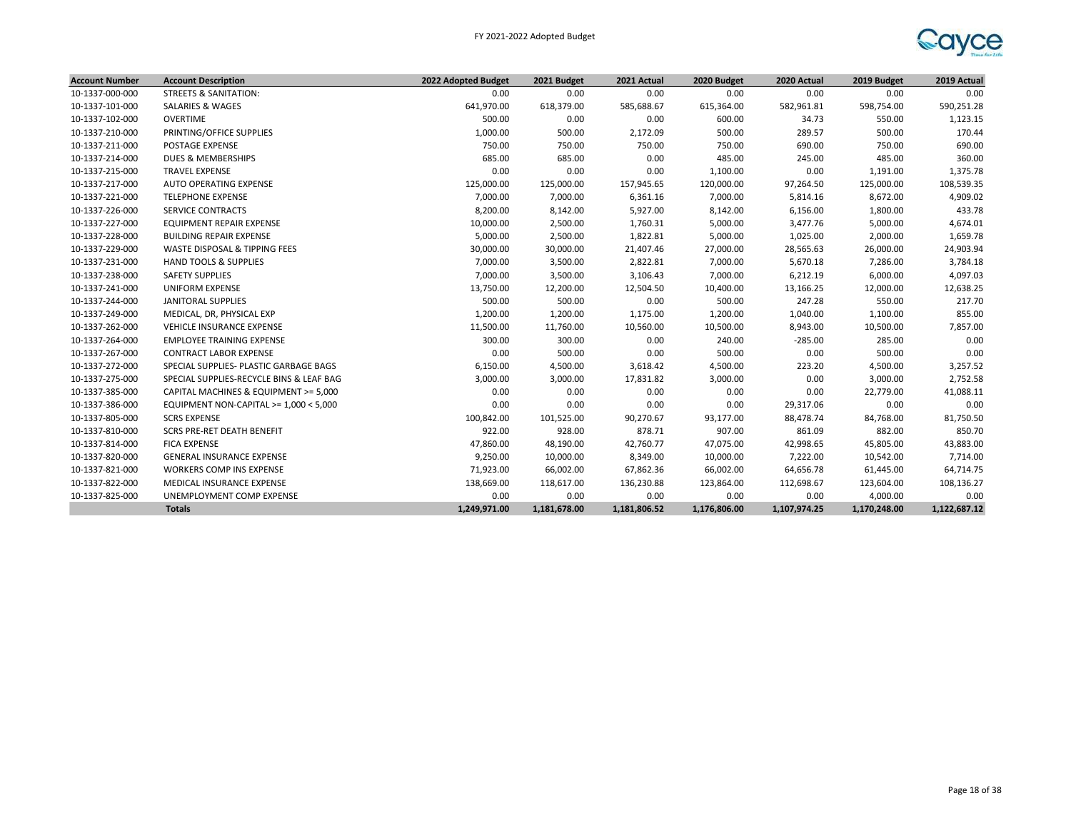

| <b>Account Number</b> | <b>Account Description</b>               | 2022 Adopted Budget | 2021 Budget  | 2021 Actual  | 2020 Budget  | 2020 Actual  | 2019 Budget  | 2019 Actual  |
|-----------------------|------------------------------------------|---------------------|--------------|--------------|--------------|--------------|--------------|--------------|
| 10-1337-000-000       | <b>STREETS &amp; SANITATION:</b>         | 0.00                | 0.00         | 0.00         | 0.00         | 0.00         | 0.00         | 0.00         |
| 10-1337-101-000       | <b>SALARIES &amp; WAGES</b>              | 641,970.00          | 618,379.00   | 585,688.67   | 615,364.00   | 582,961.81   | 598,754.00   | 590,251.28   |
| 10-1337-102-000       | OVERTIME                                 | 500.00              | 0.00         | 0.00         | 600.00       | 34.73        | 550.00       | 1,123.15     |
| 10-1337-210-000       | PRINTING/OFFICE SUPPLIES                 | 1,000.00            | 500.00       | 2,172.09     | 500.00       | 289.57       | 500.00       | 170.44       |
| 10-1337-211-000       | <b>POSTAGE EXPENSE</b>                   | 750.00              | 750.00       | 750.00       | 750.00       | 690.00       | 750.00       | 690.00       |
| 10-1337-214-000       | DUES & MEMBERSHIPS                       | 685.00              | 685.00       | 0.00         | 485.00       | 245.00       | 485.00       | 360.00       |
| 10-1337-215-000       | <b>TRAVEL EXPENSE</b>                    | 0.00                | 0.00         | 0.00         | 1,100.00     | 0.00         | 1,191.00     | 1,375.78     |
| 10-1337-217-000       | AUTO OPERATING EXPENSE                   | 125,000.00          | 125,000.00   | 157,945.65   | 120,000.00   | 97,264.50    | 125,000.00   | 108,539.35   |
| 10-1337-221-000       | <b>TELEPHONE EXPENSE</b>                 | 7,000.00            | 7,000.00     | 6,361.16     | 7,000.00     | 5,814.16     | 8,672.00     | 4,909.02     |
| 10-1337-226-000       | <b>SERVICE CONTRACTS</b>                 | 8,200.00            | 8,142.00     | 5,927.00     | 8,142.00     | 6,156.00     | 1,800.00     | 433.78       |
| 10-1337-227-000       | <b>EQUIPMENT REPAIR EXPENSE</b>          | 10,000.00           | 2,500.00     | 1,760.31     | 5,000.00     | 3,477.76     | 5,000.00     | 4,674.01     |
| 10-1337-228-000       | <b>BUILDING REPAIR EXPENSE</b>           | 5,000.00            | 2,500.00     | 1,822.81     | 5,000.00     | 1,025.00     | 2,000.00     | 1,659.78     |
| 10-1337-229-000       | WASTE DISPOSAL & TIPPING FEES            | 30,000.00           | 30,000.00    | 21,407.46    | 27,000.00    | 28,565.63    | 26,000.00    | 24,903.94    |
| 10-1337-231-000       | <b>HAND TOOLS &amp; SUPPLIES</b>         | 7,000.00            | 3,500.00     | 2,822.81     | 7,000.00     | 5,670.18     | 7,286.00     | 3,784.18     |
| 10-1337-238-000       | <b>SAFETY SUPPLIES</b>                   | 7,000.00            | 3,500.00     | 3,106.43     | 7,000.00     | 6,212.19     | 6,000.00     | 4,097.03     |
| 10-1337-241-000       | <b>UNIFORM EXPENSE</b>                   | 13,750.00           | 12,200.00    | 12,504.50    | 10,400.00    | 13,166.25    | 12,000.00    | 12,638.25    |
| 10-1337-244-000       | JANITORAL SUPPLIES                       | 500.00              | 500.00       | 0.00         | 500.00       | 247.28       | 550.00       | 217.70       |
| 10-1337-249-000       | MEDICAL, DR, PHYSICAL EXP                | 1,200.00            | 1,200.00     | 1,175.00     | 1,200.00     | 1,040.00     | 1,100.00     | 855.00       |
| 10-1337-262-000       | VEHICLE INSURANCE EXPENSE                | 11,500.00           | 11,760.00    | 10,560.00    | 10,500.00    | 8,943.00     | 10,500.00    | 7,857.00     |
| 10-1337-264-000       | <b>EMPLOYEE TRAINING EXPENSE</b>         | 300.00              | 300.00       | 0.00         | 240.00       | $-285.00$    | 285.00       | 0.00         |
| 10-1337-267-000       | <b>CONTRACT LABOR EXPENSE</b>            | 0.00                | 500.00       | 0.00         | 500.00       | 0.00         | 500.00       | 0.00         |
| 10-1337-272-000       | SPECIAL SUPPLIES- PLASTIC GARBAGE BAGS   | 6,150.00            | 4,500.00     | 3,618.42     | 4,500.00     | 223.20       | 4,500.00     | 3,257.52     |
| 10-1337-275-000       | SPECIAL SUPPLIES-RECYCLE BINS & LEAF BAG | 3,000.00            | 3,000.00     | 17,831.82    | 3,000.00     | 0.00         | 3,000.00     | 2,752.58     |
| 10-1337-385-000       | CAPITAL MACHINES & EQUIPMENT >= 5,000    | 0.00                | 0.00         | 0.00         | 0.00         | 0.00         | 22,779.00    | 41,088.11    |
| 10-1337-386-000       | EQUIPMENT NON-CAPITAL >= 1,000 < 5,000   | 0.00                | 0.00         | 0.00         | 0.00         | 29,317.06    | 0.00         | 0.00         |
| 10-1337-805-000       | <b>SCRS EXPENSE</b>                      | 100,842.00          | 101,525.00   | 90,270.67    | 93,177.00    | 88,478.74    | 84,768.00    | 81,750.50    |
| 10-1337-810-000       | <b>SCRS PRE-RET DEATH BENEFIT</b>        | 922.00              | 928.00       | 878.71       | 907.00       | 861.09       | 882.00       | 850.70       |
| 10-1337-814-000       | <b>FICA EXPENSE</b>                      | 47,860.00           | 48,190.00    | 42,760.77    | 47,075.00    | 42,998.65    | 45,805.00    | 43,883.00    |
| 10-1337-820-000       | <b>GENERAL INSURANCE EXPENSE</b>         | 9,250.00            | 10,000.00    | 8,349.00     | 10,000.00    | 7,222.00     | 10,542.00    | 7,714.00     |
| 10-1337-821-000       | WORKERS COMP INS EXPENSE                 | 71,923.00           | 66,002.00    | 67,862.36    | 66,002.00    | 64,656.78    | 61,445.00    | 64,714.75    |
| 10-1337-822-000       | MEDICAL INSURANCE EXPENSE                | 138,669.00          | 118,617.00   | 136,230.88   | 123,864.00   | 112,698.67   | 123,604.00   | 108,136.27   |
| 10-1337-825-000       | UNEMPLOYMENT COMP EXPENSE                | 0.00                | 0.00         | 0.00         | 0.00         | 0.00         | 4,000.00     | 0.00         |
|                       | <b>Totals</b>                            | 1,249,971.00        | 1,181,678.00 | 1,181,806.52 | 1,176,806.00 | 1,107,974.25 | 1,170,248.00 | 1,122,687.12 |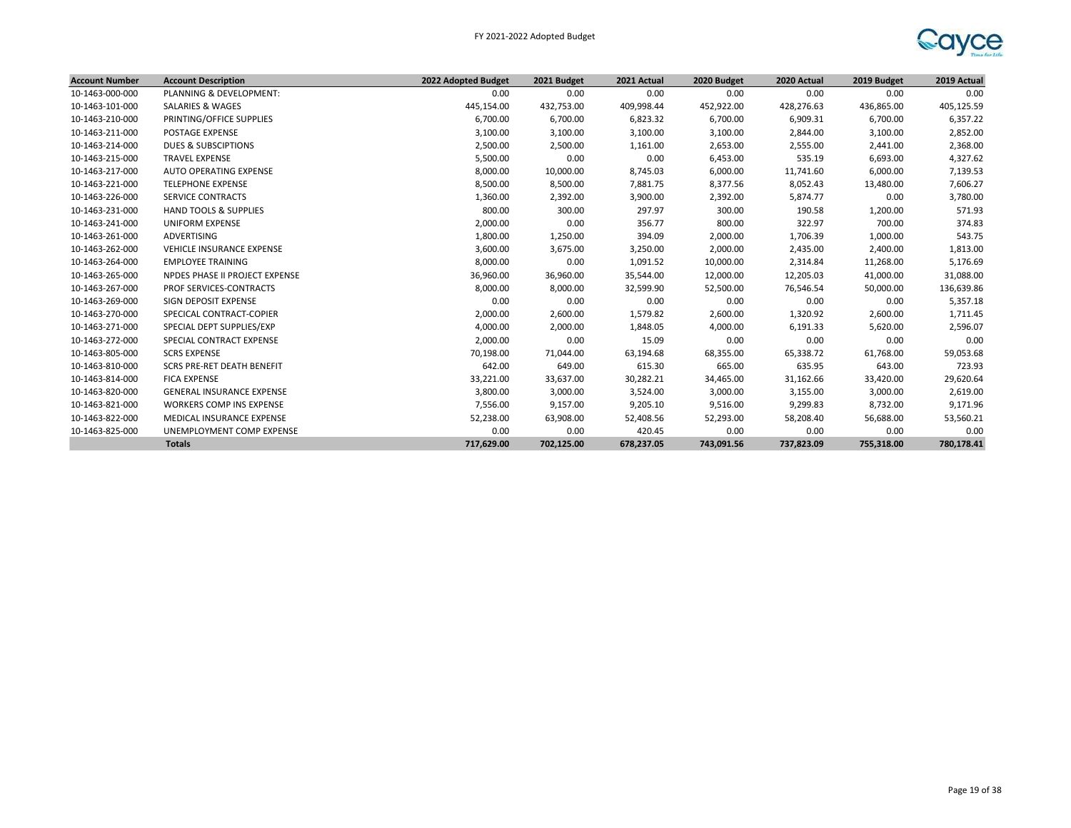

| <b>Account Number</b> | <b>Account Description</b>       | 2022 Adopted Budget | 2021 Budget | 2021 Actual | 2020 Budget | 2020 Actual | 2019 Budget | 2019 Actual |
|-----------------------|----------------------------------|---------------------|-------------|-------------|-------------|-------------|-------------|-------------|
| 10-1463-000-000       | PLANNING & DEVELOPMENT:          | 0.00                | 0.00        | 0.00        | 0.00        | 0.00        | 0.00        | 0.00        |
| 10-1463-101-000       | SALARIES & WAGES                 | 445,154.00          | 432,753.00  | 409,998.44  | 452,922.00  | 428,276.63  | 436,865.00  | 405,125.59  |
| 10-1463-210-000       | PRINTING/OFFICE SUPPLIES         | 6,700.00            | 6,700.00    | 6,823.32    | 6,700.00    | 6,909.31    | 6,700.00    | 6,357.22    |
| 10-1463-211-000       | <b>POSTAGE EXPENSE</b>           | 3,100.00            | 3,100.00    | 3,100.00    | 3,100.00    | 2,844.00    | 3,100.00    | 2,852.00    |
| 10-1463-214-000       | <b>DUES &amp; SUBSCIPTIONS</b>   | 2,500.00            | 2,500.00    | 1,161.00    | 2,653.00    | 2,555.00    | 2,441.00    | 2,368.00    |
| 10-1463-215-000       | <b>TRAVEL EXPENSE</b>            | 5,500.00            | 0.00        | 0.00        | 6,453.00    | 535.19      | 6,693.00    | 4,327.62    |
| 10-1463-217-000       | AUTO OPERATING EXPENSE           | 8,000.00            | 10,000.00   | 8,745.03    | 6,000.00    | 11,741.60   | 6,000.00    | 7,139.53    |
| 10-1463-221-000       | <b>TELEPHONE EXPENSE</b>         | 8,500.00            | 8,500.00    | 7,881.75    | 8,377.56    | 8,052.43    | 13,480.00   | 7,606.27    |
| 10-1463-226-000       | <b>SERVICE CONTRACTS</b>         | 1,360.00            | 2,392.00    | 3,900.00    | 2,392.00    | 5,874.77    | 0.00        | 3,780.00    |
| 10-1463-231-000       | <b>HAND TOOLS &amp; SUPPLIES</b> | 800.00              | 300.00      | 297.97      | 300.00      | 190.58      | 1,200.00    | 571.93      |
| 10-1463-241-000       | <b>UNIFORM EXPENSE</b>           | 2,000.00            | 0.00        | 356.77      | 800.00      | 322.97      | 700.00      | 374.83      |
| 10-1463-261-000       | ADVERTISING                      | 1,800.00            | 1,250.00    | 394.09      | 2,000.00    | 1,706.39    | 1,000.00    | 543.75      |
| 10-1463-262-000       | VEHICLE INSURANCE EXPENSE        | 3,600.00            | 3,675.00    | 3,250.00    | 2,000.00    | 2,435.00    | 2,400.00    | 1,813.00    |
| 10-1463-264-000       | <b>EMPLOYEE TRAINING</b>         | 8,000.00            | 0.00        | 1,091.52    | 10,000.00   | 2,314.84    | 11,268.00   | 5,176.69    |
| 10-1463-265-000       | NPDES PHASE II PROJECT EXPENSE   | 36,960.00           | 36,960.00   | 35,544.00   | 12,000.00   | 12,205.03   | 41,000.00   | 31,088.00   |
| 10-1463-267-000       | PROF SERVICES-CONTRACTS          | 8,000.00            | 8,000.00    | 32,599.90   | 52,500.00   | 76,546.54   | 50,000.00   | 136,639.86  |
| 10-1463-269-000       | SIGN DEPOSIT EXPENSE             | 0.00                | 0.00        | 0.00        | 0.00        | 0.00        | 0.00        | 5,357.18    |
| 10-1463-270-000       | SPECICAL CONTRACT-COPIER         | 2,000.00            | 2,600.00    | 1,579.82    | 2,600.00    | 1,320.92    | 2,600.00    | 1,711.45    |
| 10-1463-271-000       | SPECIAL DEPT SUPPLIES/EXP        | 4,000.00            | 2,000.00    | 1,848.05    | 4,000.00    | 6,191.33    | 5,620.00    | 2,596.07    |
| 10-1463-272-000       | SPECIAL CONTRACT EXPENSE         | 2,000.00            | 0.00        | 15.09       | 0.00        | 0.00        | 0.00        | 0.00        |
| 10-1463-805-000       | <b>SCRS EXPENSE</b>              | 70,198.00           | 71,044.00   | 63,194.68   | 68,355.00   | 65,338.72   | 61,768.00   | 59,053.68   |
| 10-1463-810-000       | SCRS PRE-RET DEATH BENEFIT       | 642.00              | 649.00      | 615.30      | 665.00      | 635.95      | 643.00      | 723.93      |
| 10-1463-814-000       | <b>FICA EXPENSE</b>              | 33,221.00           | 33,637.00   | 30,282.21   | 34,465.00   | 31,162.66   | 33,420.00   | 29,620.64   |
| 10-1463-820-000       | <b>GENERAL INSURANCE EXPENSE</b> | 3,800.00            | 3,000.00    | 3,524.00    | 3,000.00    | 3,155.00    | 3,000.00    | 2,619.00    |
| 10-1463-821-000       | <b>WORKERS COMP INS EXPENSE</b>  | 7,556.00            | 9,157.00    | 9,205.10    | 9,516.00    | 9,299.83    | 8,732.00    | 9,171.96    |
| 10-1463-822-000       | MEDICAL INSURANCE EXPENSE        | 52,238.00           | 63,908.00   | 52,408.56   | 52,293.00   | 58,208.40   | 56,688.00   | 53,560.21   |
| 10-1463-825-000       | UNEMPLOYMENT COMP EXPENSE        | 0.00                | 0.00        | 420.45      | 0.00        | 0.00        | 0.00        | 0.00        |
|                       | <b>Totals</b>                    | 717,629.00          | 702,125.00  | 678,237.05  | 743,091.56  | 737,823.09  | 755,318.00  | 780,178.41  |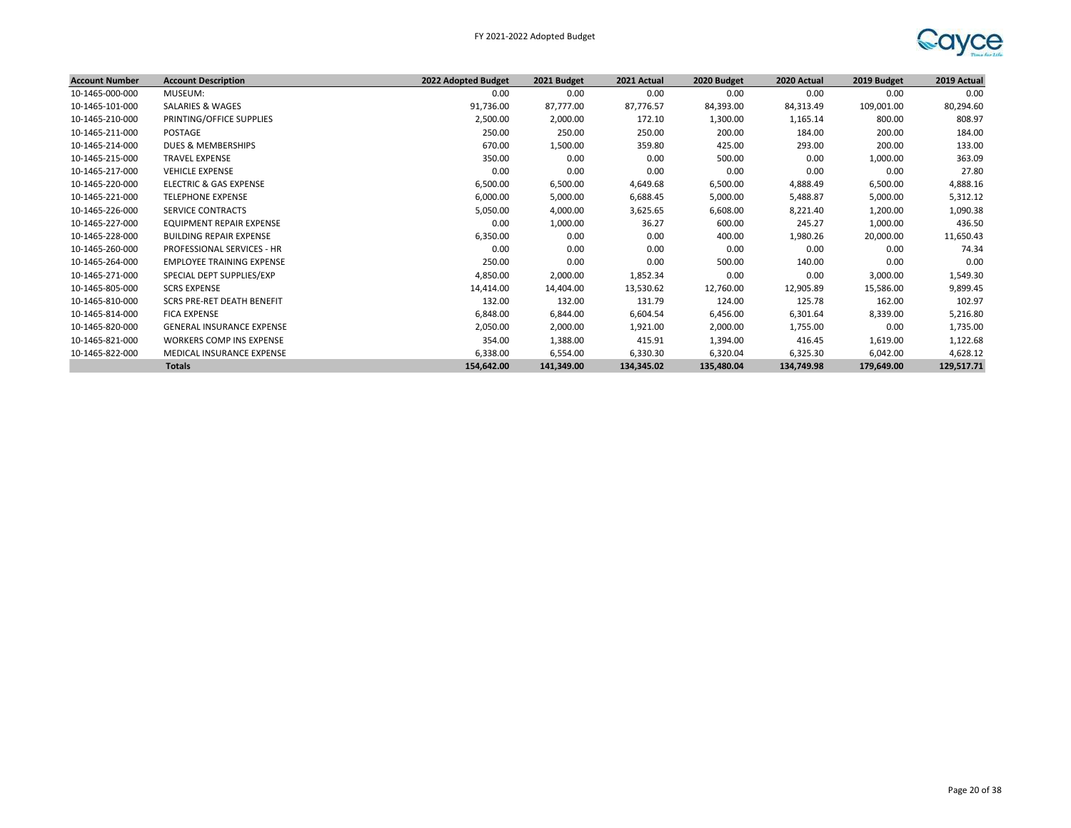

| <b>Account Number</b> | <b>Account Description</b>        | 2022 Adopted Budget | 2021 Budget | 2021 Actual | 2020 Budget | 2020 Actual | 2019 Budget | 2019 Actual |
|-----------------------|-----------------------------------|---------------------|-------------|-------------|-------------|-------------|-------------|-------------|
| 10-1465-000-000       | MUSEUM:                           | 0.00                | 0.00        | 0.00        | 0.00        | 0.00        | 0.00        | 0.00        |
| 10-1465-101-000       | <b>SALARIES &amp; WAGES</b>       | 91,736.00           | 87,777.00   | 87,776.57   | 84,393.00   | 84,313.49   | 109,001.00  | 80,294.60   |
| 10-1465-210-000       | PRINTING/OFFICE SUPPLIES          | 2,500.00            | 2,000.00    | 172.10      | 1,300.00    | 1,165.14    | 800.00      | 808.97      |
| 10-1465-211-000       | POSTAGE                           | 250.00              | 250.00      | 250.00      | 200.00      | 184.00      | 200.00      | 184.00      |
| 10-1465-214-000       | DUES & MEMBERSHIPS                | 670.00              | 1,500.00    | 359.80      | 425.00      | 293.00      | 200.00      | 133.00      |
| 10-1465-215-000       | <b>TRAVEL EXPENSE</b>             | 350.00              | 0.00        | 0.00        | 500.00      | 0.00        | 1,000.00    | 363.09      |
| 10-1465-217-000       | <b>VEHICLE EXPENSE</b>            | 0.00                | 0.00        | 0.00        | 0.00        | 0.00        | 0.00        | 27.80       |
| 10-1465-220-000       | ELECTRIC & GAS EXPENSE            | 6,500.00            | 6,500.00    | 4,649.68    | 6,500.00    | 4,888.49    | 6,500.00    | 4,888.16    |
| 10-1465-221-000       | <b>TELEPHONE EXPENSE</b>          | 6,000.00            | 5,000.00    | 6,688.45    | 5,000.00    | 5,488.87    | 5,000.00    | 5,312.12    |
| 10-1465-226-000       | SERVICE CONTRACTS                 | 5,050.00            | 4,000.00    | 3,625.65    | 6,608.00    | 8,221.40    | 1,200.00    | 1,090.38    |
| 10-1465-227-000       | EQUIPMENT REPAIR EXPENSE          | 0.00                | 1,000.00    | 36.27       | 600.00      | 245.27      | 1,000.00    | 436.50      |
| 10-1465-228-000       | <b>BUILDING REPAIR EXPENSE</b>    | 6,350.00            | 0.00        | 0.00        | 400.00      | 1,980.26    | 20,000.00   | 11,650.43   |
| 10-1465-260-000       | <b>PROFESSIONAL SERVICES - HR</b> | 0.00                | 0.00        | 0.00        | 0.00        | 0.00        | 0.00        | 74.34       |
| 10-1465-264-000       | <b>EMPLOYEE TRAINING EXPENSE</b>  | 250.00              | 0.00        | 0.00        | 500.00      | 140.00      | 0.00        | 0.00        |
| 10-1465-271-000       | SPECIAL DEPT SUPPLIES/EXP         | 4,850.00            | 2,000.00    | 1,852.34    | 0.00        | 0.00        | 3,000.00    | 1,549.30    |
| 10-1465-805-000       | <b>SCRS EXPENSE</b>               | 14,414.00           | 14,404.00   | 13,530.62   | 12,760.00   | 12,905.89   | 15,586.00   | 9,899.45    |
| 10-1465-810-000       | SCRS PRE-RET DEATH BENEFIT        | 132.00              | 132.00      | 131.79      | 124.00      | 125.78      | 162.00      | 102.97      |
| 10-1465-814-000       | <b>FICA EXPENSE</b>               | 6,848.00            | 6,844.00    | 6,604.54    | 6,456.00    | 6,301.64    | 8,339.00    | 5,216.80    |
| 10-1465-820-000       | <b>GENERAL INSURANCE EXPENSE</b>  | 2,050.00            | 2,000.00    | 1,921.00    | 2,000.00    | 1,755.00    | 0.00        | 1,735.00    |
| 10-1465-821-000       | <b>WORKERS COMP INS EXPENSE</b>   | 354.00              | 1,388.00    | 415.91      | 1,394.00    | 416.45      | 1,619.00    | 1,122.68    |
| 10-1465-822-000       | MEDICAL INSURANCE EXPENSE         | 6,338.00            | 6,554.00    | 6,330.30    | 6,320.04    | 6,325.30    | 6,042.00    | 4,628.12    |
|                       | <b>Totals</b>                     | 154,642.00          | 141,349.00  | 134,345.02  | 135,480.04  | 134,749.98  | 179,649.00  | 129,517.71  |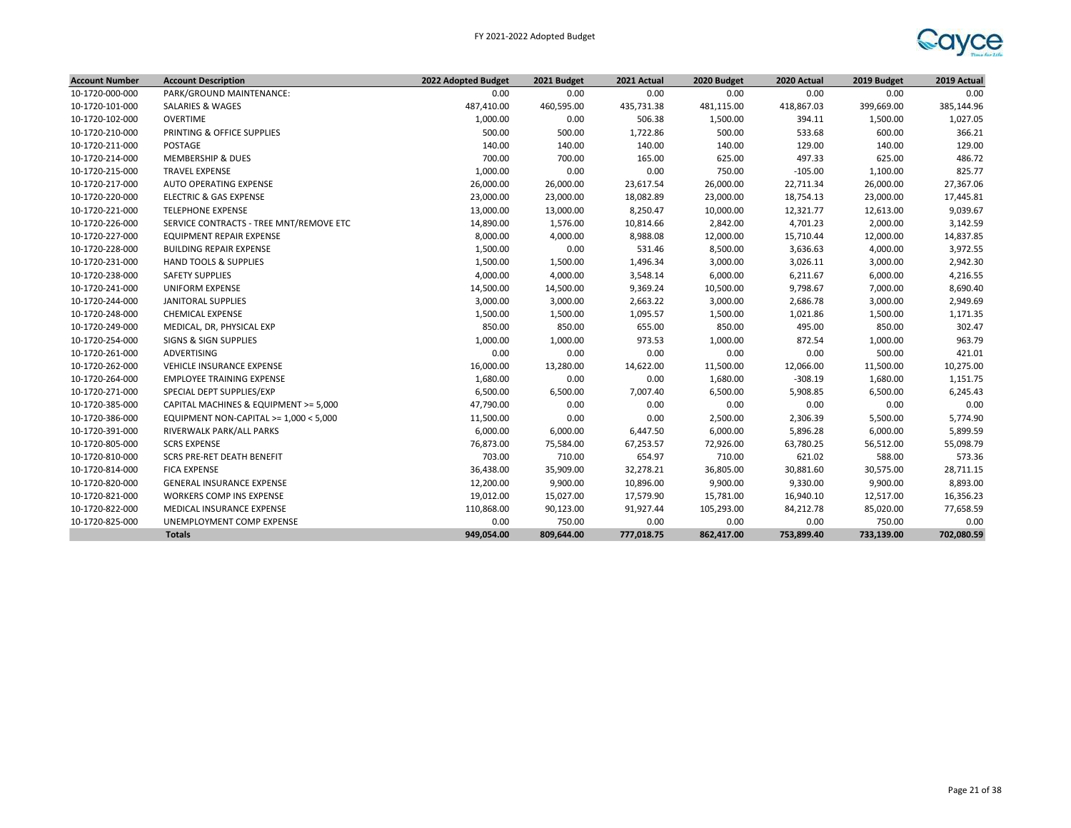

| <b>Account Number</b> | <b>Account Description</b>              | 2022 Adopted Budget | 2021 Budget | 2021 Actual | 2020 Budget | 2020 Actual | 2019 Budget | 2019 Actual |
|-----------------------|-----------------------------------------|---------------------|-------------|-------------|-------------|-------------|-------------|-------------|
| 10-1720-000-000       | PARK/GROUND MAINTENANCE:                | 0.00                | 0.00        | 0.00        | 0.00        | 0.00        | 0.00        | 0.00        |
| 10-1720-101-000       | <b>SALARIES &amp; WAGES</b>             | 487,410.00          | 460,595.00  | 435,731.38  | 481,115.00  | 418,867.03  | 399,669.00  | 385,144.96  |
| 10-1720-102-000       | <b>OVERTIME</b>                         | 1,000.00            | 0.00        | 506.38      | 1,500.00    | 394.11      | 1,500.00    | 1,027.05    |
| 10-1720-210-000       | PRINTING & OFFICE SUPPLIES              | 500.00              | 500.00      | 1,722.86    | 500.00      | 533.68      | 600.00      | 366.21      |
| 10-1720-211-000       | <b>POSTAGE</b>                          | 140.00              | 140.00      | 140.00      | 140.00      | 129.00      | 140.00      | 129.00      |
| 10-1720-214-000       | <b>MEMBERSHIP &amp; DUES</b>            | 700.00              | 700.00      | 165.00      | 625.00      | 497.33      | 625.00      | 486.72      |
| 10-1720-215-000       | <b>TRAVEL EXPENSE</b>                   | 1,000.00            | 0.00        | 0.00        | 750.00      | $-105.00$   | 1,100.00    | 825.77      |
| 10-1720-217-000       | AUTO OPERATING EXPENSE                  | 26,000.00           | 26,000.00   | 23,617.54   | 26,000.00   | 22,711.34   | 26,000.00   | 27,367.06   |
| 10-1720-220-000       | <b>ELECTRIC &amp; GAS EXPENSE</b>       | 23,000.00           | 23,000.00   | 18,082.89   | 23,000.00   | 18,754.13   | 23,000.00   | 17,445.81   |
| 10-1720-221-000       | <b>TELEPHONE EXPENSE</b>                | 13,000.00           | 13,000.00   | 8,250.47    | 10,000.00   | 12,321.77   | 12,613.00   | 9,039.67    |
| 10-1720-226-000       | SERVICE CONTRACTS - TREE MNT/REMOVE ETC | 14,890.00           | 1,576.00    | 10,814.66   | 2,842.00    | 4,701.23    | 2,000.00    | 3,142.59    |
| 10-1720-227-000       | EQUIPMENT REPAIR EXPENSE                | 8,000.00            | 4,000.00    | 8,988.08    | 12,000.00   | 15,710.44   | 12,000.00   | 14,837.85   |
| 10-1720-228-000       | <b>BUILDING REPAIR EXPENSE</b>          | 1,500.00            | 0.00        | 531.46      | 8,500.00    | 3,636.63    | 4,000.00    | 3,972.55    |
| 10-1720-231-000       | <b>HAND TOOLS &amp; SUPPLIES</b>        | 1,500.00            | 1,500.00    | 1,496.34    | 3,000.00    | 3,026.11    | 3,000.00    | 2,942.30    |
| 10-1720-238-000       | <b>SAFETY SUPPLIES</b>                  | 4,000.00            | 4,000.00    | 3,548.14    | 6,000.00    | 6,211.67    | 6,000.00    | 4,216.55    |
| 10-1720-241-000       | <b>UNIFORM EXPENSE</b>                  | 14,500.00           | 14,500.00   | 9,369.24    | 10,500.00   | 9,798.67    | 7,000.00    | 8,690.40    |
| 10-1720-244-000       | JANITORAL SUPPLIES                      | 3,000.00            | 3,000.00    | 2,663.22    | 3,000.00    | 2,686.78    | 3,000.00    | 2,949.69    |
| 10-1720-248-000       | <b>CHEMICAL EXPENSE</b>                 | 1,500.00            | 1,500.00    | 1,095.57    | 1,500.00    | 1,021.86    | 1,500.00    | 1,171.35    |
| 10-1720-249-000       | MEDICAL, DR, PHYSICAL EXP               | 850.00              | 850.00      | 655.00      | 850.00      | 495.00      | 850.00      | 302.47      |
| 10-1720-254-000       | SIGNS & SIGN SUPPLIES                   | 1,000.00            | 1,000.00    | 973.53      | 1,000.00    | 872.54      | 1,000.00    | 963.79      |
| 10-1720-261-000       | ADVERTISING                             | 0.00                | 0.00        | 0.00        | 0.00        | 0.00        | 500.00      | 421.01      |
| 10-1720-262-000       | VEHICLE INSURANCE EXPENSE               | 16,000.00           | 13,280.00   | 14,622.00   | 11,500.00   | 12,066.00   | 11,500.00   | 10,275.00   |
| 10-1720-264-000       | <b>EMPLOYEE TRAINING EXPENSE</b>        | 1,680.00            | 0.00        | 0.00        | 1,680.00    | $-308.19$   | 1,680.00    | 1,151.75    |
| 10-1720-271-000       | SPECIAL DEPT SUPPLIES/EXP               | 6,500.00            | 6,500.00    | 7,007.40    | 6,500.00    | 5,908.85    | 6,500.00    | 6,245.43    |
| 10-1720-385-000       | CAPITAL MACHINES & EQUIPMENT >= 5,000   | 47,790.00           | 0.00        | 0.00        | 0.00        | 0.00        | 0.00        | 0.00        |
| 10-1720-386-000       | EQUIPMENT NON-CAPITAL >= 1,000 < 5,000  | 11,500.00           | 0.00        | 0.00        | 2,500.00    | 2,306.39    | 5,500.00    | 5,774.90    |
| 10-1720-391-000       | RIVERWALK PARK/ALL PARKS                | 6,000.00            | 6,000.00    | 6,447.50    | 6,000.00    | 5,896.28    | 6,000.00    | 5,899.59    |
| 10-1720-805-000       | <b>SCRS EXPENSE</b>                     | 76,873.00           | 75,584.00   | 67,253.57   | 72,926.00   | 63,780.25   | 56,512.00   | 55,098.79   |
| 10-1720-810-000       | <b>SCRS PRE-RET DEATH BENEFIT</b>       | 703.00              | 710.00      | 654.97      | 710.00      | 621.02      | 588.00      | 573.36      |
| 10-1720-814-000       | <b>FICA EXPENSE</b>                     | 36,438.00           | 35,909.00   | 32,278.21   | 36,805.00   | 30,881.60   | 30,575.00   | 28,711.15   |
| 10-1720-820-000       | <b>GENERAL INSURANCE EXPENSE</b>        | 12,200.00           | 9,900.00    | 10,896.00   | 9,900.00    | 9,330.00    | 9,900.00    | 8,893.00    |
| 10-1720-821-000       | WORKERS COMP INS EXPENSE                | 19,012.00           | 15,027.00   | 17,579.90   | 15,781.00   | 16,940.10   | 12,517.00   | 16,356.23   |
| 10-1720-822-000       | MEDICAL INSURANCE EXPENSE               | 110,868.00          | 90,123.00   | 91,927.44   | 105,293.00  | 84,212.78   | 85,020.00   | 77,658.59   |
| 10-1720-825-000       | UNEMPLOYMENT COMP EXPENSE               | 0.00                | 750.00      | 0.00        | 0.00        | 0.00        | 750.00      | 0.00        |
|                       | <b>Totals</b>                           | 949,054.00          | 809,644.00  | 777,018.75  | 862,417.00  | 753,899.40  | 733,139.00  | 702,080.59  |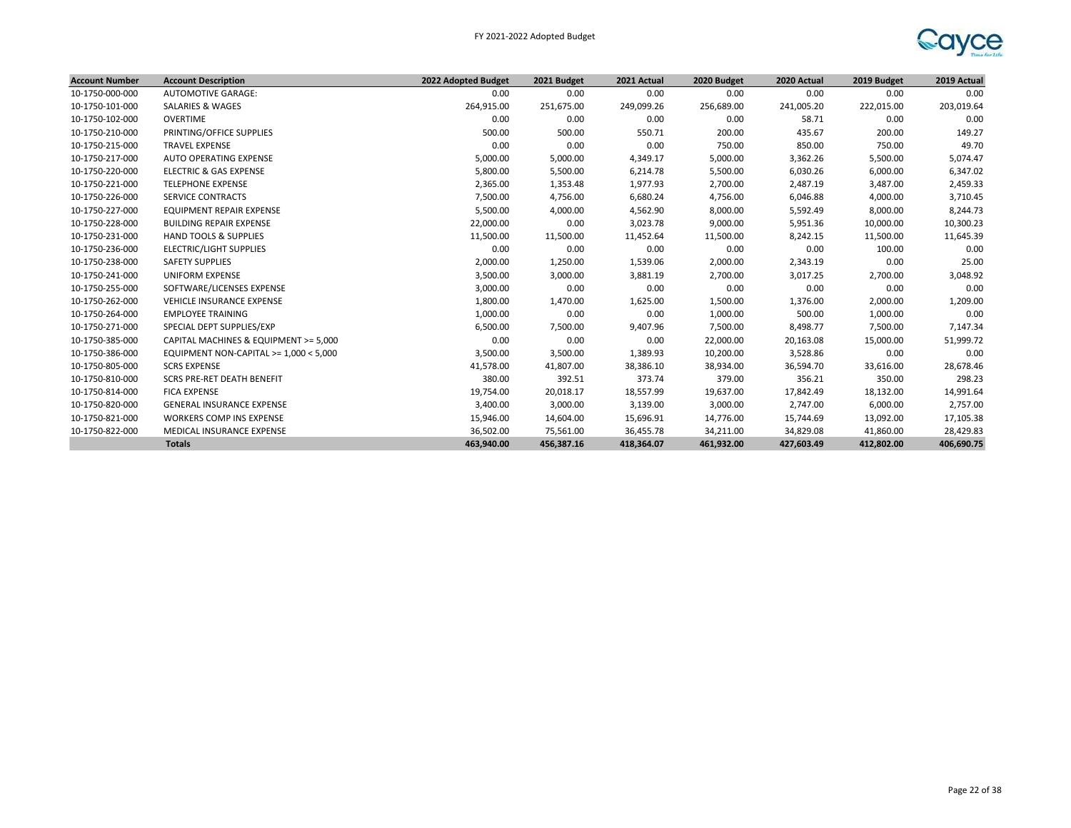

| <b>Account Number</b> | <b>Account Description</b>               | 2022 Adopted Budget | 2021 Budget | 2021 Actual | 2020 Budget | 2020 Actual | 2019 Budget | 2019 Actual |
|-----------------------|------------------------------------------|---------------------|-------------|-------------|-------------|-------------|-------------|-------------|
| 10-1750-000-000       | <b>AUTOMOTIVE GARAGE:</b>                | 0.00                | 0.00        | 0.00        | 0.00        | 0.00        | 0.00        | 0.00        |
| 10-1750-101-000       | <b>SALARIES &amp; WAGES</b>              | 264,915.00          | 251,675.00  | 249,099.26  | 256,689.00  | 241,005.20  | 222,015.00  | 203,019.64  |
| 10-1750-102-000       | OVERTIME                                 | 0.00                | 0.00        | 0.00        | 0.00        | 58.71       | 0.00        | 0.00        |
| 10-1750-210-000       | PRINTING/OFFICE SUPPLIES                 | 500.00              | 500.00      | 550.71      | 200.00      | 435.67      | 200.00      | 149.27      |
| 10-1750-215-000       | <b>TRAVEL EXPENSE</b>                    | 0.00                | 0.00        | 0.00        | 750.00      | 850.00      | 750.00      | 49.70       |
| 10-1750-217-000       | AUTO OPERATING EXPENSE                   | 5,000.00            | 5,000.00    | 4,349.17    | 5,000.00    | 3,362.26    | 5,500.00    | 5,074.47    |
| 10-1750-220-000       | <b>ELECTRIC &amp; GAS EXPENSE</b>        | 5,800.00            | 5,500.00    | 6,214.78    | 5,500.00    | 6,030.26    | 6,000.00    | 6,347.02    |
| 10-1750-221-000       | <b>TELEPHONE EXPENSE</b>                 | 2,365.00            | 1,353.48    | 1,977.93    | 2,700.00    | 2,487.19    | 3,487.00    | 2,459.33    |
| 10-1750-226-000       | <b>SERVICE CONTRACTS</b>                 | 7,500.00            | 4,756.00    | 6,680.24    | 4,756.00    | 6,046.88    | 4,000.00    | 3,710.45    |
| 10-1750-227-000       | <b>EQUIPMENT REPAIR EXPENSE</b>          | 5,500.00            | 4,000.00    | 4,562.90    | 8,000.00    | 5,592.49    | 8,000.00    | 8,244.73    |
| 10-1750-228-000       | <b>BUILDING REPAIR EXPENSE</b>           | 22,000.00           | 0.00        | 3,023.78    | 9,000.00    | 5,951.36    | 10,000.00   | 10,300.23   |
| 10-1750-231-000       | <b>HAND TOOLS &amp; SUPPLIES</b>         | 11,500.00           | 11,500.00   | 11,452.64   | 11,500.00   | 8,242.15    | 11,500.00   | 11,645.39   |
| 10-1750-236-000       | <b>ELECTRIC/LIGHT SUPPLIES</b>           | 0.00                | 0.00        | 0.00        | 0.00        | 0.00        | 100.00      | 0.00        |
| 10-1750-238-000       | <b>SAFETY SUPPLIES</b>                   | 2,000.00            | 1,250.00    | 1,539.06    | 2,000.00    | 2,343.19    | 0.00        | 25.00       |
| 10-1750-241-000       | UNIFORM EXPENSE                          | 3,500.00            | 3,000.00    | 3,881.19    | 2,700.00    | 3,017.25    | 2,700.00    | 3,048.92    |
| 10-1750-255-000       | SOFTWARE/LICENSES EXPENSE                | 3,000.00            | 0.00        | 0.00        | 0.00        | 0.00        | 0.00        | 0.00        |
| 10-1750-262-000       | VEHICLE INSURANCE EXPENSE                | 1,800.00            | 1,470.00    | 1,625.00    | 1,500.00    | 1,376.00    | 2,000.00    | 1,209.00    |
| 10-1750-264-000       | <b>EMPLOYEE TRAINING</b>                 | 1,000.00            | 0.00        | 0.00        | 1,000.00    | 500.00      | 1,000.00    | 0.00        |
| 10-1750-271-000       | SPECIAL DEPT SUPPLIES/EXP                | 6,500.00            | 7,500.00    | 9,407.96    | 7,500.00    | 8,498.77    | 7,500.00    | 7,147.34    |
| 10-1750-385-000       | CAPITAL MACHINES & EQUIPMENT >= 5,000    | 0.00                | 0.00        | 0.00        | 22,000.00   | 20,163.08   | 15,000.00   | 51,999.72   |
| 10-1750-386-000       | EQUIPMENT NON-CAPITAL >= $1,000 < 5,000$ | 3,500.00            | 3,500.00    | 1,389.93    | 10,200.00   | 3,528.86    | 0.00        | 0.00        |
| 10-1750-805-000       | <b>SCRS EXPENSE</b>                      | 41,578.00           | 41,807.00   | 38,386.10   | 38,934.00   | 36,594.70   | 33,616.00   | 28,678.46   |
| 10-1750-810-000       | <b>SCRS PRE-RET DEATH BENEFIT</b>        | 380.00              | 392.51      | 373.74      | 379.00      | 356.21      | 350.00      | 298.23      |
| 10-1750-814-000       | <b>FICA EXPENSE</b>                      | 19,754.00           | 20,018.17   | 18,557.99   | 19,637.00   | 17,842.49   | 18,132.00   | 14,991.64   |
| 10-1750-820-000       | <b>GENERAL INSURANCE EXPENSE</b>         | 3,400.00            | 3,000.00    | 3,139.00    | 3,000.00    | 2,747.00    | 6,000.00    | 2,757.00    |
| 10-1750-821-000       | <b>WORKERS COMP INS EXPENSE</b>          | 15,946.00           | 14,604.00   | 15,696.91   | 14,776.00   | 15,744.69   | 13,092.00   | 17,105.38   |
| 10-1750-822-000       | MEDICAL INSURANCE EXPENSE                | 36,502.00           | 75,561.00   | 36,455.78   | 34,211.00   | 34,829.08   | 41,860.00   | 28,429.83   |
|                       | <b>Totals</b>                            | 463,940.00          | 456,387.16  | 418,364.07  | 461,932.00  | 427,603.49  | 412,802.00  | 406,690.75  |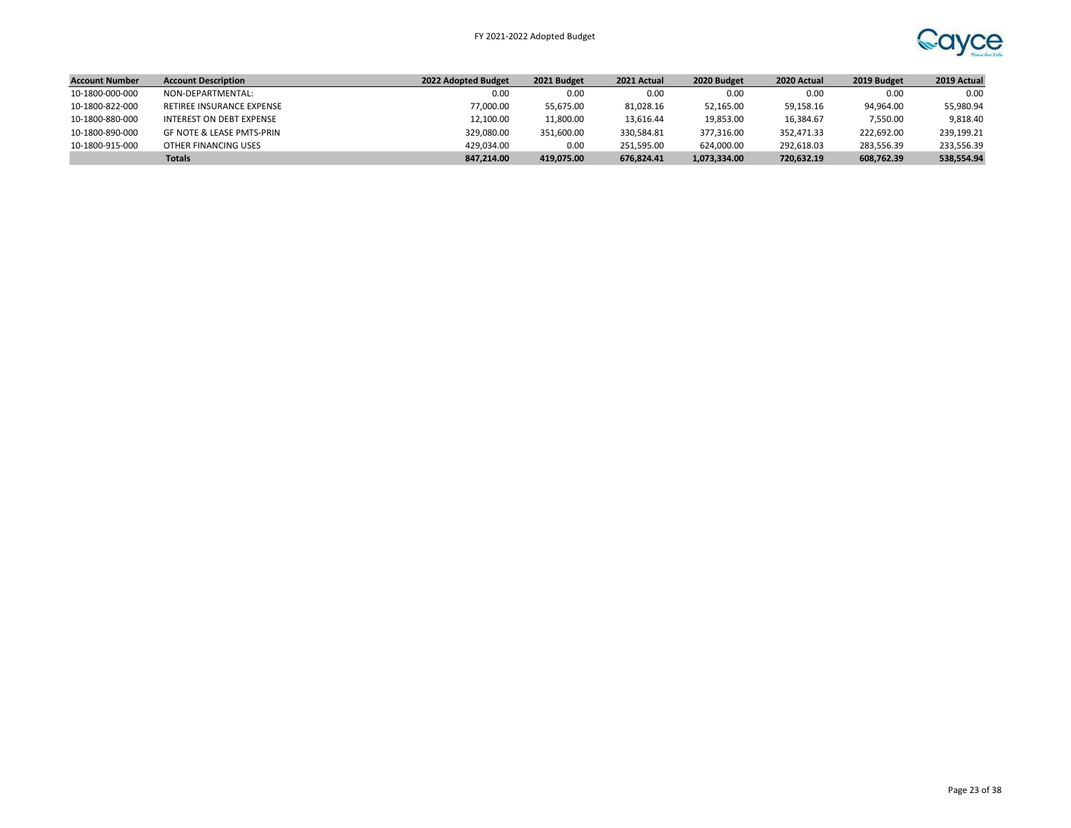

| <b>Account Number</b> | <b>Account Description</b>           | 2022 Adopted Budget | 2021 Budget | 2021 Actual | 2020 Budget  | 2020 Actual | 2019 Budget | 2019 Actual |
|-----------------------|--------------------------------------|---------------------|-------------|-------------|--------------|-------------|-------------|-------------|
| 10-1800-000-000       | NON-DEPARTMENTAL:                    | 0.00                | 0.00        | 0.00        | 0.00         | 0.00        | 0.00        | 0.00        |
| 10-1800-822-000       | RETIREE INSURANCE EXPENSE            | 77.000.00           | 55.675.00   | 81,028.16   | 52,165.00    | 59,158.16   | 94,964.00   | 55,980.94   |
| 10-1800-880-000       | INTEREST ON DEBT EXPENSE             | 12.100.00           | 11,800.00   | 13,616.44   | 19,853.00    | 16.384.67   | 7,550.00    | 9.818.40    |
| 10-1800-890-000       | <b>GF NOTE &amp; LEASE PMTS-PRIN</b> | 329,080.00          | 351.600.00  | 330.584.81  | 377,316.00   | 352.471.33  | 222,692.00  | 239,199.21  |
| 10-1800-915-000       | OTHER FINANCING USES                 | 429.034.00          | 0.00        | 251.595.00  | 624,000.00   | 292,618.03  | 283.556.39  | 233,556.39  |
|                       | <b>Totals</b>                        | 847,214.00          | 419.075.00  | 676.824.41  | 1,073,334.00 | 720,632.19  | 608,762.39  | 538,554.94  |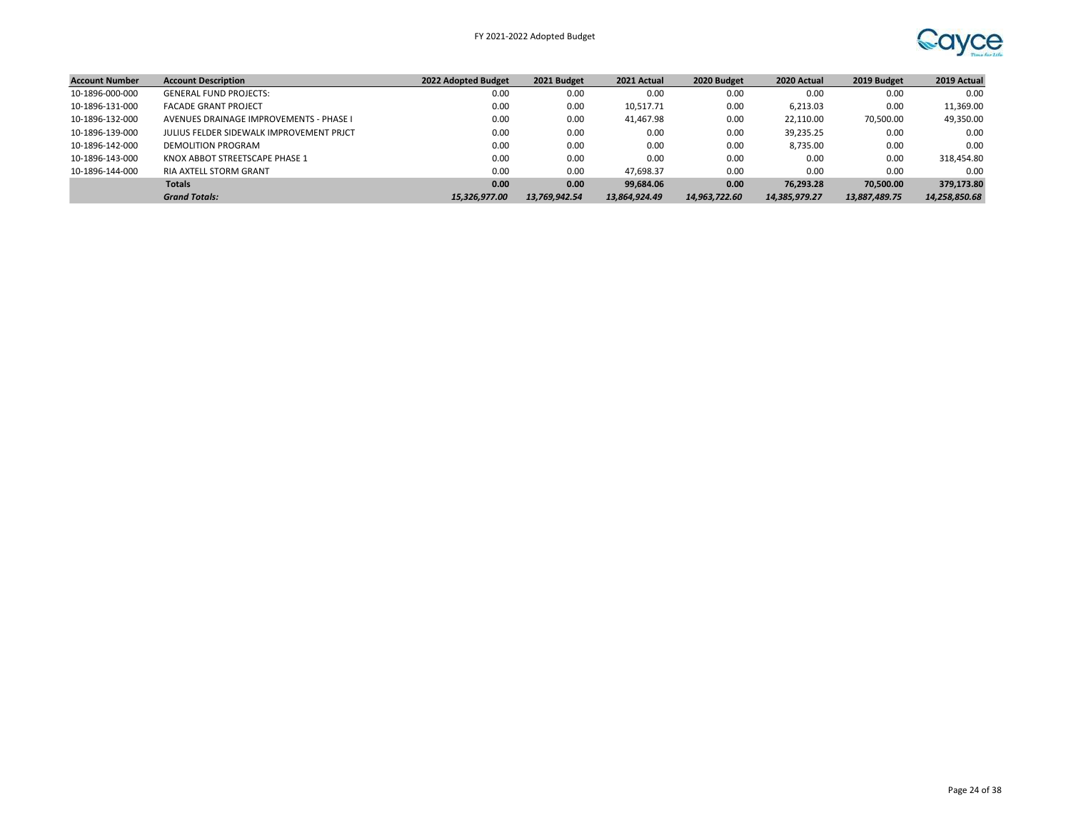

| <b>Account Number</b> | <b>Account Description</b>               | 2022 Adopted Budget | 2021 Budget   | 2021 Actual   | 2020 Budget   | 2020 Actual   | 2019 Budget   | 2019 Actual   |
|-----------------------|------------------------------------------|---------------------|---------------|---------------|---------------|---------------|---------------|---------------|
| 10-1896-000-000       | <b>GENERAL FUND PROJECTS:</b>            | 0.00                | 0.00          | 0.00          | 0.00          | 0.00          | 0.00          | 0.00          |
| 10-1896-131-000       | <b>FACADE GRANT PROJECT</b>              | 0.00                | 0.00          | 10,517.71     | 0.00          | 6.213.03      | 0.00          | 11,369.00     |
| 10-1896-132-000       | AVENUES DRAINAGE IMPROVEMENTS - PHASE I  | 0.00                | 0.00          | 41,467.98     | 0.00          | 22,110.00     | 70,500.00     | 49,350.00     |
| 10-1896-139-000       | JULIUS FELDER SIDEWALK IMPROVEMENT PRICT | 0.00                | 0.00          | 0.00          | 0.00          | 39,235.25     | 0.00          | 0.00          |
| 10-1896-142-000       | DEMOLITION PROGRAM                       | 0.00                | 0.00          | 0.00          | 0.00          | 8,735.00      | 0.00          | 0.00          |
| 10-1896-143-000       | KNOX ABBOT STREETSCAPE PHASE 1           | 0.00                | 0.00          | 0.00          | 0.00          | 0.00          | 0.00          | 318,454.80    |
| 10-1896-144-000       | <b>RIA AXTELL STORM GRANT</b>            | 0.00                | 0.00          | 47.698.37     | 0.00          | 0.00          | 0.00          | 0.00          |
|                       | <b>Totals</b>                            | 0.00                | 0.00          | 99.684.06     | 0.00          | 76.293.28     | 70,500,00     | 379,173.80    |
|                       | <b>Grand Totals:</b>                     | 15.326.977.00       | 13.769.942.54 | 13.864.924.49 | 14.963.722.60 | 14,385,979.27 | 13,887,489.75 | 14,258,850.68 |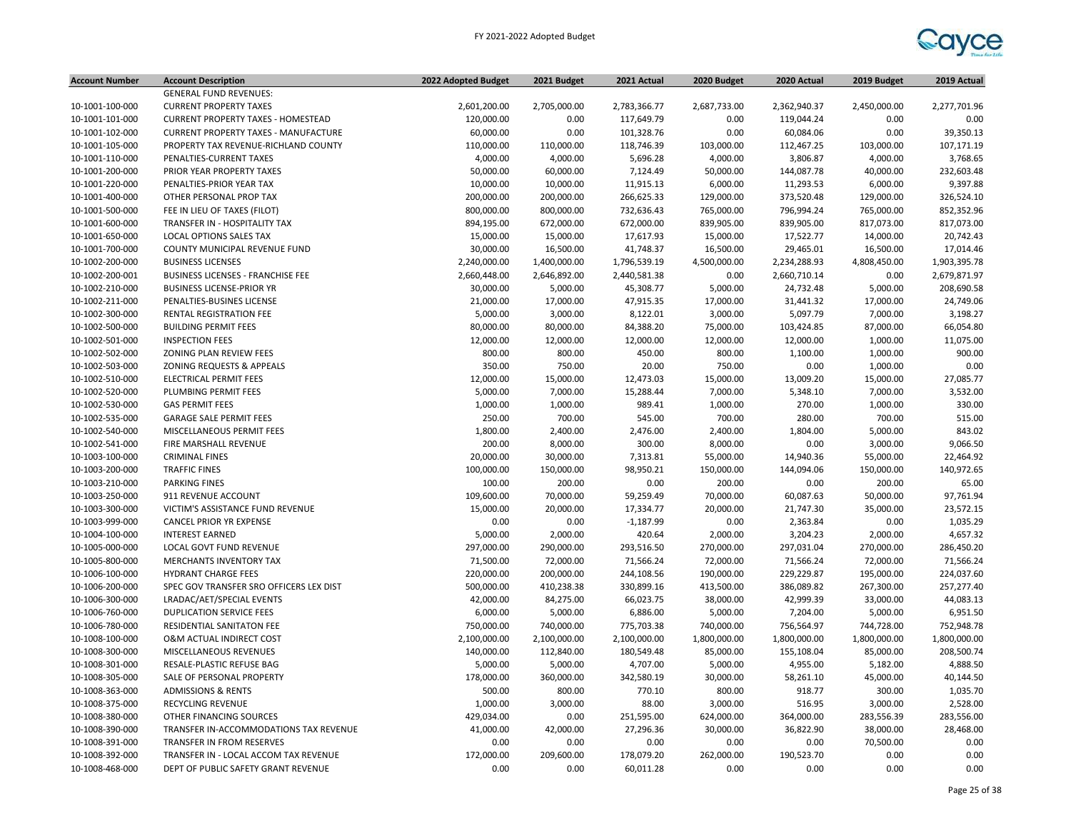

| <b>Account Number</b> | <b>Account Description</b>                  | 2022 Adopted Budget | 2021 Budget  | 2021 Actual  | 2020 Budget  | 2020 Actual  | 2019 Budget  | 2019 Actual  |
|-----------------------|---------------------------------------------|---------------------|--------------|--------------|--------------|--------------|--------------|--------------|
|                       | <b>GENERAL FUND REVENUES:</b>               |                     |              |              |              |              |              |              |
| 10-1001-100-000       | <b>CURRENT PROPERTY TAXES</b>               | 2,601,200.00        | 2,705,000.00 | 2,783,366.77 | 2,687,733.00 | 2,362,940.37 | 2,450,000.00 | 2,277,701.96 |
| 10-1001-101-000       | <b>CURRENT PROPERTY TAXES - HOMESTEAD</b>   | 120,000.00          | 0.00         | 117,649.79   | 0.00         | 119,044.24   | 0.00         | 0.00         |
| 10-1001-102-000       | <b>CURRENT PROPERTY TAXES - MANUFACTURE</b> | 60,000.00           | 0.00         | 101,328.76   | 0.00         | 60,084.06    | 0.00         | 39,350.13    |
| 10-1001-105-000       | PROPERTY TAX REVENUE-RICHLAND COUNTY        | 110,000.00          | 110,000.00   | 118,746.39   | 103,000.00   | 112,467.25   | 103,000.00   | 107,171.19   |
| 10-1001-110-000       | PENALTIES-CURRENT TAXES                     | 4,000.00            | 4,000.00     | 5,696.28     | 4,000.00     | 3,806.87     | 4,000.00     | 3,768.65     |
| 10-1001-200-000       | PRIOR YEAR PROPERTY TAXES                   | 50,000.00           | 60,000.00    | 7,124.49     | 50,000.00    | 144,087.78   | 40,000.00    | 232,603.48   |
| 10-1001-220-000       | PENALTIES-PRIOR YEAR TAX                    | 10,000.00           | 10,000.00    | 11,915.13    | 6,000.00     | 11,293.53    | 6,000.00     | 9,397.88     |
| 10-1001-400-000       | OTHER PERSONAL PROP TAX                     | 200,000.00          | 200,000.00   | 266,625.33   | 129,000.00   | 373,520.48   | 129,000.00   | 326,524.10   |
| 10-1001-500-000       | FEE IN LIEU OF TAXES (FILOT)                | 800,000.00          | 800,000.00   | 732,636.43   | 765,000.00   | 796,994.24   | 765,000.00   | 852,352.96   |
| 10-1001-600-000       | TRANSFER IN - HOSPITALITY TAX               | 894,195.00          | 672,000.00   | 672,000.00   | 839,905.00   | 839,905.00   | 817,073.00   | 817,073.00   |
| 10-1001-650-000       | LOCAL OPTIONS SALES TAX                     | 15,000.00           | 15,000.00    | 17,617.93    | 15,000.00    | 17,522.77    | 14,000.00    | 20,742.43    |
| 10-1001-700-000       | COUNTY MUNICIPAL REVENUE FUND               | 30,000.00           | 16,500.00    | 41,748.37    | 16,500.00    | 29,465.01    | 16,500.00    | 17,014.46    |
| 10-1002-200-000       | <b>BUSINESS LICENSES</b>                    | 2,240,000.00        | 1,400,000.00 | 1,796,539.19 | 4,500,000.00 | 2,234,288.93 | 4,808,450.00 | 1,903,395.78 |
| 10-1002-200-001       | <b>BUSINESS LICENSES - FRANCHISE FEE</b>    | 2,660,448.00        | 2,646,892.00 | 2,440,581.38 | 0.00         | 2,660,710.14 | 0.00         | 2,679,871.97 |
| 10-1002-210-000       | <b>BUSINESS LICENSE-PRIOR YR</b>            | 30,000.00           | 5,000.00     | 45,308.77    | 5,000.00     | 24,732.48    | 5,000.00     | 208,690.58   |
| 10-1002-211-000       | PENALTIES-BUSINES LICENSE                   | 21,000.00           | 17,000.00    | 47,915.35    | 17,000.00    | 31,441.32    | 17,000.00    | 24,749.06    |
| 10-1002-300-000       | RENTAL REGISTRATION FEE                     | 5,000.00            | 3,000.00     | 8,122.01     | 3,000.00     | 5,097.79     | 7,000.00     | 3,198.27     |
| 10-1002-500-000       | <b>BUILDING PERMIT FEES</b>                 | 80,000.00           | 80,000.00    | 84,388.20    | 75,000.00    | 103,424.85   | 87,000.00    | 66,054.80    |
| 10-1002-501-000       | <b>INSPECTION FEES</b>                      | 12,000.00           | 12,000.00    | 12,000.00    | 12,000.00    | 12,000.00    | 1,000.00     | 11,075.00    |
| 10-1002-502-000       | ZONING PLAN REVIEW FEES                     | 800.00              | 800.00       | 450.00       | 800.00       | 1,100.00     | 1,000.00     | 900.00       |
| 10-1002-503-000       | ZONING REQUESTS & APPEALS                   | 350.00              | 750.00       | 20.00        | 750.00       | 0.00         | 1,000.00     | 0.00         |
| 10-1002-510-000       | ELECTRICAL PERMIT FEES                      | 12,000.00           | 15,000.00    | 12,473.03    | 15,000.00    | 13,009.20    | 15,000.00    | 27,085.77    |
| 10-1002-520-000       | PLUMBING PERMIT FEES                        | 5,000.00            | 7,000.00     | 15,288.44    | 7,000.00     | 5,348.10     | 7,000.00     | 3,532.00     |
| 10-1002-530-000       | <b>GAS PERMIT FEES</b>                      | 1,000.00            | 1,000.00     | 989.41       | 1,000.00     | 270.00       | 1,000.00     | 330.00       |
| 10-1002-535-000       | <b>GARAGE SALE PERMIT FEES</b>              | 250.00              | 700.00       | 545.00       | 700.00       | 280.00       | 700.00       | 515.00       |
| 10-1002-540-000       | MISCELLANEOUS PERMIT FEES                   | 1,800.00            | 2,400.00     | 2,476.00     | 2,400.00     | 1,804.00     | 5,000.00     | 843.02       |
| 10-1002-541-000       | FIRE MARSHALL REVENUE                       | 200.00              | 8,000.00     | 300.00       | 8,000.00     | 0.00         | 3,000.00     | 9,066.50     |
| 10-1003-100-000       | <b>CRIMINAL FINES</b>                       | 20,000.00           | 30,000.00    | 7,313.81     | 55,000.00    | 14,940.36    | 55,000.00    | 22,464.92    |
| 10-1003-200-000       | <b>TRAFFIC FINES</b>                        | 100,000.00          | 150,000.00   | 98,950.21    | 150,000.00   | 144,094.06   | 150,000.00   | 140,972.65   |
| 10-1003-210-000       | <b>PARKING FINES</b>                        | 100.00              | 200.00       | 0.00         | 200.00       | 0.00         | 200.00       | 65.00        |
| 10-1003-250-000       | 911 REVENUE ACCOUNT                         | 109,600.00          | 70,000.00    | 59,259.49    | 70,000.00    | 60,087.63    | 50,000.00    | 97,761.94    |
| 10-1003-300-000       | VICTIM'S ASSISTANCE FUND REVENUE            | 15,000.00           | 20,000.00    | 17,334.77    | 20,000.00    | 21,747.30    | 35,000.00    | 23,572.15    |
| 10-1003-999-000       | CANCEL PRIOR YR EXPENSE                     | 0.00                | 0.00         | $-1,187.99$  | 0.00         | 2,363.84     | 0.00         | 1,035.29     |
| 10-1004-100-000       | <b>INTEREST EARNED</b>                      | 5,000.00            | 2,000.00     | 420.64       | 2,000.00     | 3,204.23     | 2,000.00     | 4,657.32     |
| 10-1005-000-000       | LOCAL GOVT FUND REVENUE                     | 297,000.00          | 290,000.00   | 293,516.50   | 270,000.00   | 297,031.04   | 270,000.00   | 286,450.20   |
| 10-1005-800-000       | MERCHANTS INVENTORY TAX                     | 71,500.00           | 72,000.00    | 71,566.24    | 72,000.00    | 71,566.24    | 72,000.00    | 71,566.24    |
| 10-1006-100-000       | HYDRANT CHARGE FEES                         | 220,000.00          | 200,000.00   | 244,108.56   | 190,000.00   | 229,229.87   | 195,000.00   | 224,037.60   |
| 10-1006-200-000       | SPEC GOV TRANSFER SRO OFFICERS LEX DIST     | 500,000.00          | 410,238.38   | 330,899.16   | 413,500.00   | 386,089.82   | 267,300.00   | 257,277.40   |
| 10-1006-300-000       | LRADAC/AET/SPECIAL EVENTS                   | 42,000.00           | 84,275.00    | 66,023.75    | 38,000.00    | 42,999.39    | 33,000.00    | 44,083.13    |
| 10-1006-760-000       | <b>DUPLICATION SERVICE FEES</b>             | 6,000.00            | 5,000.00     | 6,886.00     | 5,000.00     | 7,204.00     | 5,000.00     | 6,951.50     |
| 10-1006-780-000       | RESIDENTIAL SANITATON FEE                   | 750,000.00          | 740,000.00   | 775,703.38   | 740,000.00   | 756,564.97   | 744,728.00   | 752,948.78   |
| 10-1008-100-000       | O&M ACTUAL INDIRECT COST                    | 2,100,000.00        | 2,100,000.00 | 2,100,000.00 | 1,800,000.00 | 1,800,000.00 | 1,800,000.00 | 1,800,000.00 |
| 10-1008-300-000       | MISCELLANEOUS REVENUES                      | 140,000.00          | 112,840.00   | 180,549.48   | 85,000.00    | 155,108.04   | 85,000.00    | 208,500.74   |
| 10-1008-301-000       | RESALE-PLASTIC REFUSE BAG                   | 5,000.00            | 5,000.00     | 4,707.00     | 5,000.00     | 4,955.00     | 5,182.00     | 4,888.50     |
| 10-1008-305-000       | SALE OF PERSONAL PROPERTY                   | 178,000.00          | 360,000.00   | 342,580.19   | 30,000.00    | 58,261.10    | 45,000.00    | 40,144.50    |
| 10-1008-363-000       | <b>ADMISSIONS &amp; RENTS</b>               | 500.00              | 800.00       | 770.10       | 800.00       | 918.77       | 300.00       | 1,035.70     |
| 10-1008-375-000       | <b>RECYCLING REVENUE</b>                    | 1,000.00            | 3,000.00     | 88.00        | 3,000.00     | 516.95       | 3,000.00     | 2,528.00     |
| 10-1008-380-000       | OTHER FINANCING SOURCES                     | 429,034.00          | 0.00         | 251,595.00   | 624,000.00   | 364,000.00   | 283,556.39   | 283,556.00   |
| 10-1008-390-000       | TRANSFER IN-ACCOMMODATIONS TAX REVENUE      | 41,000.00           | 42,000.00    | 27,296.36    | 30,000.00    | 36,822.90    | 38,000.00    | 28,468.00    |
| 10-1008-391-000       | TRANSFER IN FROM RESERVES                   | 0.00                | 0.00         | 0.00         | 0.00         | 0.00         | 70,500.00    | 0.00         |
| 10-1008-392-000       | TRANSFER IN - LOCAL ACCOM TAX REVENUE       | 172,000.00          | 209,600.00   | 178,079.20   | 262,000.00   | 190,523.70   | 0.00         | 0.00         |
| 10-1008-468-000       | DEPT OF PUBLIC SAFETY GRANT REVENUE         | 0.00                | 0.00         | 60,011.28    | 0.00         | 0.00         | 0.00         | 0.00         |
|                       |                                             |                     |              |              |              |              |              |              |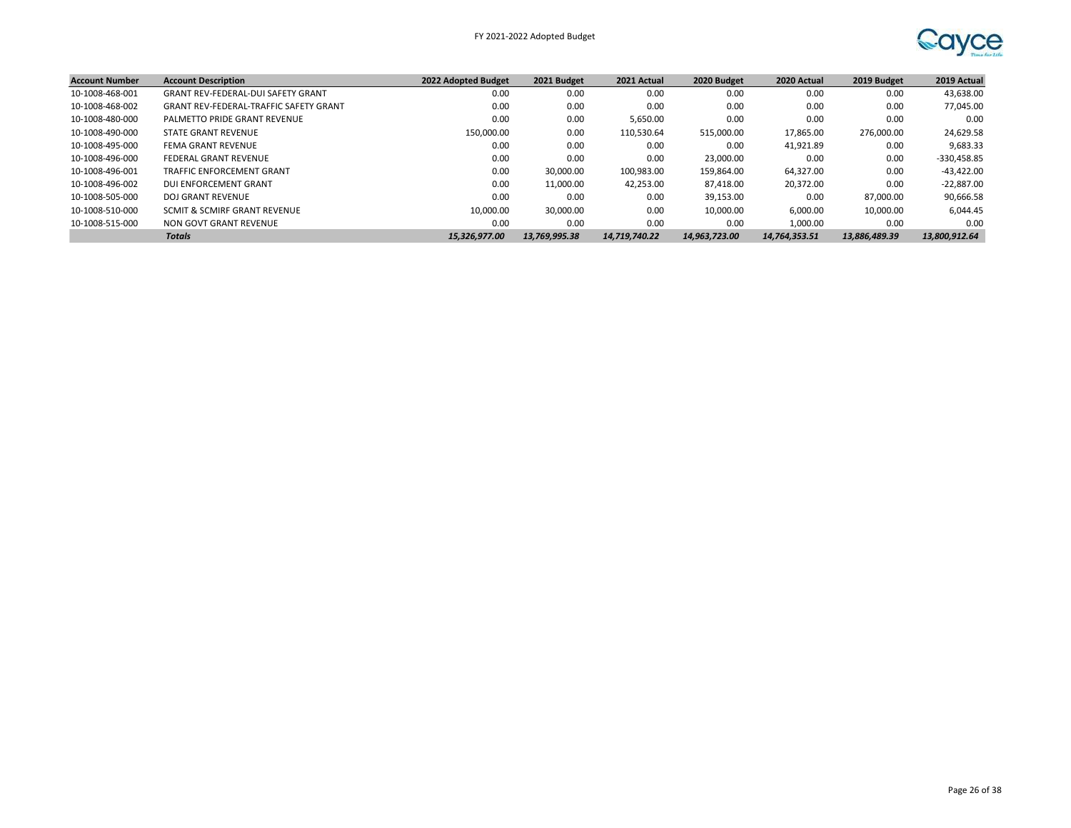

| <b>Account Number</b> | <b>Account Description</b>                    | 2022 Adopted Budget | 2021 Budget   | 2021 Actual   | 2020 Budget   | 2020 Actual   | 2019 Budget   | 2019 Actual   |
|-----------------------|-----------------------------------------------|---------------------|---------------|---------------|---------------|---------------|---------------|---------------|
| 10-1008-468-001       | <b>GRANT REV-FEDERAL-DUI SAFETY GRANT</b>     | 0.00                | 0.00          | 0.00          | 0.00          | 0.00          | 0.00          | 43,638.00     |
| 10-1008-468-002       | <b>GRANT REV-FEDERAL-TRAFFIC SAFETY GRANT</b> | 0.00                | 0.00          | 0.00          | 0.00          | 0.00          | 0.00          | 77,045.00     |
| 10-1008-480-000       | PALMETTO PRIDE GRANT REVENUE                  | 0.00                | 0.00          | 5,650.00      | 0.00          | 0.00          | 0.00          | 0.00          |
| 10-1008-490-000       | STATE GRANT REVENUE                           | 150.000.00          | 0.00          | 110.530.64    | 515,000.00    | 17.865.00     | 276.000.00    | 24,629.58     |
| 10-1008-495-000       | FEMA GRANT REVENUE                            | 0.00                | 0.00          | 0.00          | 0.00          | 41,921.89     | 0.00          | 9,683.33      |
| 10-1008-496-000       | <b>FEDERAL GRANT REVENUE</b>                  | 0.00                | 0.00          | 0.00          | 23.000.00     | 0.00          | 0.00          | -330,458.85   |
| 10-1008-496-001       | TRAFFIC ENFORCEMENT GRANT                     | 0.00                | 30.000.00     | 100,983.00    | 159,864.00    | 64,327.00     | 0.00          | $-43,422.00$  |
| 10-1008-496-002       | DUI ENFORCEMENT GRANT                         | 0.00                | 11,000.00     | 42,253.00     | 87,418.00     | 20,372.00     | 0.00          | $-22,887.00$  |
| 10-1008-505-000       | DOJ GRANT REVENUE                             | 0.00                | 0.00          | 0.00          | 39,153.00     | 0.00          | 87.000.00     | 90,666.58     |
| 10-1008-510-000       | SCMIT & SCMIRF GRANT REVENUE                  | 10.000.00           | 30.000.00     | 0.00          | 10,000.00     | 6,000.00      | 10.000.00     | 6,044.45      |
| 10-1008-515-000       | NON GOVT GRANT REVENUE                        | 0.00                | 0.00          | 0.00          | 0.00          | 1,000.00      | 0.00          | 0.00          |
|                       | <b>Totals</b>                                 | 15,326,977.00       | 13,769,995.38 | 14,719,740.22 | 14.963.723.00 | 14,764,353.51 | 13,886,489.39 | 13,800,912.64 |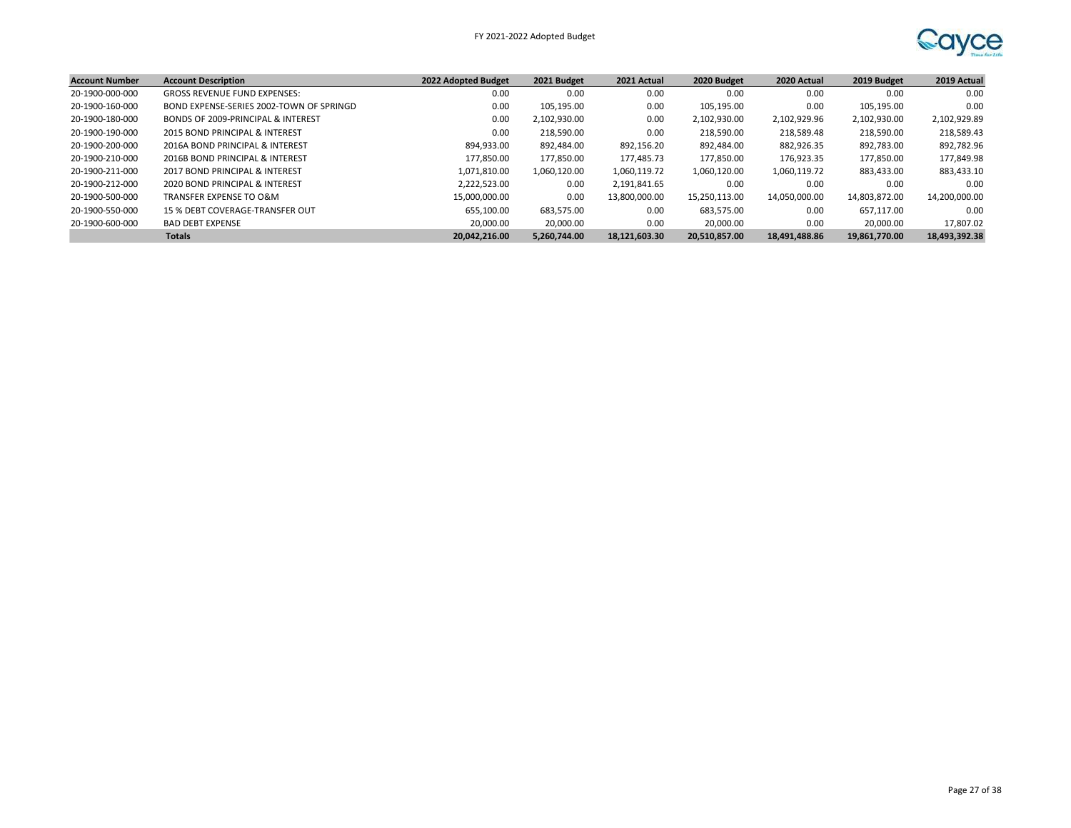

| <b>Account Number</b> | <b>Account Description</b>               | 2022 Adopted Budget | 2021 Budget  | 2021 Actual   | 2020 Budget   | 2020 Actual   | 2019 Budget   | 2019 Actual   |
|-----------------------|------------------------------------------|---------------------|--------------|---------------|---------------|---------------|---------------|---------------|
| 20-1900-000-000       | <b>GROSS REVENUE FUND EXPENSES:</b>      | 0.00                | 0.00         | 0.00          | 0.00          | 0.00          | 0.00          | 0.00          |
| 20-1900-160-000       | BOND EXPENSE-SERIES 2002-TOWN OF SPRINGD | 0.00                | 105,195.00   | 0.00          | 105,195.00    | 0.00          | 105,195.00    | 0.00          |
| 20-1900-180-000       | BONDS OF 2009-PRINCIPAL & INTEREST       | 0.00                | 2.102.930.00 | 0.00          | 2,102,930.00  | 2,102,929.96  | 2,102,930.00  | 2,102,929.89  |
| 20-1900-190-000       | 2015 BOND PRINCIPAL & INTEREST           | 0.00                | 218.590.00   | 0.00          | 218,590.00    | 218,589.48    | 218,590.00    | 218,589.43    |
| 20-1900-200-000       | 2016A BOND PRINCIPAL & INTEREST          | 894.933.00          | 892,484.00   | 892,156.20    | 892,484.00    | 882,926.35    | 892,783.00    | 892,782.96    |
| 20-1900-210-000       | 2016B BOND PRINCIPAL & INTEREST          | 177,850.00          | 177,850.00   | 177.485.73    | 177,850.00    | 176.923.35    | 177,850.00    | 177,849.98    |
| 20-1900-211-000       | 2017 BOND PRINCIPAL & INTEREST           | 1,071,810.00        | 1,060,120.00 | 1,060,119.72  | 1,060,120.00  | 1,060,119.72  | 883,433.00    | 883,433.10    |
| 20-1900-212-000       | 2020 BOND PRINCIPAL & INTEREST           | 2.222.523.00        | 0.00         | 2.191.841.65  | 0.00          | 0.00          | 0.00          | 0.00          |
| 20-1900-500-000       | TRANSFER EXPENSE TO O&M                  | 15,000,000.00       | 0.00         | 13.800.000.00 | 15.250.113.00 | 14,050,000.00 | 14,803,872.00 | 14,200,000.00 |
| 20-1900-550-000       | 15 % DEBT COVERAGE-TRANSFER OUT          | 655,100.00          | 683,575.00   | 0.00          | 683.575.00    | 0.00          | 657.117.00    | 0.00          |
| 20-1900-600-000       | <b>BAD DEBT EXPENSE</b>                  | 20,000.00           | 20,000.00    | 0.00          | 20,000.00     | 0.00          | 20,000.00     | 17,807.02     |
|                       | <b>Totals</b>                            | 20.042.216.00       | 5.260.744.00 | 18,121,603.30 | 20,510,857.00 | 18,491,488.86 | 19,861,770.00 | 18,493,392.38 |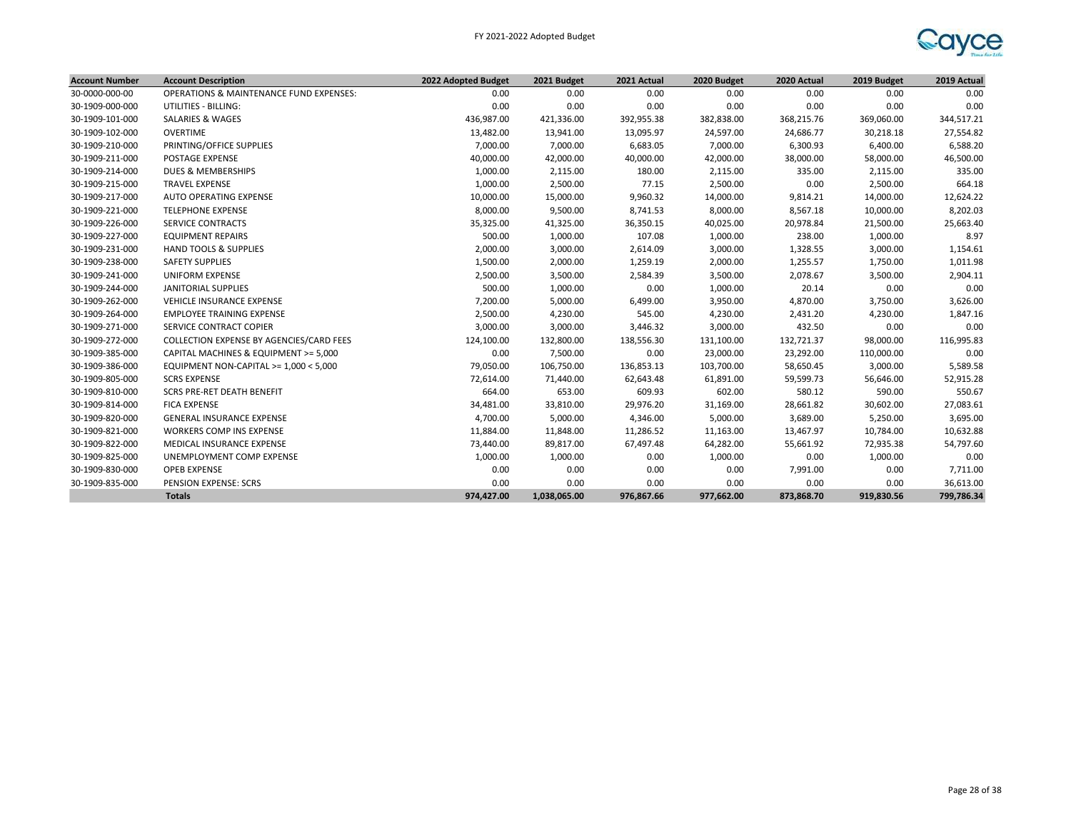

| <b>Account Number</b> | <b>Account Description</b>               | 2022 Adopted Budget | 2021 Budget  | 2021 Actual | 2020 Budget | 2020 Actual | 2019 Budget | 2019 Actual |
|-----------------------|------------------------------------------|---------------------|--------------|-------------|-------------|-------------|-------------|-------------|
| 30-0000-000-00        | OPERATIONS & MAINTENANCE FUND EXPENSES:  | 0.00                | 0.00         | 0.00        | 0.00        | 0.00        | 0.00        | 0.00        |
| 30-1909-000-000       | UTILITIES - BILLING:                     | 0.00                | 0.00         | 0.00        | 0.00        | 0.00        | 0.00        | 0.00        |
| 30-1909-101-000       | <b>SALARIES &amp; WAGES</b>              | 436,987.00          | 421,336.00   | 392,955.38  | 382,838.00  | 368,215.76  | 369,060.00  | 344,517.21  |
| 30-1909-102-000       | <b>OVERTIME</b>                          | 13,482.00           | 13,941.00    | 13,095.97   | 24,597.00   | 24,686.77   | 30,218.18   | 27,554.82   |
| 30-1909-210-000       | PRINTING/OFFICE SUPPLIES                 | 7,000.00            | 7,000.00     | 6,683.05    | 7,000.00    | 6,300.93    | 6,400.00    | 6,588.20    |
| 30-1909-211-000       | POSTAGE EXPENSE                          | 40,000.00           | 42,000.00    | 40,000.00   | 42,000.00   | 38,000.00   | 58,000.00   | 46,500.00   |
| 30-1909-214-000       | <b>DUES &amp; MEMBERSHIPS</b>            | 1,000.00            | 2,115.00     | 180.00      | 2,115.00    | 335.00      | 2,115.00    | 335.00      |
| 30-1909-215-000       | <b>TRAVEL EXPENSE</b>                    | 1,000.00            | 2,500.00     | 77.15       | 2,500.00    | 0.00        | 2,500.00    | 664.18      |
| 30-1909-217-000       | AUTO OPERATING EXPENSE                   | 10,000.00           | 15,000.00    | 9,960.32    | 14,000.00   | 9,814.21    | 14,000.00   | 12,624.22   |
| 30-1909-221-000       | <b>TELEPHONE EXPENSE</b>                 | 8,000.00            | 9,500.00     | 8,741.53    | 8,000.00    | 8,567.18    | 10,000.00   | 8,202.03    |
| 30-1909-226-000       | <b>SERVICE CONTRACTS</b>                 | 35,325.00           | 41,325.00    | 36,350.15   | 40,025.00   | 20,978.84   | 21,500.00   | 25,663.40   |
| 30-1909-227-000       | <b>EQUIPMENT REPAIRS</b>                 | 500.00              | 1,000.00     | 107.08      | 1,000.00    | 238.00      | 1,000.00    | 8.97        |
| 30-1909-231-000       | <b>HAND TOOLS &amp; SUPPLIES</b>         | 2,000.00            | 3,000.00     | 2,614.09    | 3,000.00    | 1,328.55    | 3,000.00    | 1,154.61    |
| 30-1909-238-000       | <b>SAFETY SUPPLIES</b>                   | 1,500.00            | 2,000.00     | 1,259.19    | 2,000.00    | 1,255.57    | 1,750.00    | 1,011.98    |
| 30-1909-241-000       | <b>UNIFORM EXPENSE</b>                   | 2,500.00            | 3,500.00     | 2,584.39    | 3,500.00    | 2,078.67    | 3,500.00    | 2,904.11    |
| 30-1909-244-000       | <b>JANITORIAL SUPPLIES</b>               | 500.00              | 1,000.00     | 0.00        | 1,000.00    | 20.14       | 0.00        | 0.00        |
| 30-1909-262-000       | VEHICLE INSURANCE EXPENSE                | 7,200.00            | 5,000.00     | 6,499.00    | 3,950.00    | 4,870.00    | 3,750.00    | 3,626.00    |
| 30-1909-264-000       | <b>EMPLOYEE TRAINING EXPENSE</b>         | 2,500.00            | 4,230.00     | 545.00      | 4,230.00    | 2,431.20    | 4,230.00    | 1,847.16    |
| 30-1909-271-000       | SERVICE CONTRACT COPIER                  | 3,000.00            | 3,000.00     | 3,446.32    | 3,000.00    | 432.50      | 0.00        | 0.00        |
| 30-1909-272-000       | COLLECTION EXPENSE BY AGENCIES/CARD FEES | 124,100.00          | 132,800.00   | 138,556.30  | 131,100.00  | 132,721.37  | 98,000.00   | 116,995.83  |
| 30-1909-385-000       | CAPITAL MACHINES & EQUIPMENT >= 5,000    | 0.00                | 7,500.00     | 0.00        | 23,000.00   | 23,292.00   | 110,000.00  | 0.00        |
| 30-1909-386-000       | EQUIPMENT NON-CAPITAL >= 1,000 < 5,000   | 79,050.00           | 106,750.00   | 136,853.13  | 103,700.00  | 58,650.45   | 3,000.00    | 5,589.58    |
| 30-1909-805-000       | <b>SCRS EXPENSE</b>                      | 72,614.00           | 71,440.00    | 62,643.48   | 61,891.00   | 59,599.73   | 56,646.00   | 52,915.28   |
| 30-1909-810-000       | <b>SCRS PRE-RET DEATH BENEFIT</b>        | 664.00              | 653.00       | 609.93      | 602.00      | 580.12      | 590.00      | 550.67      |
| 30-1909-814-000       | <b>FICA EXPENSE</b>                      | 34,481.00           | 33,810.00    | 29,976.20   | 31,169.00   | 28,661.82   | 30,602.00   | 27,083.61   |
| 30-1909-820-000       | <b>GENERAL INSURANCE EXPENSE</b>         | 4,700.00            | 5,000.00     | 4,346.00    | 5,000.00    | 3,689.00    | 5,250.00    | 3,695.00    |
| 30-1909-821-000       | WORKERS COMP INS EXPENSE                 | 11,884.00           | 11,848.00    | 11,286.52   | 11,163.00   | 13,467.97   | 10,784.00   | 10,632.88   |
| 30-1909-822-000       | MEDICAL INSURANCE EXPENSE                | 73,440.00           | 89,817.00    | 67,497.48   | 64,282.00   | 55,661.92   | 72,935.38   | 54,797.60   |
| 30-1909-825-000       | UNEMPLOYMENT COMP EXPENSE                | 1,000.00            | 1,000.00     | 0.00        | 1,000.00    | 0.00        | 1,000.00    | 0.00        |
| 30-1909-830-000       | <b>OPEB EXPENSE</b>                      | 0.00                | 0.00         | 0.00        | 0.00        | 7,991.00    | 0.00        | 7,711.00    |
| 30-1909-835-000       | PENSION EXPENSE: SCRS                    | 0.00                | 0.00         | 0.00        | 0.00        | 0.00        | 0.00        | 36,613.00   |
|                       | <b>Totals</b>                            | 974,427.00          | 1,038,065.00 | 976.867.66  | 977,662.00  | 873,868.70  | 919.830.56  | 799,786.34  |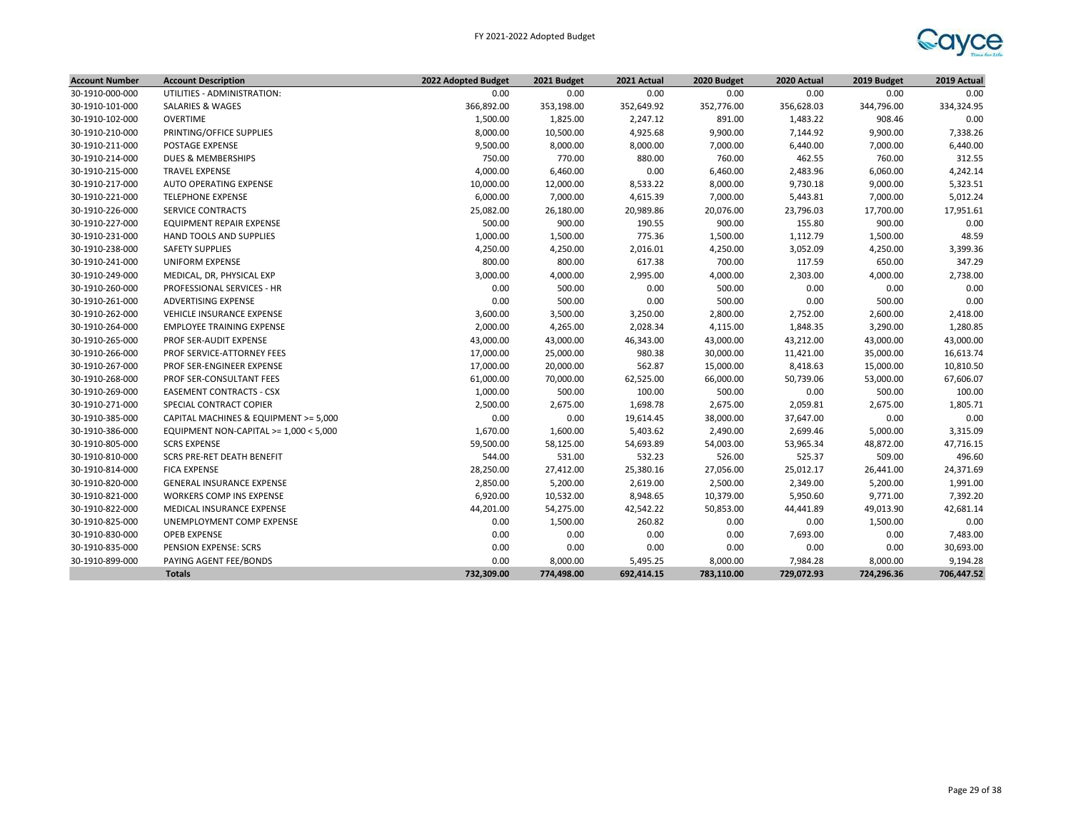

| <b>Account Number</b> | <b>Account Description</b>             | 2022 Adopted Budget | 2021 Budget | 2021 Actual | 2020 Budget | 2020 Actual | 2019 Budget | 2019 Actual |
|-----------------------|----------------------------------------|---------------------|-------------|-------------|-------------|-------------|-------------|-------------|
| 30-1910-000-000       | UTILITIES - ADMINISTRATION:            | 0.00                | 0.00        | 0.00        | 0.00        | 0.00        | 0.00        | 0.00        |
| 30-1910-101-000       | <b>SALARIES &amp; WAGES</b>            | 366,892.00          | 353,198.00  | 352,649.92  | 352,776.00  | 356,628.03  | 344,796.00  | 334,324.95  |
| 30-1910-102-000       | <b>OVERTIME</b>                        | 1,500.00            | 1,825.00    | 2,247.12    | 891.00      | 1,483.22    | 908.46      | 0.00        |
| 30-1910-210-000       | PRINTING/OFFICE SUPPLIES               | 8,000.00            | 10,500.00   | 4,925.68    | 9,900.00    | 7,144.92    | 9,900.00    | 7,338.26    |
| 30-1910-211-000       | POSTAGE EXPENSE                        | 9,500.00            | 8,000.00    | 8,000.00    | 7,000.00    | 6,440.00    | 7,000.00    | 6,440.00    |
| 30-1910-214-000       | <b>DUES &amp; MEMBERSHIPS</b>          | 750.00              | 770.00      | 880.00      | 760.00      | 462.55      | 760.00      | 312.55      |
| 30-1910-215-000       | <b>TRAVEL EXPENSE</b>                  | 4,000.00            | 6,460.00    | 0.00        | 6,460.00    | 2,483.96    | 6,060.00    | 4,242.14    |
| 30-1910-217-000       | AUTO OPERATING EXPENSE                 | 10,000.00           | 12,000.00   | 8,533.22    | 8,000.00    | 9,730.18    | 9,000.00    | 5,323.51    |
| 30-1910-221-000       | <b>TELEPHONE EXPENSE</b>               | 6,000.00            | 7,000.00    | 4,615.39    | 7,000.00    | 5,443.81    | 7,000.00    | 5,012.24    |
| 30-1910-226-000       | <b>SERVICE CONTRACTS</b>               | 25,082.00           | 26,180.00   | 20,989.86   | 20,076.00   | 23,796.03   | 17,700.00   | 17,951.61   |
| 30-1910-227-000       | EQUIPMENT REPAIR EXPENSE               | 500.00              | 900.00      | 190.55      | 900.00      | 155.80      | 900.00      | 0.00        |
| 30-1910-231-000       | HAND TOOLS AND SUPPLIES                | 1,000.00            | 1,500.00    | 775.36      | 1,500.00    | 1,112.79    | 1,500.00    | 48.59       |
| 30-1910-238-000       | <b>SAFETY SUPPLIES</b>                 | 4,250.00            | 4,250.00    | 2,016.01    | 4,250.00    | 3,052.09    | 4,250.00    | 3,399.36    |
| 30-1910-241-000       | <b>UNIFORM EXPENSE</b>                 | 800.00              | 800.00      | 617.38      | 700.00      | 117.59      | 650.00      | 347.29      |
| 30-1910-249-000       | MEDICAL, DR, PHYSICAL EXP              | 3,000.00            | 4,000.00    | 2,995.00    | 4,000.00    | 2,303.00    | 4,000.00    | 2,738.00    |
| 30-1910-260-000       | <b>PROFESSIONAL SERVICES - HR</b>      | 0.00                | 500.00      | 0.00        | 500.00      | 0.00        | 0.00        | 0.00        |
| 30-1910-261-000       | ADVERTISING EXPENSE                    | 0.00                | 500.00      | 0.00        | 500.00      | 0.00        | 500.00      | 0.00        |
| 30-1910-262-000       | <b>VEHICLE INSURANCE EXPENSE</b>       | 3,600.00            | 3,500.00    | 3,250.00    | 2,800.00    | 2,752.00    | 2,600.00    | 2,418.00    |
| 30-1910-264-000       | <b>EMPLOYEE TRAINING EXPENSE</b>       | 2,000.00            | 4,265.00    | 2,028.34    | 4,115.00    | 1,848.35    | 3,290.00    | 1,280.85    |
| 30-1910-265-000       | PROF SER-AUDIT EXPENSE                 | 43,000.00           | 43,000.00   | 46,343.00   | 43,000.00   | 43,212.00   | 43,000.00   | 43,000.00   |
| 30-1910-266-000       | PROF SERVICE-ATTORNEY FEES             | 17,000.00           | 25,000.00   | 980.38      | 30,000.00   | 11,421.00   | 35,000.00   | 16,613.74   |
| 30-1910-267-000       | PROF SER-ENGINEER EXPENSE              | 17,000.00           | 20,000.00   | 562.87      | 15,000.00   | 8,418.63    | 15,000.00   | 10,810.50   |
| 30-1910-268-000       | PROF SER-CONSULTANT FEES               | 61,000.00           | 70,000.00   | 62,525.00   | 66,000.00   | 50,739.06   | 53,000.00   | 67,606.07   |
| 30-1910-269-000       | <b>EASEMENT CONTRACTS - CSX</b>        | 1,000.00            | 500.00      | 100.00      | 500.00      | 0.00        | 500.00      | 100.00      |
| 30-1910-271-000       | SPECIAL CONTRACT COPIER                | 2,500.00            | 2,675.00    | 1,698.78    | 2,675.00    | 2,059.81    | 2,675.00    | 1,805.71    |
| 30-1910-385-000       | CAPITAL MACHINES & EQUIPMENT >= 5,000  | 0.00                | 0.00        | 19,614.45   | 38,000.00   | 37,647.00   | 0.00        | 0.00        |
| 30-1910-386-000       | EQUIPMENT NON-CAPITAL >= 1,000 < 5,000 | 1,670.00            | 1,600.00    | 5,403.62    | 2,490.00    | 2,699.46    | 5,000.00    | 3,315.09    |
| 30-1910-805-000       | <b>SCRS EXPENSE</b>                    | 59,500.00           | 58,125.00   | 54,693.89   | 54,003.00   | 53,965.34   | 48,872.00   | 47,716.15   |
| 30-1910-810-000       | SCRS PRE-RET DEATH BENEFIT             | 544.00              | 531.00      | 532.23      | 526.00      | 525.37      | 509.00      | 496.60      |
| 30-1910-814-000       | <b>FICA EXPENSE</b>                    | 28,250.00           | 27,412.00   | 25,380.16   | 27,056.00   | 25,012.17   | 26,441.00   | 24,371.69   |
| 30-1910-820-000       | <b>GENERAL INSURANCE EXPENSE</b>       | 2,850.00            | 5,200.00    | 2,619.00    | 2,500.00    | 2,349.00    | 5,200.00    | 1,991.00    |
| 30-1910-821-000       | WORKERS COMP INS EXPENSE               | 6,920.00            | 10,532.00   | 8,948.65    | 10,379.00   | 5,950.60    | 9,771.00    | 7,392.20    |
| 30-1910-822-000       | MEDICAL INSURANCE EXPENSE              | 44,201.00           | 54,275.00   | 42,542.22   | 50,853.00   | 44,441.89   | 49,013.90   | 42,681.14   |
| 30-1910-825-000       | UNEMPLOYMENT COMP EXPENSE              | 0.00                | 1,500.00    | 260.82      | 0.00        | 0.00        | 1,500.00    | 0.00        |
| 30-1910-830-000       | <b>OPEB EXPENSE</b>                    | 0.00                | 0.00        | 0.00        | 0.00        | 7,693.00    | 0.00        | 7,483.00    |
| 30-1910-835-000       | PENSION EXPENSE: SCRS                  | 0.00                | 0.00        | 0.00        | 0.00        | 0.00        | 0.00        | 30,693.00   |
| 30-1910-899-000       | PAYING AGENT FEE/BONDS                 | 0.00                | 8,000.00    | 5,495.25    | 8,000.00    | 7,984.28    | 8,000.00    | 9,194.28    |
|                       | <b>Totals</b>                          | 732,309.00          | 774,498.00  | 692,414.15  | 783,110.00  | 729,072.93  | 724,296.36  | 706,447.52  |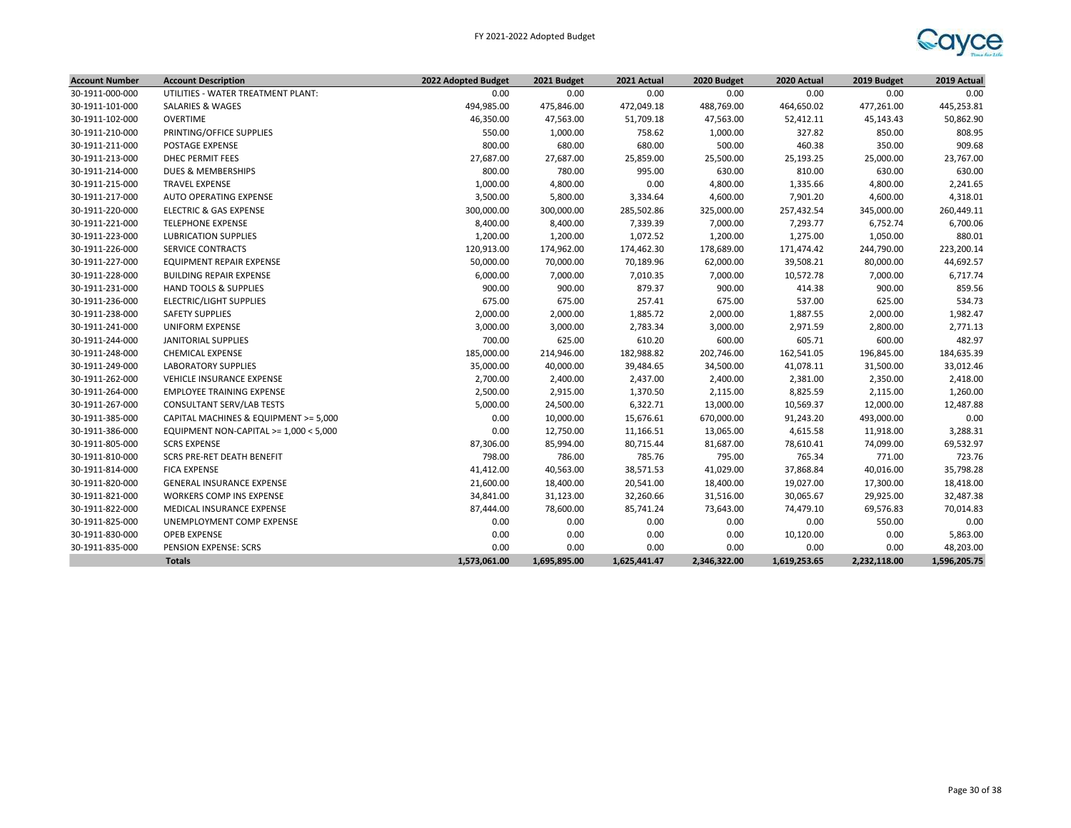

| <b>Account Number</b> | <b>Account Description</b>               | 2022 Adopted Budget | 2021 Budget  | 2021 Actual  | 2020 Budget  | 2020 Actual  | 2019 Budget  | 2019 Actual  |
|-----------------------|------------------------------------------|---------------------|--------------|--------------|--------------|--------------|--------------|--------------|
| 30-1911-000-000       | UTILITIES - WATER TREATMENT PLANT:       | 0.00                | 0.00         | 0.00         | 0.00         | 0.00         | 0.00         | 0.00         |
| 30-1911-101-000       | SALARIES & WAGES                         | 494,985.00          | 475,846.00   | 472,049.18   | 488,769.00   | 464,650.02   | 477,261.00   | 445,253.81   |
| 30-1911-102-000       | <b>OVERTIME</b>                          | 46,350.00           | 47,563.00    | 51,709.18    | 47,563.00    | 52,412.11    | 45,143.43    | 50,862.90    |
| 30-1911-210-000       | PRINTING/OFFICE SUPPLIES                 | 550.00              | 1,000.00     | 758.62       | 1,000.00     | 327.82       | 850.00       | 808.95       |
| 30-1911-211-000       | POSTAGE EXPENSE                          | 800.00              | 680.00       | 680.00       | 500.00       | 460.38       | 350.00       | 909.68       |
| 30-1911-213-000       | DHEC PERMIT FEES                         | 27,687.00           | 27,687.00    | 25,859.00    | 25,500.00    | 25,193.25    | 25,000.00    | 23,767.00    |
| 30-1911-214-000       | <b>DUES &amp; MEMBERSHIPS</b>            | 800.00              | 780.00       | 995.00       | 630.00       | 810.00       | 630.00       | 630.00       |
| 30-1911-215-000       | <b>TRAVEL EXPENSE</b>                    | 1,000.00            | 4,800.00     | 0.00         | 4,800.00     | 1,335.66     | 4,800.00     | 2,241.65     |
| 30-1911-217-000       | <b>AUTO OPERATING EXPENSE</b>            | 3,500.00            | 5,800.00     | 3,334.64     | 4,600.00     | 7,901.20     | 4,600.00     | 4,318.01     |
| 30-1911-220-000       | <b>ELECTRIC &amp; GAS EXPENSE</b>        | 300,000.00          | 300,000.00   | 285,502.86   | 325,000.00   | 257,432.54   | 345,000.00   | 260,449.11   |
| 30-1911-221-000       | <b>TELEPHONE EXPENSE</b>                 | 8,400.00            | 8,400.00     | 7,339.39     | 7,000.00     | 7,293.77     | 6,752.74     | 6,700.06     |
| 30-1911-223-000       | <b>LUBRICATION SUPPLIES</b>              | 1,200.00            | 1,200.00     | 1,072.52     | 1,200.00     | 1,275.00     | 1,050.00     | 880.01       |
| 30-1911-226-000       | <b>SERVICE CONTRACTS</b>                 | 120,913.00          | 174,962.00   | 174,462.30   | 178,689.00   | 171,474.42   | 244,790.00   | 223,200.14   |
| 30-1911-227-000       | EQUIPMENT REPAIR EXPENSE                 | 50,000.00           | 70,000.00    | 70,189.96    | 62,000.00    | 39,508.21    | 80,000.00    | 44,692.57    |
| 30-1911-228-000       | <b>BUILDING REPAIR EXPENSE</b>           | 6,000.00            | 7,000.00     | 7,010.35     | 7,000.00     | 10,572.78    | 7,000.00     | 6,717.74     |
| 30-1911-231-000       | <b>HAND TOOLS &amp; SUPPLIES</b>         | 900.00              | 900.00       | 879.37       | 900.00       | 414.38       | 900.00       | 859.56       |
| 30-1911-236-000       | <b>ELECTRIC/LIGHT SUPPLIES</b>           | 675.00              | 675.00       | 257.41       | 675.00       | 537.00       | 625.00       | 534.73       |
| 30-1911-238-000       | <b>SAFETY SUPPLIES</b>                   | 2,000.00            | 2,000.00     | 1,885.72     | 2,000.00     | 1,887.55     | 2,000.00     | 1,982.47     |
| 30-1911-241-000       | <b>UNIFORM EXPENSE</b>                   | 3,000.00            | 3,000.00     | 2,783.34     | 3,000.00     | 2,971.59     | 2,800.00     | 2,771.13     |
| 30-1911-244-000       | JANITORIAL SUPPLIES                      | 700.00              | 625.00       | 610.20       | 600.00       | 605.71       | 600.00       | 482.97       |
| 30-1911-248-000       | <b>CHEMICAL EXPENSE</b>                  | 185,000.00          | 214,946.00   | 182,988.82   | 202,746.00   | 162,541.05   | 196,845.00   | 184,635.39   |
| 30-1911-249-000       | <b>LABORATORY SUPPLIES</b>               | 35,000.00           | 40,000.00    | 39,484.65    | 34,500.00    | 41,078.11    | 31,500.00    | 33,012.46    |
| 30-1911-262-000       | VEHICLE INSURANCE EXPENSE                | 2,700.00            | 2,400.00     | 2,437.00     | 2,400.00     | 2,381.00     | 2,350.00     | 2,418.00     |
| 30-1911-264-000       | <b>EMPLOYEE TRAINING EXPENSE</b>         | 2,500.00            | 2,915.00     | 1,370.50     | 2,115.00     | 8,825.59     | 2,115.00     | 1,260.00     |
| 30-1911-267-000       | CONSULTANT SERV/LAB TESTS                | 5,000.00            | 24,500.00    | 6,322.71     | 13,000.00    | 10,569.37    | 12,000.00    | 12,487.88    |
| 30-1911-385-000       | CAPITAL MACHINES & EQUIPMENT >= 5,000    | 0.00                | 10,000.00    | 15,676.61    | 670,000.00   | 91,243.20    | 493,000.00   | 0.00         |
| 30-1911-386-000       | EQUIPMENT NON-CAPITAL >= $1,000 < 5,000$ | 0.00                | 12,750.00    | 11,166.51    | 13,065.00    | 4,615.58     | 11,918.00    | 3,288.31     |
| 30-1911-805-000       | <b>SCRS EXPENSE</b>                      | 87,306.00           | 85,994.00    | 80,715.44    | 81,687.00    | 78,610.41    | 74,099.00    | 69,532.97    |
| 30-1911-810-000       | SCRS PRE-RET DEATH BENEFIT               | 798.00              | 786.00       | 785.76       | 795.00       | 765.34       | 771.00       | 723.76       |
| 30-1911-814-000       | <b>FICA EXPENSE</b>                      | 41,412.00           | 40,563.00    | 38,571.53    | 41,029.00    | 37,868.84    | 40,016.00    | 35,798.28    |
| 30-1911-820-000       | <b>GENERAL INSURANCE EXPENSE</b>         | 21,600.00           | 18,400.00    | 20,541.00    | 18,400.00    | 19,027.00    | 17,300.00    | 18,418.00    |
| 30-1911-821-000       | WORKERS COMP INS EXPENSE                 | 34,841.00           | 31,123.00    | 32,260.66    | 31,516.00    | 30,065.67    | 29,925.00    | 32,487.38    |
| 30-1911-822-000       | MEDICAL INSURANCE EXPENSE                | 87,444.00           | 78,600.00    | 85,741.24    | 73,643.00    | 74,479.10    | 69,576.83    | 70,014.83    |
| 30-1911-825-000       | UNEMPLOYMENT COMP EXPENSE                | 0.00                | 0.00         | 0.00         | 0.00         | 0.00         | 550.00       | 0.00         |
| 30-1911-830-000       | <b>OPEB EXPENSE</b>                      | 0.00                | 0.00         | 0.00         | 0.00         | 10,120.00    | 0.00         | 5,863.00     |
| 30-1911-835-000       | PENSION EXPENSE: SCRS                    | 0.00                | 0.00         | 0.00         | 0.00         | 0.00         | 0.00         | 48,203.00    |
|                       | <b>Totals</b>                            | 1,573,061.00        | 1,695,895.00 | 1,625,441.47 | 2,346,322.00 | 1,619,253.65 | 2,232,118.00 | 1,596,205.75 |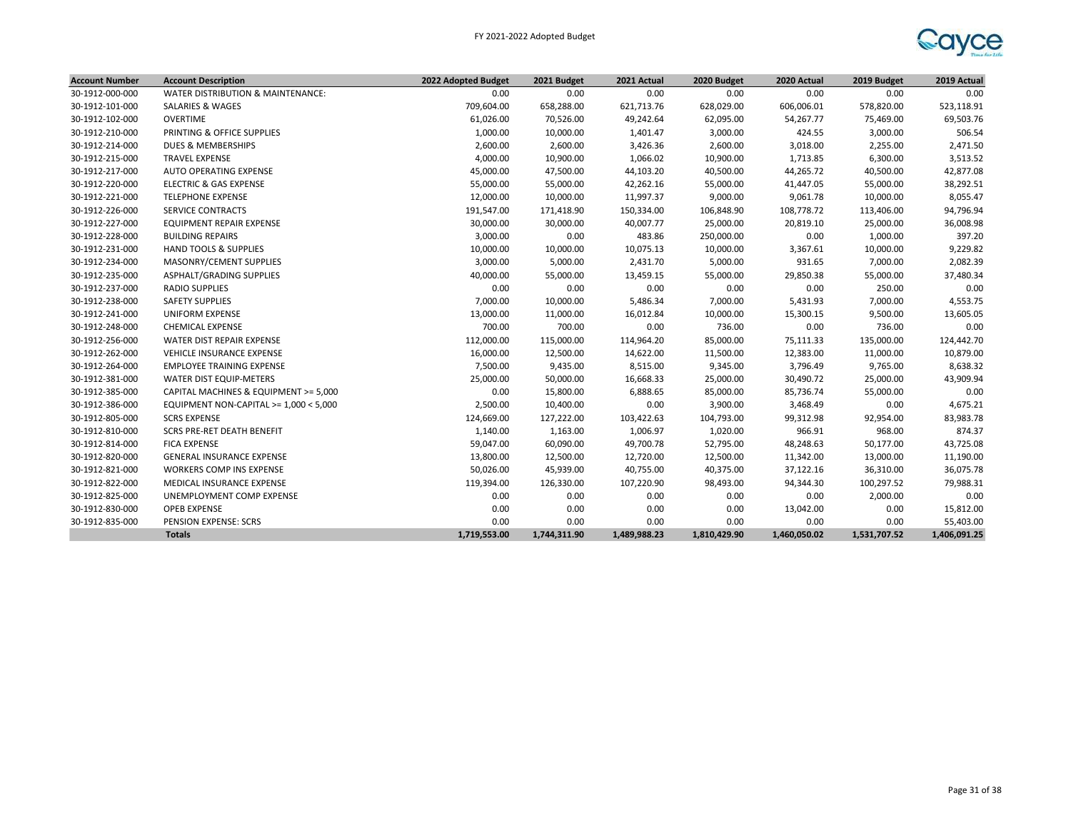

| <b>Account Number</b> | <b>Account Description</b>             | 2022 Adopted Budget | 2021 Budget  | 2021 Actual  | 2020 Budget  | 2020 Actual  | 2019 Budget  | 2019 Actual  |
|-----------------------|----------------------------------------|---------------------|--------------|--------------|--------------|--------------|--------------|--------------|
| 30-1912-000-000       | WATER DISTRIBUTION & MAINTENANCE:      | 0.00                | 0.00         | 0.00         | 0.00         | 0.00         | 0.00         | 0.00         |
| 30-1912-101-000       | SALARIES & WAGES                       | 709,604.00          | 658,288.00   | 621,713.76   | 628,029.00   | 606,006.01   | 578,820.00   | 523,118.91   |
| 30-1912-102-000       | <b>OVERTIME</b>                        | 61,026.00           | 70,526.00    | 49,242.64    | 62,095.00    | 54,267.77    | 75,469.00    | 69,503.76    |
| 30-1912-210-000       | PRINTING & OFFICE SUPPLIES             | 1,000.00            | 10,000.00    | 1,401.47     | 3,000.00     | 424.55       | 3,000.00     | 506.54       |
| 30-1912-214-000       | DUES & MEMBERSHIPS                     | 2,600.00            | 2,600.00     | 3,426.36     | 2,600.00     | 3,018.00     | 2,255.00     | 2,471.50     |
| 30-1912-215-000       | <b>TRAVEL EXPENSE</b>                  | 4,000.00            | 10,900.00    | 1,066.02     | 10,900.00    | 1,713.85     | 6,300.00     | 3,513.52     |
| 30-1912-217-000       | AUTO OPERATING EXPENSE                 | 45,000.00           | 47,500.00    | 44,103.20    | 40,500.00    | 44,265.72    | 40,500.00    | 42,877.08    |
| 30-1912-220-000       | <b>ELECTRIC &amp; GAS EXPENSE</b>      | 55,000.00           | 55,000.00    | 42,262.16    | 55,000.00    | 41,447.05    | 55,000.00    | 38,292.51    |
| 30-1912-221-000       | <b>TELEPHONE EXPENSE</b>               | 12,000.00           | 10,000.00    | 11,997.37    | 9,000.00     | 9,061.78     | 10,000.00    | 8,055.47     |
| 30-1912-226-000       | <b>SERVICE CONTRACTS</b>               | 191,547.00          | 171,418.90   | 150,334.00   | 106,848.90   | 108,778.72   | 113,406.00   | 94,796.94    |
| 30-1912-227-000       | <b>EQUIPMENT REPAIR EXPENSE</b>        | 30,000.00           | 30,000.00    | 40,007.77    | 25,000.00    | 20,819.10    | 25,000.00    | 36,008.98    |
| 30-1912-228-000       | <b>BUILDING REPAIRS</b>                | 3,000.00            | 0.00         | 483.86       | 250,000.00   | 0.00         | 1,000.00     | 397.20       |
| 30-1912-231-000       | <b>HAND TOOLS &amp; SUPPLIES</b>       | 10,000.00           | 10,000.00    | 10,075.13    | 10,000.00    | 3,367.61     | 10,000.00    | 9,229.82     |
| 30-1912-234-000       | MASONRY/CEMENT SUPPLIES                | 3,000.00            | 5,000.00     | 2,431.70     | 5,000.00     | 931.65       | 7,000.00     | 2,082.39     |
| 30-1912-235-000       | ASPHALT/GRADING SUPPLIES               | 40,000.00           | 55,000.00    | 13,459.15    | 55,000.00    | 29,850.38    | 55,000.00    | 37,480.34    |
| 30-1912-237-000       | <b>RADIO SUPPLIES</b>                  | 0.00                | 0.00         | 0.00         | 0.00         | 0.00         | 250.00       | 0.00         |
| 30-1912-238-000       | <b>SAFETY SUPPLIES</b>                 | 7,000.00            | 10,000.00    | 5,486.34     | 7,000.00     | 5,431.93     | 7,000.00     | 4,553.75     |
| 30-1912-241-000       | <b>UNIFORM EXPENSE</b>                 | 13,000.00           | 11,000.00    | 16,012.84    | 10,000.00    | 15,300.15    | 9,500.00     | 13,605.05    |
| 30-1912-248-000       | <b>CHEMICAL EXPENSE</b>                | 700.00              | 700.00       | 0.00         | 736.00       | 0.00         | 736.00       | 0.00         |
| 30-1912-256-000       | WATER DIST REPAIR EXPENSE              | 112,000.00          | 115,000.00   | 114,964.20   | 85,000.00    | 75,111.33    | 135,000.00   | 124,442.70   |
| 30-1912-262-000       | VEHICLE INSURANCE EXPENSE              | 16,000.00           | 12,500.00    | 14,622.00    | 11,500.00    | 12,383.00    | 11,000.00    | 10,879.00    |
| 30-1912-264-000       | <b>EMPLOYEE TRAINING EXPENSE</b>       | 7,500.00            | 9,435.00     | 8,515.00     | 9,345.00     | 3,796.49     | 9,765.00     | 8,638.32     |
| 30-1912-381-000       | WATER DIST EQUIP-METERS                | 25,000.00           | 50,000.00    | 16,668.33    | 25,000.00    | 30,490.72    | 25,000.00    | 43,909.94    |
| 30-1912-385-000       | CAPITAL MACHINES & EQUIPMENT >= 5,000  | 0.00                | 15,800.00    | 6,888.65     | 85,000.00    | 85,736.74    | 55,000.00    | 0.00         |
| 30-1912-386-000       | EQUIPMENT NON-CAPITAL >= 1,000 < 5,000 | 2,500.00            | 10,400.00    | 0.00         | 3,900.00     | 3,468.49     | 0.00         | 4,675.21     |
| 30-1912-805-000       | <b>SCRS EXPENSE</b>                    | 124,669.00          | 127,222.00   | 103,422.63   | 104,793.00   | 99,312.98    | 92,954.00    | 83,983.78    |
| 30-1912-810-000       | <b>SCRS PRE-RET DEATH BENEFIT</b>      | 1,140.00            | 1,163.00     | 1,006.97     | 1,020.00     | 966.91       | 968.00       | 874.37       |
| 30-1912-814-000       | <b>FICA EXPENSE</b>                    | 59,047.00           | 60,090.00    | 49,700.78    | 52,795.00    | 48,248.63    | 50,177.00    | 43,725.08    |
| 30-1912-820-000       | <b>GENERAL INSURANCE EXPENSE</b>       | 13,800.00           | 12,500.00    | 12,720.00    | 12,500.00    | 11,342.00    | 13,000.00    | 11,190.00    |
| 30-1912-821-000       | WORKERS COMP INS EXPENSE               | 50,026.00           | 45,939.00    | 40,755.00    | 40,375.00    | 37,122.16    | 36,310.00    | 36,075.78    |
| 30-1912-822-000       | MEDICAL INSURANCE EXPENSE              | 119,394.00          | 126,330.00   | 107,220.90   | 98,493.00    | 94,344.30    | 100,297.52   | 79,988.31    |
| 30-1912-825-000       | UNEMPLOYMENT COMP EXPENSE              | 0.00                | 0.00         | 0.00         | 0.00         | 0.00         | 2,000.00     | 0.00         |
| 30-1912-830-000       | <b>OPEB EXPENSE</b>                    | 0.00                | 0.00         | 0.00         | 0.00         | 13,042.00    | 0.00         | 15,812.00    |
| 30-1912-835-000       | PENSION EXPENSE: SCRS                  | 0.00                | 0.00         | 0.00         | 0.00         | 0.00         | 0.00         | 55,403.00    |
|                       | <b>Totals</b>                          | 1,719,553.00        | 1,744,311.90 | 1,489,988.23 | 1,810,429.90 | 1,460,050.02 | 1,531,707.52 | 1,406,091.25 |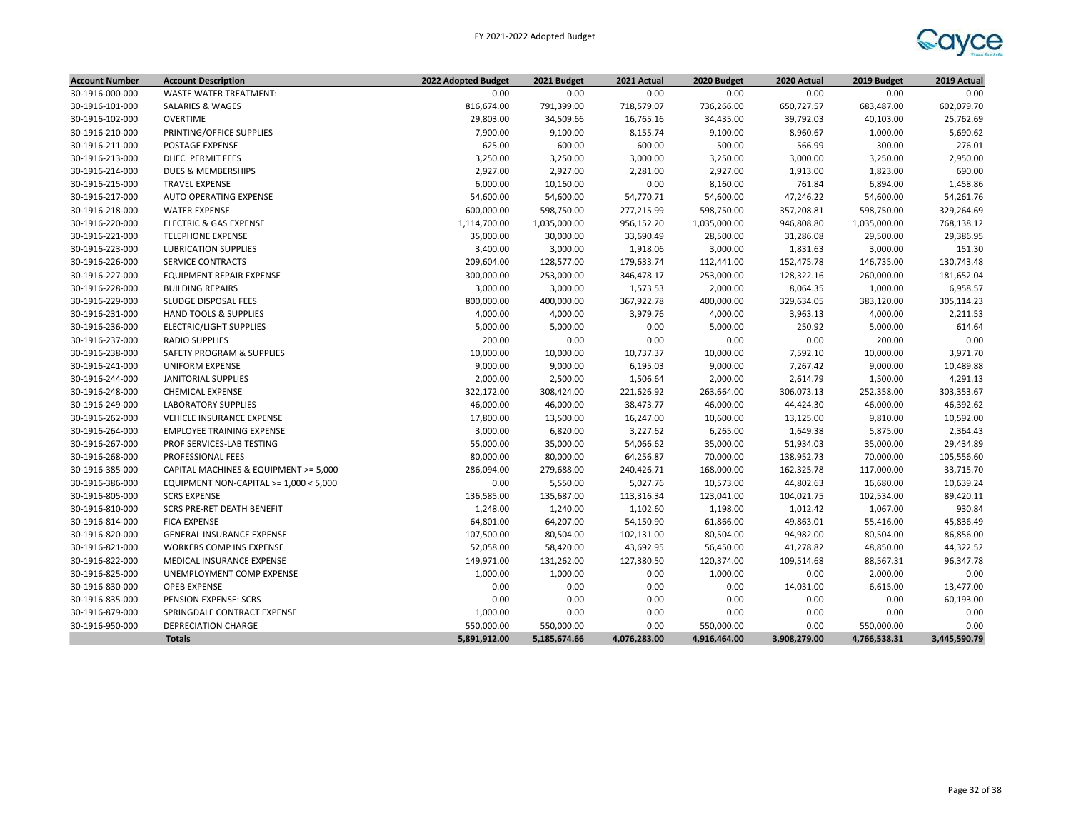

| <b>Account Number</b> | <b>Account Description</b>             | 2022 Adopted Budget | 2021 Budget  | 2021 Actual  | 2020 Budget  | 2020 Actual  | 2019 Budget  | 2019 Actual  |
|-----------------------|----------------------------------------|---------------------|--------------|--------------|--------------|--------------|--------------|--------------|
| 30-1916-000-000       | <b>WASTE WATER TREATMENT:</b>          | 0.00                | 0.00         | 0.00         | 0.00         | 0.00         | 0.00         | 0.00         |
| 30-1916-101-000       | <b>SALARIES &amp; WAGES</b>            | 816,674.00          | 791,399.00   | 718,579.07   | 736,266.00   | 650,727.57   | 683,487.00   | 602,079.70   |
| 30-1916-102-000       | <b>OVERTIME</b>                        | 29,803.00           | 34,509.66    | 16,765.16    | 34,435.00    | 39,792.03    | 40,103.00    | 25,762.69    |
| 30-1916-210-000       | PRINTING/OFFICE SUPPLIES               | 7,900.00            | 9,100.00     | 8,155.74     | 9,100.00     | 8,960.67     | 1,000.00     | 5,690.62     |
| 30-1916-211-000       | POSTAGE EXPENSE                        | 625.00              | 600.00       | 600.00       | 500.00       | 566.99       | 300.00       | 276.01       |
| 30-1916-213-000       | DHEC PERMIT FEES                       | 3,250.00            | 3,250.00     | 3,000.00     | 3,250.00     | 3,000.00     | 3,250.00     | 2,950.00     |
| 30-1916-214-000       | DUES & MEMBERSHIPS                     | 2,927.00            | 2,927.00     | 2,281.00     | 2,927.00     | 1,913.00     | 1,823.00     | 690.00       |
| 30-1916-215-000       | <b>TRAVEL EXPENSE</b>                  | 6,000.00            | 10,160.00    | 0.00         | 8,160.00     | 761.84       | 6,894.00     | 1,458.86     |
| 30-1916-217-000       | AUTO OPERATING EXPENSE                 | 54,600.00           | 54,600.00    | 54,770.71    | 54,600.00    | 47,246.22    | 54,600.00    | 54,261.76    |
| 30-1916-218-000       | <b>WATER EXPENSE</b>                   | 600,000.00          | 598,750.00   | 277,215.99   | 598,750.00   | 357,208.81   | 598,750.00   | 329,264.69   |
| 30-1916-220-000       | <b>ELECTRIC &amp; GAS EXPENSE</b>      | 1,114,700.00        | 1,035,000.00 | 956,152.20   | 1,035,000.00 | 946,808.80   | 1,035,000.00 | 768,138.12   |
| 30-1916-221-000       | <b>TELEPHONE EXPENSE</b>               | 35,000.00           | 30,000.00    | 33,690.49    | 28,500.00    | 31,286.08    | 29,500.00    | 29,386.95    |
| 30-1916-223-000       | <b>LUBRICATION SUPPLIES</b>            | 3,400.00            | 3,000.00     | 1,918.06     | 3,000.00     | 1,831.63     | 3,000.00     | 151.30       |
| 30-1916-226-000       | <b>SERVICE CONTRACTS</b>               | 209,604.00          | 128,577.00   | 179,633.74   | 112,441.00   | 152,475.78   | 146,735.00   | 130,743.48   |
| 30-1916-227-000       | EQUIPMENT REPAIR EXPENSE               | 300,000.00          | 253,000.00   | 346,478.17   | 253,000.00   | 128,322.16   | 260,000.00   | 181,652.04   |
| 30-1916-228-000       | <b>BUILDING REPAIRS</b>                | 3,000.00            | 3,000.00     | 1,573.53     | 2,000.00     | 8,064.35     | 1,000.00     | 6,958.57     |
| 30-1916-229-000       | SLUDGE DISPOSAL FEES                   | 800,000.00          | 400,000.00   | 367,922.78   | 400,000.00   | 329,634.05   | 383,120.00   | 305,114.23   |
| 30-1916-231-000       | <b>HAND TOOLS &amp; SUPPLIES</b>       | 4,000.00            | 4,000.00     | 3,979.76     | 4,000.00     | 3,963.13     | 4,000.00     | 2,211.53     |
| 30-1916-236-000       | <b>ELECTRIC/LIGHT SUPPLIES</b>         | 5,000.00            | 5,000.00     | 0.00         | 5,000.00     | 250.92       | 5,000.00     | 614.64       |
| 30-1916-237-000       | <b>RADIO SUPPLIES</b>                  | 200.00              | 0.00         | 0.00         | 0.00         | 0.00         | 200.00       | 0.00         |
| 30-1916-238-000       | SAFETY PROGRAM & SUPPLIES              | 10,000.00           | 10,000.00    | 10,737.37    | 10,000.00    | 7,592.10     | 10,000.00    | 3,971.70     |
| 30-1916-241-000       | <b>UNIFORM EXPENSE</b>                 | 9,000.00            | 9,000.00     | 6,195.03     | 9,000.00     | 7,267.42     | 9,000.00     | 10,489.88    |
| 30-1916-244-000       | <b>JANITORIAL SUPPLIES</b>             | 2,000.00            | 2,500.00     | 1,506.64     | 2,000.00     | 2,614.79     | 1,500.00     | 4,291.13     |
| 30-1916-248-000       | <b>CHEMICAL EXPENSE</b>                | 322,172.00          | 308,424.00   | 221,626.92   | 263,664.00   | 306,073.13   | 252,358.00   | 303,353.67   |
| 30-1916-249-000       | <b>LABORATORY SUPPLIES</b>             | 46,000.00           | 46,000.00    | 38,473.77    | 46,000.00    | 44,424.30    | 46,000.00    | 46,392.62    |
| 30-1916-262-000       | <b>VEHICLE INSURANCE EXPENSE</b>       | 17,800.00           | 13,500.00    | 16,247.00    | 10,600.00    | 13,125.00    | 9,810.00     | 10,592.00    |
| 30-1916-264-000       | <b>EMPLOYEE TRAINING EXPENSE</b>       | 3,000.00            | 6,820.00     | 3,227.62     | 6,265.00     | 1,649.38     | 5,875.00     | 2,364.43     |
| 30-1916-267-000       | PROF SERVICES-LAB TESTING              | 55,000.00           | 35,000.00    | 54,066.62    | 35,000.00    | 51,934.03    | 35,000.00    | 29,434.89    |
| 30-1916-268-000       | PROFESSIONAL FEES                      | 80,000.00           | 80,000.00    | 64,256.87    | 70,000.00    | 138,952.73   | 70,000.00    | 105,556.60   |
| 30-1916-385-000       | CAPITAL MACHINES & EQUIPMENT >= 5,000  | 286,094.00          | 279,688.00   | 240,426.71   | 168,000.00   | 162,325.78   | 117,000.00   | 33,715.70    |
| 30-1916-386-000       | EQUIPMENT NON-CAPITAL >= 1,000 < 5,000 | 0.00                | 5,550.00     | 5,027.76     | 10,573.00    | 44,802.63    | 16,680.00    | 10,639.24    |
| 30-1916-805-000       | <b>SCRS EXPENSE</b>                    | 136,585.00          | 135,687.00   | 113,316.34   | 123,041.00   | 104,021.75   | 102,534.00   | 89,420.11    |
| 30-1916-810-000       | <b>SCRS PRE-RET DEATH BENEFIT</b>      | 1,248.00            | 1,240.00     | 1,102.60     | 1,198.00     | 1,012.42     | 1,067.00     | 930.84       |
| 30-1916-814-000       | <b>FICA EXPENSE</b>                    | 64,801.00           | 64,207.00    | 54,150.90    | 61,866.00    | 49,863.01    | 55,416.00    | 45,836.49    |
| 30-1916-820-000       | GENERAL INSURANCE EXPENSE              | 107,500.00          | 80,504.00    | 102,131.00   | 80,504.00    | 94,982.00    | 80,504.00    | 86,856.00    |
| 30-1916-821-000       | WORKERS COMP INS EXPENSE               | 52,058.00           | 58,420.00    | 43,692.95    | 56,450.00    | 41,278.82    | 48,850.00    | 44,322.52    |
| 30-1916-822-000       | MEDICAL INSURANCE EXPENSE              | 149,971.00          | 131,262.00   | 127,380.50   | 120,374.00   | 109,514.68   | 88,567.31    | 96,347.78    |
| 30-1916-825-000       | UNEMPLOYMENT COMP EXPENSE              | 1,000.00            | 1,000.00     | 0.00         | 1,000.00     | 0.00         | 2,000.00     | 0.00         |
| 30-1916-830-000       | <b>OPEB EXPENSE</b>                    | 0.00                | 0.00         | 0.00         | 0.00         | 14,031.00    | 6,615.00     | 13,477.00    |
| 30-1916-835-000       | PENSION EXPENSE: SCRS                  | 0.00                | 0.00         | 0.00         | 0.00         | 0.00         | 0.00         | 60,193.00    |
| 30-1916-879-000       | SPRINGDALE CONTRACT EXPENSE            | 1,000.00            | 0.00         | 0.00         | 0.00         | 0.00         | 0.00         | 0.00         |
| 30-1916-950-000       | <b>DEPRECIATION CHARGE</b>             | 550,000.00          | 550,000.00   | 0.00         | 550,000.00   | 0.00         | 550,000.00   | 0.00         |
|                       | <b>Totals</b>                          | 5,891,912.00        | 5,185,674.66 | 4,076,283.00 | 4,916,464.00 | 3,908,279.00 | 4,766,538.31 | 3,445,590.79 |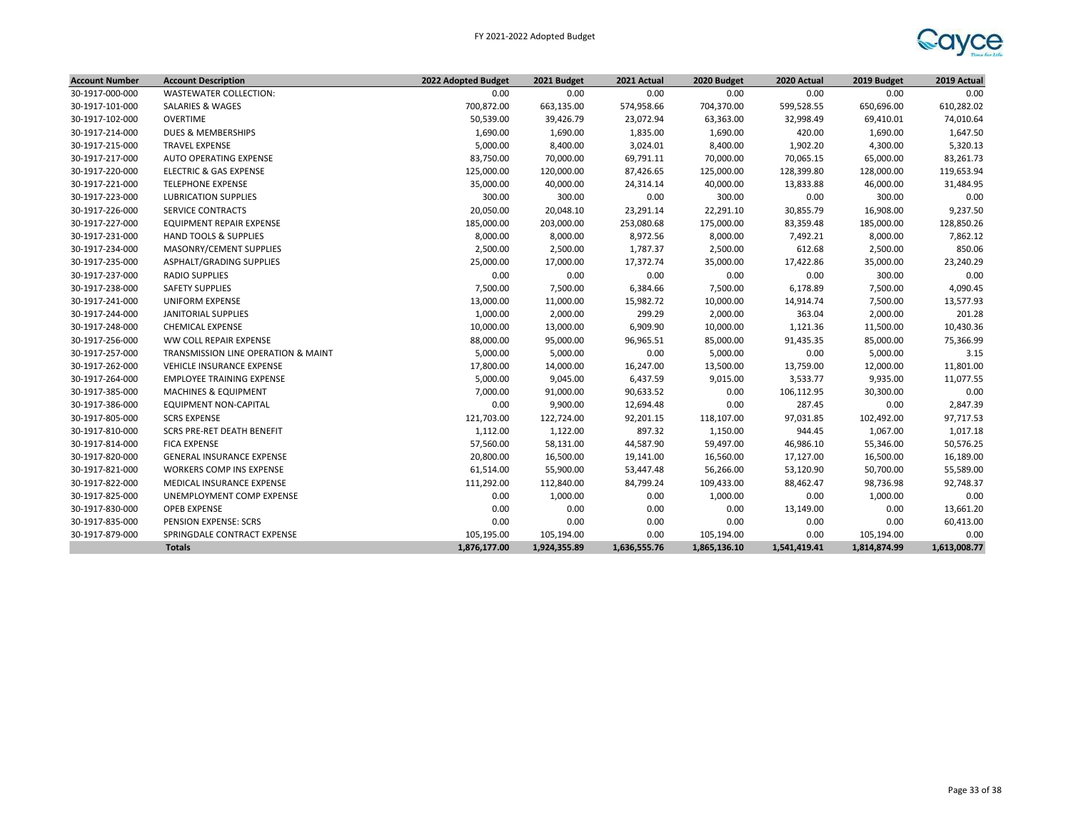

| <b>Account Number</b> | <b>Account Description</b>          | 2022 Adopted Budget | 2021 Budget  | 2021 Actual  | 2020 Budget  | 2020 Actual  | 2019 Budget  | 2019 Actual  |
|-----------------------|-------------------------------------|---------------------|--------------|--------------|--------------|--------------|--------------|--------------|
| 30-1917-000-000       | WASTEWATER COLLECTION:              | 0.00                | 0.00         | 0.00         | 0.00         | 0.00         | 0.00         | 0.00         |
| 30-1917-101-000       | SALARIES & WAGES                    | 700,872.00          | 663,135.00   | 574,958.66   | 704,370.00   | 599,528.55   | 650,696.00   | 610,282.02   |
| 30-1917-102-000       | <b>OVERTIME</b>                     | 50,539.00           | 39,426.79    | 23,072.94    | 63,363.00    | 32,998.49    | 69,410.01    | 74,010.64    |
| 30-1917-214-000       | <b>DUES &amp; MEMBERSHIPS</b>       | 1,690.00            | 1,690.00     | 1,835.00     | 1,690.00     | 420.00       | 1,690.00     | 1,647.50     |
| 30-1917-215-000       | <b>TRAVEL EXPENSE</b>               | 5,000.00            | 8,400.00     | 3,024.01     | 8,400.00     | 1,902.20     | 4,300.00     | 5,320.13     |
| 30-1917-217-000       | AUTO OPERATING EXPENSE              | 83,750.00           | 70,000.00    | 69,791.11    | 70,000.00    | 70,065.15    | 65,000.00    | 83,261.73    |
| 30-1917-220-000       | <b>ELECTRIC &amp; GAS EXPENSE</b>   | 125,000.00          | 120,000.00   | 87,426.65    | 125,000.00   | 128,399.80   | 128,000.00   | 119,653.94   |
| 30-1917-221-000       | <b>TELEPHONE EXPENSE</b>            | 35,000.00           | 40,000.00    | 24,314.14    | 40,000.00    | 13,833.88    | 46,000.00    | 31,484.95    |
| 30-1917-223-000       | <b>LUBRICATION SUPPLIES</b>         | 300.00              | 300.00       | 0.00         | 300.00       | 0.00         | 300.00       | 0.00         |
| 30-1917-226-000       | <b>SERVICE CONTRACTS</b>            | 20,050.00           | 20,048.10    | 23,291.14    | 22,291.10    | 30,855.79    | 16,908.00    | 9,237.50     |
| 30-1917-227-000       | EQUIPMENT REPAIR EXPENSE            | 185,000.00          | 203,000.00   | 253,080.68   | 175,000.00   | 83,359.48    | 185,000.00   | 128,850.26   |
| 30-1917-231-000       | <b>HAND TOOLS &amp; SUPPLIES</b>    | 8,000.00            | 8,000.00     | 8,972.56     | 8,000.00     | 7,492.21     | 8,000.00     | 7,862.12     |
| 30-1917-234-000       | MASONRY/CEMENT SUPPLIES             | 2,500.00            | 2,500.00     | 1,787.37     | 2,500.00     | 612.68       | 2,500.00     | 850.06       |
| 30-1917-235-000       | ASPHALT/GRADING SUPPLIES            | 25,000.00           | 17,000.00    | 17,372.74    | 35,000.00    | 17,422.86    | 35,000.00    | 23,240.29    |
| 30-1917-237-000       | <b>RADIO SUPPLIES</b>               | 0.00                | 0.00         | 0.00         | 0.00         | 0.00         | 300.00       | 0.00         |
| 30-1917-238-000       | <b>SAFETY SUPPLIES</b>              | 7,500.00            | 7,500.00     | 6,384.66     | 7,500.00     | 6,178.89     | 7,500.00     | 4,090.45     |
| 30-1917-241-000       | <b>UNIFORM EXPENSE</b>              | 13,000.00           | 11,000.00    | 15,982.72    | 10,000.00    | 14,914.74    | 7,500.00     | 13,577.93    |
| 30-1917-244-000       | <b>JANITORIAL SUPPLIES</b>          | 1,000.00            | 2,000.00     | 299.29       | 2,000.00     | 363.04       | 2,000.00     | 201.28       |
| 30-1917-248-000       | <b>CHEMICAL EXPENSE</b>             | 10,000.00           | 13,000.00    | 6,909.90     | 10,000.00    | 1,121.36     | 11,500.00    | 10,430.36    |
| 30-1917-256-000       | WW COLL REPAIR EXPENSE              | 88,000.00           | 95,000.00    | 96,965.51    | 85,000.00    | 91,435.35    | 85,000.00    | 75,366.99    |
| 30-1917-257-000       | TRANSMISSION LINE OPERATION & MAINT | 5,000.00            | 5,000.00     | 0.00         | 5,000.00     | 0.00         | 5,000.00     | 3.15         |
| 30-1917-262-000       | VEHICLE INSURANCE EXPENSE           | 17,800.00           | 14,000.00    | 16,247.00    | 13,500.00    | 13,759.00    | 12,000.00    | 11,801.00    |
| 30-1917-264-000       | <b>EMPLOYEE TRAINING EXPENSE</b>    | 5,000.00            | 9,045.00     | 6,437.59     | 9,015.00     | 3,533.77     | 9,935.00     | 11,077.55    |
| 30-1917-385-000       | <b>MACHINES &amp; EQUIPMENT</b>     | 7,000.00            | 91,000.00    | 90,633.52    | 0.00         | 106,112.95   | 30,300.00    | 0.00         |
| 30-1917-386-000       | <b>EQUIPMENT NON-CAPITAL</b>        | 0.00                | 9,900.00     | 12,694.48    | 0.00         | 287.45       | 0.00         | 2,847.39     |
| 30-1917-805-000       | <b>SCRS EXPENSE</b>                 | 121,703.00          | 122,724.00   | 92,201.15    | 118,107.00   | 97,031.85    | 102,492.00   | 97,717.53    |
| 30-1917-810-000       | <b>SCRS PRE-RET DEATH BENEFIT</b>   | 1,112.00            | 1,122.00     | 897.32       | 1,150.00     | 944.45       | 1,067.00     | 1,017.18     |
| 30-1917-814-000       | <b>FICA EXPENSE</b>                 | 57,560.00           | 58,131.00    | 44,587.90    | 59,497.00    | 46,986.10    | 55,346.00    | 50,576.25    |
| 30-1917-820-000       | GENERAL INSURANCE EXPENSE           | 20,800.00           | 16,500.00    | 19,141.00    | 16,560.00    | 17,127.00    | 16,500.00    | 16,189.00    |
| 30-1917-821-000       | WORKERS COMP INS EXPENSE            | 61,514.00           | 55,900.00    | 53,447.48    | 56,266.00    | 53,120.90    | 50,700.00    | 55,589.00    |
| 30-1917-822-000       | MEDICAL INSURANCE EXPENSE           | 111,292.00          | 112,840.00   | 84,799.24    | 109,433.00   | 88,462.47    | 98,736.98    | 92,748.37    |
| 30-1917-825-000       | UNEMPLOYMENT COMP EXPENSE           | 0.00                | 1,000.00     | 0.00         | 1,000.00     | 0.00         | 1,000.00     | 0.00         |
| 30-1917-830-000       | <b>OPEB EXPENSE</b>                 | 0.00                | 0.00         | 0.00         | 0.00         | 13,149.00    | 0.00         | 13,661.20    |
| 30-1917-835-000       | PENSION EXPENSE: SCRS               | 0.00                | 0.00         | 0.00         | 0.00         | 0.00         | 0.00         | 60,413.00    |
| 30-1917-879-000       | SPRINGDALE CONTRACT EXPENSE         | 105,195.00          | 105,194.00   | 0.00         | 105,194.00   | 0.00         | 105,194.00   | 0.00         |
|                       | <b>Totals</b>                       | 1,876,177.00        | 1,924,355.89 | 1,636,555.76 | 1,865,136.10 | 1,541,419.41 | 1,814,874.99 | 1,613,008.77 |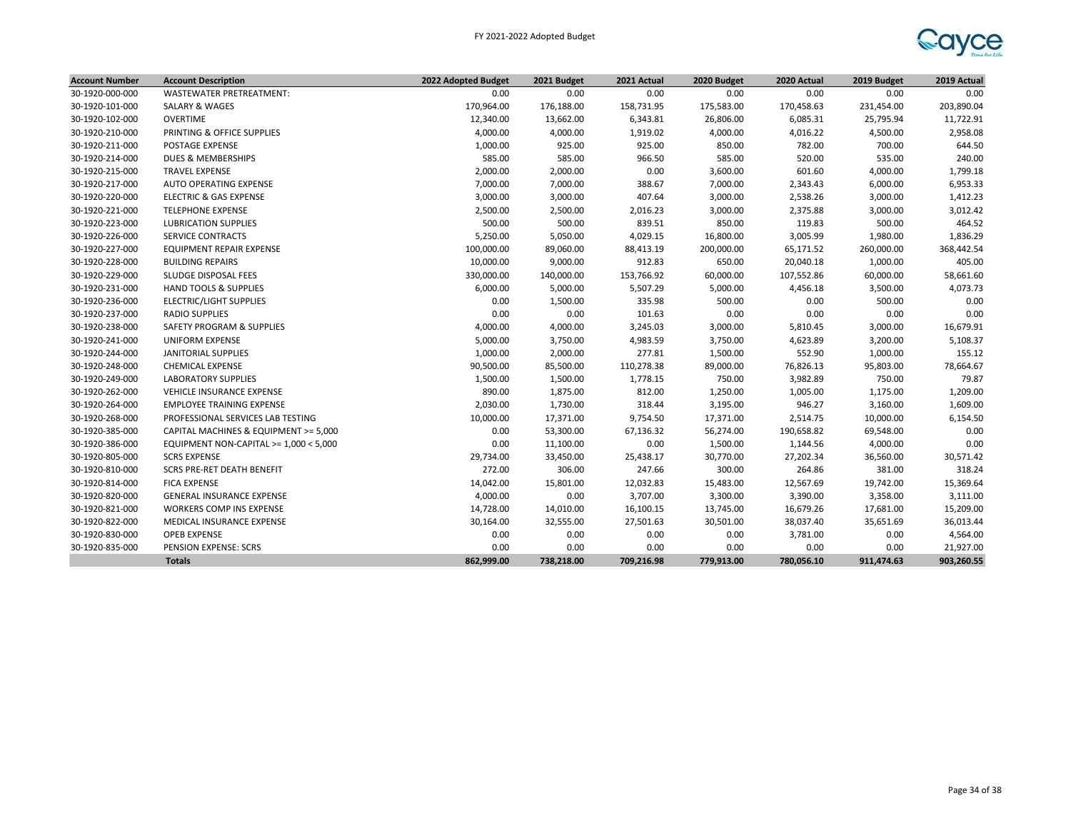

| <b>Account Number</b> | <b>Account Description</b>             | 2022 Adopted Budget | 2021 Budget | 2021 Actual | 2020 Budget | 2020 Actual | 2019 Budget | 2019 Actual |
|-----------------------|----------------------------------------|---------------------|-------------|-------------|-------------|-------------|-------------|-------------|
| 30-1920-000-000       | WASTEWATER PRETREATMENT:               | 0.00                | 0.00        | 0.00        | 0.00        | 0.00        | 0.00        | 0.00        |
| 30-1920-101-000       | SALARY & WAGES                         | 170,964.00          | 176,188.00  | 158,731.95  | 175,583.00  | 170,458.63  | 231,454.00  | 203,890.04  |
| 30-1920-102-000       | <b>OVERTIME</b>                        | 12,340.00           | 13,662.00   | 6,343.81    | 26,806.00   | 6,085.31    | 25,795.94   | 11,722.91   |
| 30-1920-210-000       | PRINTING & OFFICE SUPPLIES             | 4,000.00            | 4,000.00    | 1,919.02    | 4,000.00    | 4,016.22    | 4,500.00    | 2,958.08    |
| 30-1920-211-000       | POSTAGE EXPENSE                        | 1,000.00            | 925.00      | 925.00      | 850.00      | 782.00      | 700.00      | 644.50      |
| 30-1920-214-000       | DUES & MEMBERSHIPS                     | 585.00              | 585.00      | 966.50      | 585.00      | 520.00      | 535.00      | 240.00      |
| 30-1920-215-000       | <b>TRAVEL EXPENSE</b>                  | 2,000.00            | 2,000.00    | 0.00        | 3,600.00    | 601.60      | 4,000.00    | 1,799.18    |
| 30-1920-217-000       | AUTO OPERATING EXPENSE                 | 7,000.00            | 7,000.00    | 388.67      | 7,000.00    | 2,343.43    | 6,000.00    | 6,953.33    |
| 30-1920-220-000       | <b>ELECTRIC &amp; GAS EXPENSE</b>      | 3,000.00            | 3,000.00    | 407.64      | 3,000.00    | 2,538.26    | 3,000.00    | 1,412.23    |
| 30-1920-221-000       | <b>TELEPHONE EXPENSE</b>               | 2,500.00            | 2,500.00    | 2,016.23    | 3,000.00    | 2,375.88    | 3,000.00    | 3,012.42    |
| 30-1920-223-000       | <b>LUBRICATION SUPPLIES</b>            | 500.00              | 500.00      | 839.51      | 850.00      | 119.83      | 500.00      | 464.52      |
| 30-1920-226-000       | <b>SERVICE CONTRACTS</b>               | 5,250.00            | 5,050.00    | 4,029.15    | 16,800.00   | 3,005.99    | 1,980.00    | 1,836.29    |
| 30-1920-227-000       | <b>EQUIPMENT REPAIR EXPENSE</b>        | 100,000.00          | 89,060.00   | 88,413.19   | 200,000.00  | 65,171.52   | 260,000.00  | 368,442.54  |
| 30-1920-228-000       | <b>BUILDING REPAIRS</b>                | 10,000.00           | 9,000.00    | 912.83      | 650.00      | 20,040.18   | 1,000.00    | 405.00      |
| 30-1920-229-000       | SLUDGE DISPOSAL FEES                   | 330,000.00          | 140,000.00  | 153,766.92  | 60,000.00   | 107,552.86  | 60,000.00   | 58,661.60   |
| 30-1920-231-000       | <b>HAND TOOLS &amp; SUPPLIES</b>       | 6,000.00            | 5,000.00    | 5,507.29    | 5,000.00    | 4,456.18    | 3,500.00    | 4,073.73    |
| 30-1920-236-000       | <b>ELECTRIC/LIGHT SUPPLIES</b>         | 0.00                | 1,500.00    | 335.98      | 500.00      | 0.00        | 500.00      | 0.00        |
| 30-1920-237-000       | <b>RADIO SUPPLIES</b>                  | 0.00                | 0.00        | 101.63      | 0.00        | 0.00        | 0.00        | 0.00        |
| 30-1920-238-000       | SAFETY PROGRAM & SUPPLIES              | 4,000.00            | 4,000.00    | 3,245.03    | 3,000.00    | 5,810.45    | 3,000.00    | 16,679.91   |
| 30-1920-241-000       | UNIFORM EXPENSE                        | 5,000.00            | 3,750.00    | 4,983.59    | 3,750.00    | 4,623.89    | 3,200.00    | 5,108.37    |
| 30-1920-244-000       | <b>JANITORIAL SUPPLIES</b>             | 1,000.00            | 2,000.00    | 277.81      | 1,500.00    | 552.90      | 1,000.00    | 155.12      |
| 30-1920-248-000       | CHEMICAL EXPENSE                       | 90,500.00           | 85,500.00   | 110,278.38  | 89,000.00   | 76,826.13   | 95,803.00   | 78,664.67   |
| 30-1920-249-000       | <b>LABORATORY SUPPLIES</b>             | 1,500.00            | 1,500.00    | 1,778.15    | 750.00      | 3,982.89    | 750.00      | 79.87       |
| 30-1920-262-000       | <b>VEHICLE INSURANCE EXPENSE</b>       | 890.00              | 1,875.00    | 812.00      | 1,250.00    | 1,005.00    | 1,175.00    | 1,209.00    |
| 30-1920-264-000       | <b>EMPLOYEE TRAINING EXPENSE</b>       | 2,030.00            | 1,730.00    | 318.44      | 3,195.00    | 946.27      | 3,160.00    | 1,609.00    |
| 30-1920-268-000       | PROFESSIONAL SERVICES LAB TESTING      | 10,000.00           | 17,371.00   | 9,754.50    | 17,371.00   | 2,514.75    | 10,000.00   | 6,154.50    |
| 30-1920-385-000       | CAPITAL MACHINES & EQUIPMENT >= 5,000  | 0.00                | 53,300.00   | 67,136.32   | 56,274.00   | 190,658.82  | 69,548.00   | 0.00        |
| 30-1920-386-000       | EQUIPMENT NON-CAPITAL >= 1,000 < 5,000 | 0.00                | 11,100.00   | 0.00        | 1,500.00    | 1,144.56    | 4,000.00    | 0.00        |
| 30-1920-805-000       | <b>SCRS EXPENSE</b>                    | 29,734.00           | 33,450.00   | 25,438.17   | 30,770.00   | 27,202.34   | 36,560.00   | 30,571.42   |
| 30-1920-810-000       | <b>SCRS PRE-RET DEATH BENEFIT</b>      | 272.00              | 306.00      | 247.66      | 300.00      | 264.86      | 381.00      | 318.24      |
| 30-1920-814-000       | <b>FICA EXPENSE</b>                    | 14,042.00           | 15,801.00   | 12,032.83   | 15,483.00   | 12,567.69   | 19,742.00   | 15,369.64   |
| 30-1920-820-000       | <b>GENERAL INSURANCE EXPENSE</b>       | 4,000.00            | 0.00        | 3,707.00    | 3,300.00    | 3,390.00    | 3,358.00    | 3,111.00    |
| 30-1920-821-000       | WORKERS COMP INS EXPENSE               | 14,728.00           | 14,010.00   | 16,100.15   | 13,745.00   | 16,679.26   | 17,681.00   | 15,209.00   |
| 30-1920-822-000       | MEDICAL INSURANCE EXPENSE              | 30,164.00           | 32,555.00   | 27,501.63   | 30,501.00   | 38,037.40   | 35,651.69   | 36,013.44   |
| 30-1920-830-000       | <b>OPEB EXPENSE</b>                    | 0.00                | 0.00        | 0.00        | 0.00        | 3,781.00    | 0.00        | 4,564.00    |
| 30-1920-835-000       | PENSION EXPENSE: SCRS                  | 0.00                | 0.00        | 0.00        | 0.00        | 0.00        | 0.00        | 21,927.00   |
|                       | <b>Totals</b>                          | 862,999.00          | 738,218.00  | 709,216.98  | 779,913.00  | 780,056.10  | 911,474.63  | 903,260.55  |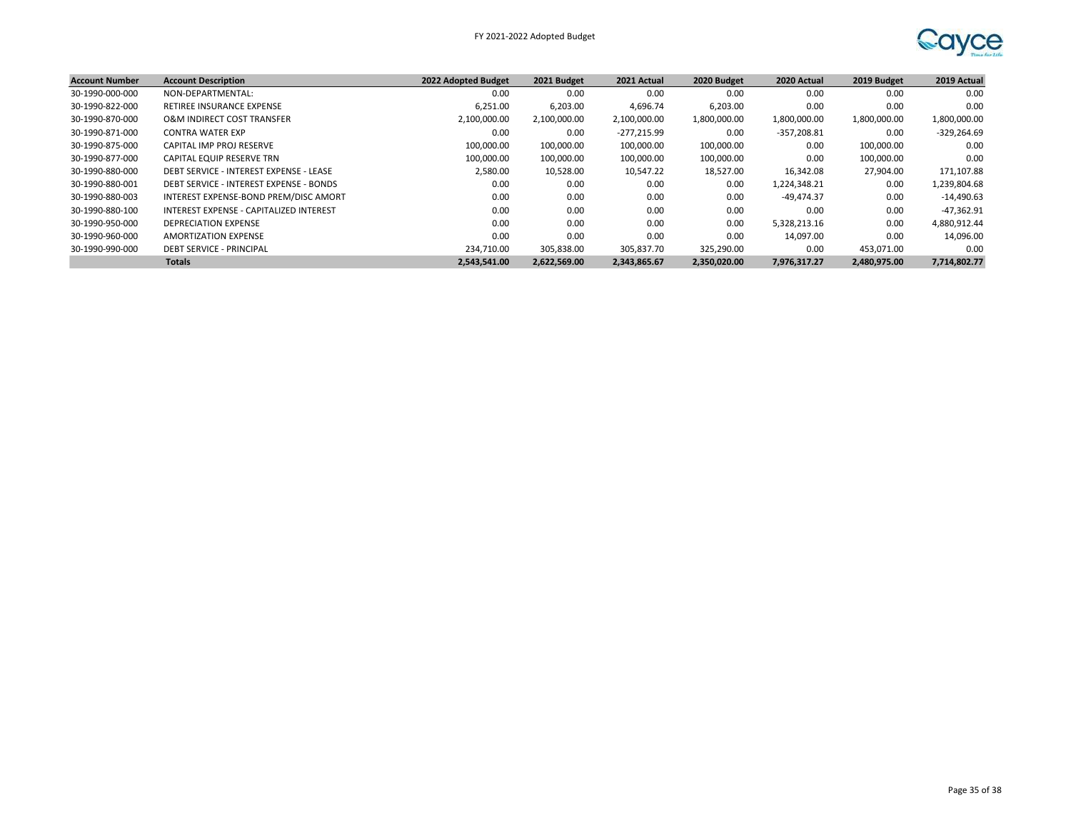

| <b>Account Number</b> | <b>Account Description</b>              | 2022 Adopted Budget | 2021 Budget  | 2021 Actual  | 2020 Budget  | 2020 Actual   | 2019 Budget  | 2019 Actual   |
|-----------------------|-----------------------------------------|---------------------|--------------|--------------|--------------|---------------|--------------|---------------|
| 30-1990-000-000       | NON-DEPARTMENTAL:                       | 0.00                | 0.00         | 0.00         | 0.00         | 0.00          | 0.00         | 0.00          |
| 30-1990-822-000       | RETIREE INSURANCE EXPENSE               | 6,251.00            | 6,203.00     | 4,696.74     | 6,203.00     | 0.00          | 0.00         | 0.00          |
| 30-1990-870-000       | O&M INDIRECT COST TRANSFER              | 2,100,000.00        | 2,100,000.00 | 2,100,000.00 | 1,800,000.00 | 1,800,000.00  | 1,800,000.00 | 1,800,000.00  |
| 30-1990-871-000       | <b>CONTRA WATER EXP</b>                 | 0.00                | 0.00         | -277,215.99  | 0.00         | $-357,208.81$ | 0.00         | $-329,264.69$ |
| 30-1990-875-000       | CAPITAL IMP PROJ RESERVE                | 100,000.00          | 100,000.00   | 100,000.00   | 100,000.00   | 0.00          | 100,000.00   | 0.00          |
| 30-1990-877-000       | CAPITAL EQUIP RESERVE TRN               | 100,000.00          | 100,000.00   | 100,000.00   | 100,000.00   | 0.00          | 100.000.00   | 0.00          |
| 30-1990-880-000       | DEBT SERVICE - INTEREST EXPENSE - LEASE | 2,580.00            | 10,528.00    | 10,547.22    | 18,527.00    | 16,342.08     | 27,904.00    | 171,107.88    |
| 30-1990-880-001       | DEBT SERVICE - INTEREST EXPENSE - BONDS | 0.00                | 0.00         | 0.00         | 0.00         | 1,224,348.21  | 0.00         | 1,239,804.68  |
| 30-1990-880-003       | INTEREST EXPENSE-BOND PREM/DISC AMORT   | 0.00                | 0.00         | 0.00         | 0.00         | $-49.474.37$  | 0.00         | $-14,490.63$  |
| 30-1990-880-100       | INTEREST EXPENSE - CAPITALIZED INTEREST | 0.00                | 0.00         | 0.00         | 0.00         | 0.00          | 0.00         | $-47,362.91$  |
| 30-1990-950-000       | DEPRECIATION EXPENSE                    | 0.00                | 0.00         | 0.00         | 0.00         | 5,328,213.16  | 0.00         | 4,880,912.44  |
| 30-1990-960-000       | AMORTIZATION EXPENSE                    | 0.00                | 0.00         | 0.00         | 0.00         | 14,097.00     | 0.00         | 14,096.00     |
| 30-1990-990-000       | <b>DEBT SERVICE - PRINCIPAL</b>         | 234,710.00          | 305,838.00   | 305,837.70   | 325,290.00   | 0.00          | 453.071.00   | 0.00          |
|                       | <b>Totals</b>                           | 2.543.541.00        | 2,622,569.00 | 2,343,865.67 | 2,350,020.00 | 7,976,317.27  | 2,480,975.00 | 7,714,802.77  |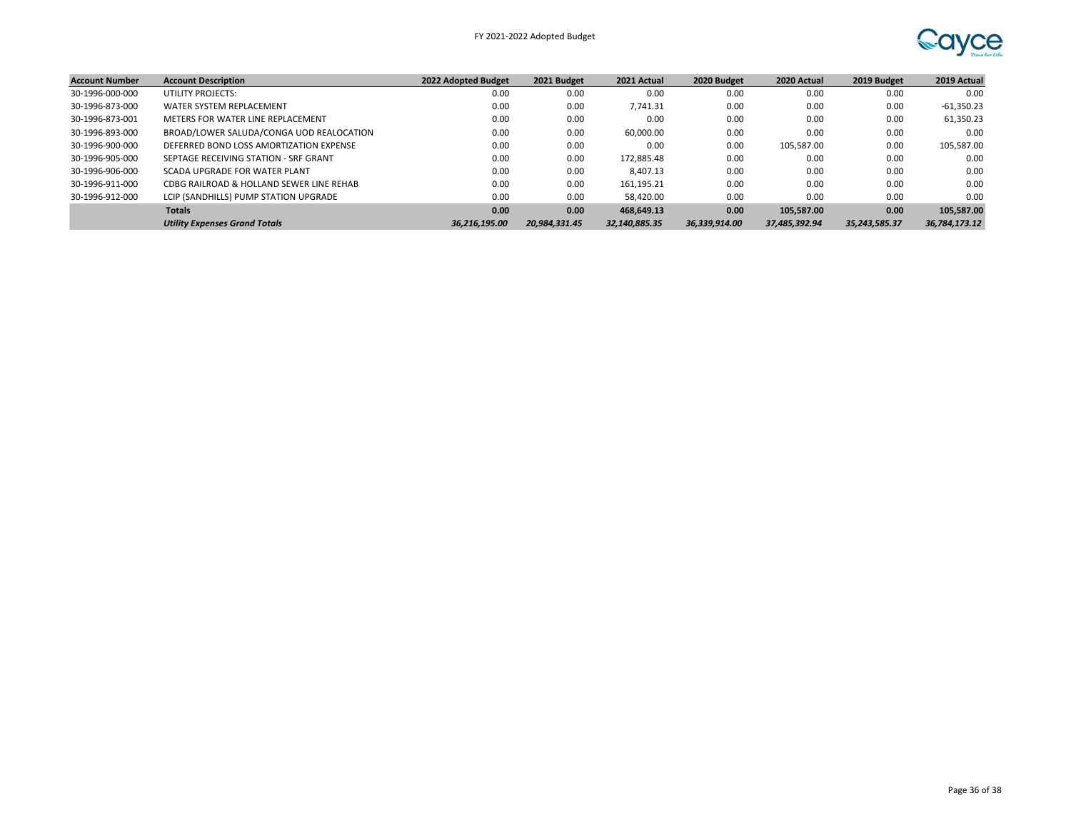

| <b>Account Number</b> | <b>Account Description</b>               | 2022 Adopted Budget | 2021 Budget   | 2021 Actual   | 2020 Budget   | 2020 Actual   | 2019 Budget   | 2019 Actual   |
|-----------------------|------------------------------------------|---------------------|---------------|---------------|---------------|---------------|---------------|---------------|
| 30-1996-000-000       | UTILITY PROJECTS:                        | 0.00                | 0.00          | 0.00          | 0.00          | 0.00          | 0.00          | 0.00          |
| 30-1996-873-000       | WATER SYSTEM REPLACEMENT                 | 0.00                | 0.00          | 7,741.31      | 0.00          | 0.00          | 0.00          | -61,350.23    |
| 30-1996-873-001       | METERS FOR WATER LINE REPLACEMENT        | 0.00                | 0.00          | 0.00          | 0.00          | 0.00          | 0.00          | 61,350.23     |
| 30-1996-893-000       | BROAD/LOWER SALUDA/CONGA UOD REALOCATION | 0.00                | 0.00          | 60.000.00     | 0.00          | 0.00          | 0.00          | 0.00          |
| 30-1996-900-000       | DEFERRED BOND LOSS AMORTIZATION EXPENSE  | 0.00                | 0.00          | 0.00          | 0.00          | 105,587.00    | 0.00          | 105,587.00    |
| 30-1996-905-000       | SEPTAGE RECEIVING STATION - SRF GRANT    | 0.00                | 0.00          | 172,885.48    | 0.00          | 0.00          | 0.00          | 0.00          |
| 30-1996-906-000       | SCADA UPGRADE FOR WATER PLANT            | 0.00                | 0.00          | 8,407.13      | 0.00          | 0.00          | 0.00          | 0.00          |
| 30-1996-911-000       | CDBG RAILROAD & HOLLAND SEWER LINE REHAB | 0.00                | 0.00          | 161.195.21    | 0.00          | 0.00          | 0.00          | 0.00          |
| 30-1996-912-000       | LCIP (SANDHILLS) PUMP STATION UPGRADE    | 0.00                | 0.00          | 58.420.00     | 0.00          | 0.00          | 0.00          | 0.00          |
|                       | <b>Totals</b>                            | 0.00                | 0.00          | 468.649.13    | 0.00          | 105.587.00    | 0.00          | 105,587.00    |
|                       | <b>Utility Expenses Grand Totals</b>     | 36.216.195.00       | 20.984.331.45 | 32,140,885.35 | 36,339,914.00 | 37,485,392.94 | 35,243,585.37 | 36,784,173.12 |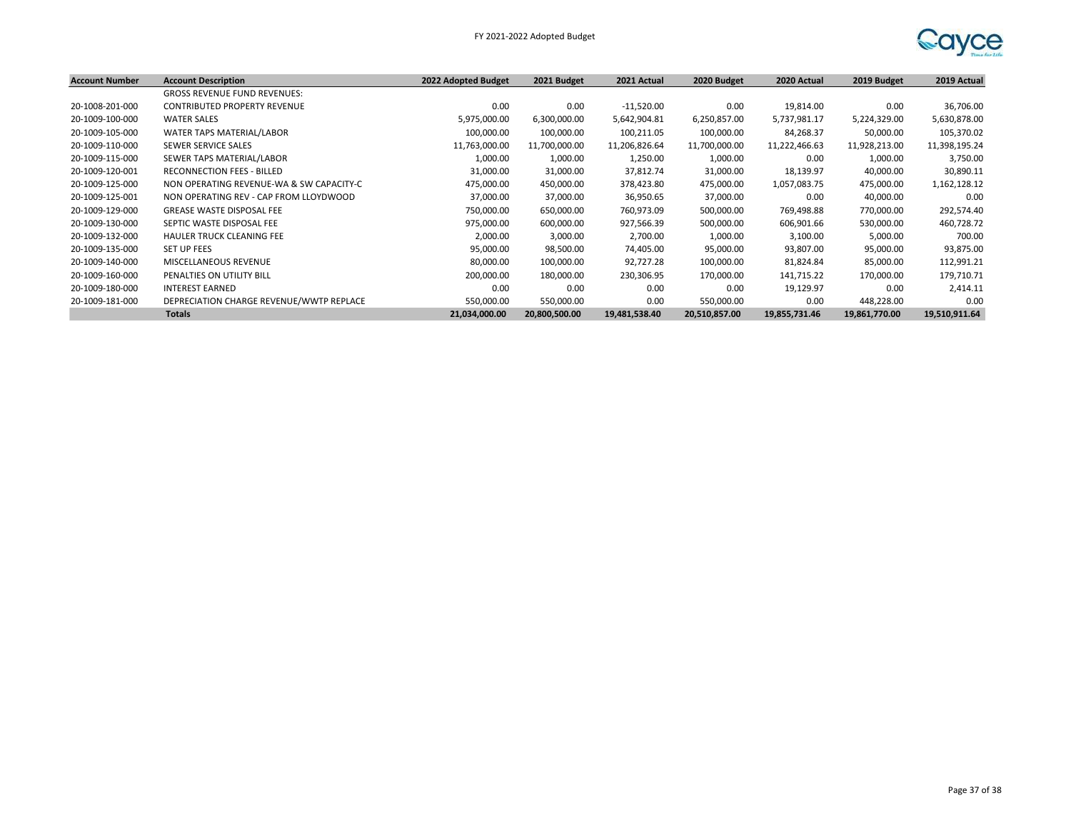| <b>Account Number</b> | <b>Account Description</b>               | 2022 Adopted Budget | 2021 Budget   | 2021 Actual   | 2020 Budget   | 2020 Actual   | 2019 Budget   | 2019 Actual   |
|-----------------------|------------------------------------------|---------------------|---------------|---------------|---------------|---------------|---------------|---------------|
|                       | <b>GROSS REVENUE FUND REVENUES:</b>      |                     |               |               |               |               |               |               |
| 20-1008-201-000       | <b>CONTRIBUTED PROPERTY REVENUE</b>      | 0.00                | 0.00          | $-11,520.00$  | 0.00          | 19,814.00     | 0.00          | 36,706.00     |
| 20-1009-100-000       | <b>WATER SALES</b>                       | 5,975,000.00        | 6,300,000.00  | 5,642,904.81  | 6,250,857.00  | 5,737,981.17  | 5,224,329.00  | 5,630,878.00  |
| 20-1009-105-000       | WATER TAPS MATERIAL/LABOR                | 100,000.00          | 100,000.00    | 100,211.05    | 100,000.00    | 84,268.37     | 50,000.00     | 105,370.02    |
| 20-1009-110-000       | SEWER SERVICE SALES                      | 11,763,000.00       | 11,700,000.00 | 11,206,826.64 | 11,700,000.00 | 11,222,466.63 | 11,928,213.00 | 11,398,195.24 |
| 20-1009-115-000       | SEWER TAPS MATERIAL/LABOR                | 1,000.00            | 1,000.00      | 1,250.00      | 1,000.00      | 0.00          | 1,000.00      | 3,750.00      |
| 20-1009-120-001       | <b>RECONNECTION FEES - BILLED</b>        | 31,000.00           | 31,000.00     | 37,812.74     | 31,000.00     | 18,139.97     | 40,000.00     | 30,890.11     |
| 20-1009-125-000       | NON OPERATING REVENUE-WA & SW CAPACITY-C | 475,000.00          | 450,000.00    | 378,423.80    | 475,000.00    | 1,057,083.75  | 475,000.00    | 1,162,128.12  |
| 20-1009-125-001       | NON OPERATING REV - CAP FROM LLOYDWOOD   | 37,000.00           | 37,000.00     | 36,950.65     | 37,000.00     | 0.00          | 40,000.00     | 0.00          |
| 20-1009-129-000       | <b>GREASE WASTE DISPOSAL FEE</b>         | 750,000.00          | 650,000.00    | 760,973.09    | 500,000.00    | 769,498.88    | 770,000.00    | 292,574.40    |
| 20-1009-130-000       | SEPTIC WASTE DISPOSAL FEE                | 975,000.00          | 600,000.00    | 927,566.39    | 500,000.00    | 606,901.66    | 530,000.00    | 460,728.72    |
| 20-1009-132-000       | <b>HAULER TRUCK CLEANING FEE</b>         | 2,000.00            | 3,000.00      | 2,700.00      | 1,000.00      | 3,100.00      | 5,000.00      | 700.00        |
| 20-1009-135-000       | <b>SET UP FEES</b>                       | 95,000.00           | 98,500.00     | 74,405.00     | 95,000.00     | 93,807.00     | 95,000.00     | 93,875.00     |
| 20-1009-140-000       | MISCELLANEOUS REVENUE                    | 80,000.00           | 100,000.00    | 92,727.28     | 100,000.00    | 81,824.84     | 85,000.00     | 112,991.21    |
| 20-1009-160-000       | PENALTIES ON UTILITY BILL                | 200,000.00          | 180,000.00    | 230,306.95    | 170,000.00    | 141,715.22    | 170,000.00    | 179,710.71    |
| 20-1009-180-000       | <b>INTEREST EARNED</b>                   | 0.00                | 0.00          | 0.00          | 0.00          | 19,129.97     | 0.00          | 2,414.11      |
| 20-1009-181-000       | DEPRECIATION CHARGE REVENUE/WWTP REPLACE | 550,000.00          | 550,000.00    | 0.00          | 550,000.00    | 0.00          | 448,228.00    | 0.00          |
|                       | <b>Totals</b>                            | 21,034,000.00       | 20,800,500.00 | 19,481,538.40 | 20,510,857.00 | 19,855,731.46 | 19,861,770.00 | 19,510,911.64 |